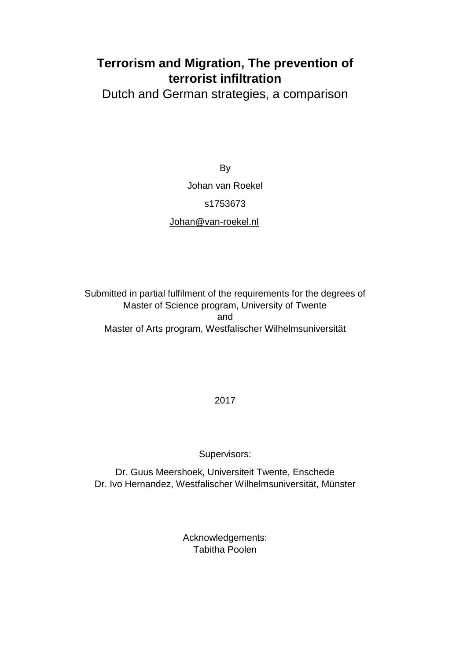# **Terrorism and Migration, The prevention of terrorist infiltration**

Dutch and German strategies, a comparison

**By** Johan van Roekel s1753673 [Johan@van-roekel.nl](mailto:Johan@van-roekel.nl)

Submitted in partial fulfilment of the requirements for the degrees of Master of Science program, University of Twente and Master of Arts program, Westfalischer Wilhelmsuniversität

2017

Supervisors:

Dr. Guus Meershoek, Universiteit Twente, Enschede Dr. Ivo Hernandez, Westfalischer Wilhelmsuniversität, Münster

> Acknowledgements: Tabitha Poolen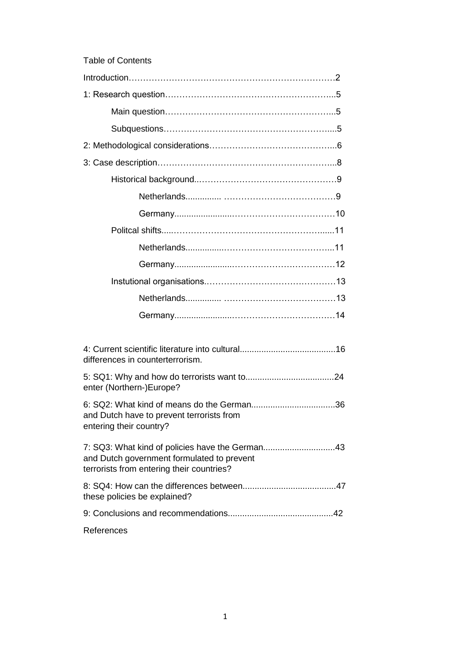| <b>Table of Contents</b>                                                                |
|-----------------------------------------------------------------------------------------|
|                                                                                         |
|                                                                                         |
|                                                                                         |
|                                                                                         |
|                                                                                         |
|                                                                                         |
|                                                                                         |
|                                                                                         |
|                                                                                         |
|                                                                                         |
|                                                                                         |
|                                                                                         |
|                                                                                         |
|                                                                                         |
|                                                                                         |
|                                                                                         |
| differences in counterterrorism.                                                        |
| enter (Northern-)Europe?                                                                |
| and Dutch have to prevent terrorists from<br>entering their country?                    |
| and Dutch government formulated to prevent<br>terrorists from entering their countries? |
| these policies be explained?                                                            |
|                                                                                         |
| References                                                                              |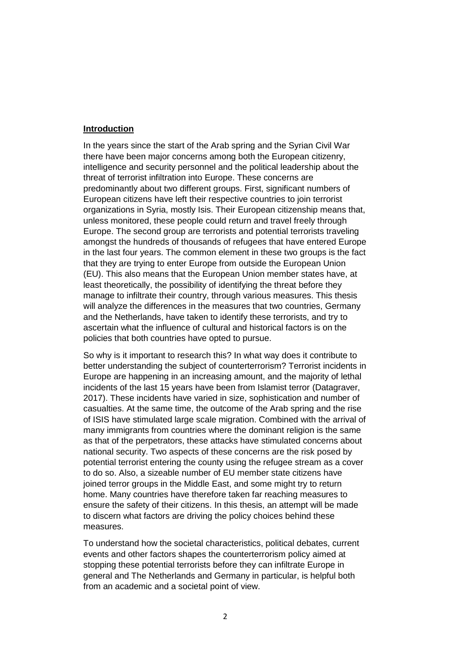### **Introduction**

In the years since the start of the Arab spring and the Syrian Civil War there have been major concerns among both the European citizenry, intelligence and security personnel and the political leadership about the threat of terrorist infiltration into Europe. These concerns are predominantly about two different groups. First, significant numbers of European citizens have left their respective countries to join terrorist organizations in Syria, mostly Isis. Their European citizenship means that, unless monitored, these people could return and travel freely through Europe. The second group are terrorists and potential terrorists traveling amongst the hundreds of thousands of refugees that have entered Europe in the last four years. The common element in these two groups is the fact that they are trying to enter Europe from outside the European Union (EU). This also means that the European Union member states have, at least theoretically, the possibility of identifying the threat before they manage to infiltrate their country, through various measures. This thesis will analyze the differences in the measures that two countries, Germany and the Netherlands, have taken to identify these terrorists, and try to ascertain what the influence of cultural and historical factors is on the policies that both countries have opted to pursue.

So why is it important to research this? In what way does it contribute to better understanding the subject of counterterrorism? Terrorist incidents in Europe are happening in an increasing amount, and the majority of lethal incidents of the last 15 years have been from Islamist terror (Datagraver, 2017). These incidents have varied in size, sophistication and number of casualties. At the same time, the outcome of the Arab spring and the rise of ISIS have stimulated large scale migration. Combined with the arrival of many immigrants from countries where the dominant religion is the same as that of the perpetrators, these attacks have stimulated concerns about national security. Two aspects of these concerns are the risk posed by potential terrorist entering the county using the refugee stream as a cover to do so. Also, a sizeable number of EU member state citizens have joined terror groups in the Middle East, and some might try to return home. Many countries have therefore taken far reaching measures to ensure the safety of their citizens. In this thesis, an attempt will be made to discern what factors are driving the policy choices behind these measures.

To understand how the societal characteristics, political debates, current events and other factors shapes the counterterrorism policy aimed at stopping these potential terrorists before they can infiltrate Europe in general and The Netherlands and Germany in particular, is helpful both from an academic and a societal point of view.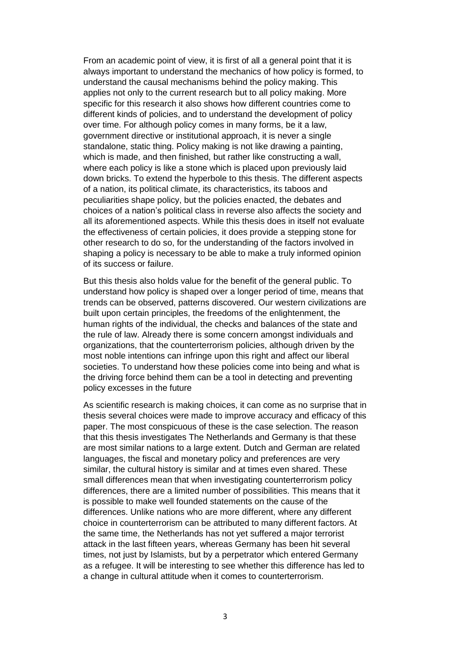From an academic point of view, it is first of all a general point that it is always important to understand the mechanics of how policy is formed, to understand the causal mechanisms behind the policy making. This applies not only to the current research but to all policy making. More specific for this research it also shows how different countries come to different kinds of policies, and to understand the development of policy over time. For although policy comes in many forms, be it a law, government directive or institutional approach, it is never a single standalone, static thing. Policy making is not like drawing a painting, which is made, and then finished, but rather like constructing a wall, where each policy is like a stone which is placed upon previously laid down bricks. To extend the hyperbole to this thesis. The different aspects of a nation, its political climate, its characteristics, its taboos and peculiarities shape policy, but the policies enacted, the debates and choices of a nation's political class in reverse also affects the society and all its aforementioned aspects. While this thesis does in itself not evaluate the effectiveness of certain policies, it does provide a stepping stone for other research to do so, for the understanding of the factors involved in shaping a policy is necessary to be able to make a truly informed opinion of its success or failure.

But this thesis also holds value for the benefit of the general public. To understand how policy is shaped over a longer period of time, means that trends can be observed, patterns discovered. Our western civilizations are built upon certain principles, the freedoms of the enlightenment, the human rights of the individual, the checks and balances of the state and the rule of law. Already there is some concern amongst individuals and organizations, that the counterterrorism policies, although driven by the most noble intentions can infringe upon this right and affect our liberal societies. To understand how these policies come into being and what is the driving force behind them can be a tool in detecting and preventing policy excesses in the future

As scientific research is making choices, it can come as no surprise that in thesis several choices were made to improve accuracy and efficacy of this paper. The most conspicuous of these is the case selection. The reason that this thesis investigates The Netherlands and Germany is that these are most similar nations to a large extent. Dutch and German are related languages, the fiscal and monetary policy and preferences are very similar, the cultural history is similar and at times even shared. These small differences mean that when investigating counterterrorism policy differences, there are a limited number of possibilities. This means that it is possible to make well founded statements on the cause of the differences. Unlike nations who are more different, where any different choice in counterterrorism can be attributed to many different factors. At the same time, the Netherlands has not yet suffered a major terrorist attack in the last fifteen years, whereas Germany has been hit several times, not just by Islamists, but by a perpetrator which entered Germany as a refugee. It will be interesting to see whether this difference has led to a change in cultural attitude when it comes to counterterrorism.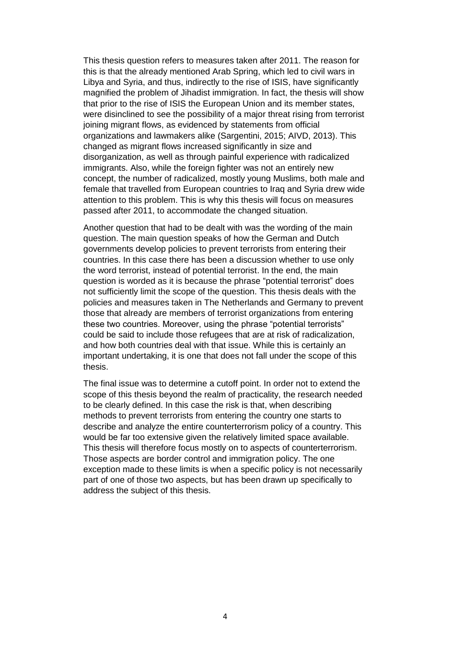This thesis question refers to measures taken after 2011. The reason for this is that the already mentioned Arab Spring, which led to civil wars in Libya and Syria, and thus, indirectly to the rise of ISIS, have significantly magnified the problem of Jihadist immigration. In fact, the thesis will show that prior to the rise of ISIS the European Union and its member states, were disinclined to see the possibility of a major threat rising from terrorist joining migrant flows, as evidenced by statements from official organizations and lawmakers alike (Sargentini, 2015; AIVD, 2013). This changed as migrant flows increased significantly in size and disorganization, as well as through painful experience with radicalized immigrants. Also, while the foreign fighter was not an entirely new concept, the number of radicalized, mostly young Muslims, both male and female that travelled from European countries to Iraq and Syria drew wide attention to this problem. This is why this thesis will focus on measures passed after 2011, to accommodate the changed situation.

Another question that had to be dealt with was the wording of the main question. The main question speaks of how the German and Dutch governments develop policies to prevent terrorists from entering their countries. In this case there has been a discussion whether to use only the word terrorist, instead of potential terrorist. In the end, the main question is worded as it is because the phrase "potential terrorist" does not sufficiently limit the scope of the question. This thesis deals with the policies and measures taken in The Netherlands and Germany to prevent those that already are members of terrorist organizations from entering these two countries. Moreover, using the phrase "potential terrorists" could be said to include those refugees that are at risk of radicalization, and how both countries deal with that issue. While this is certainly an important undertaking, it is one that does not fall under the scope of this thesis.

The final issue was to determine a cutoff point. In order not to extend the scope of this thesis beyond the realm of practicality, the research needed to be clearly defined. In this case the risk is that, when describing methods to prevent terrorists from entering the country one starts to describe and analyze the entire counterterrorism policy of a country. This would be far too extensive given the relatively limited space available. This thesis will therefore focus mostly on to aspects of counterterrorism. Those aspects are border control and immigration policy. The one exception made to these limits is when a specific policy is not necessarily part of one of those two aspects, but has been drawn up specifically to address the subject of this thesis.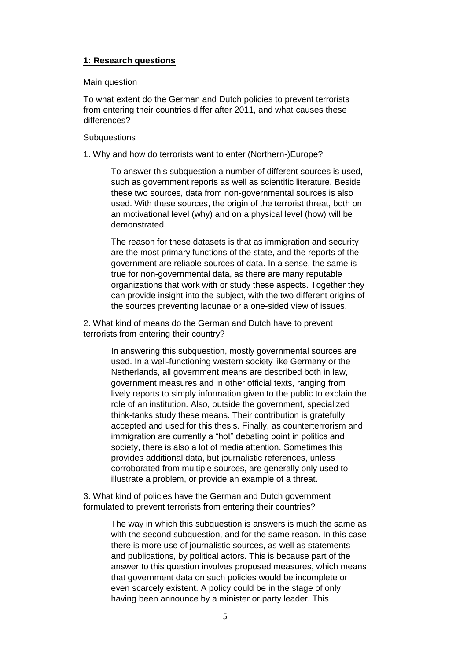# **1: Research questions**

# Main question

To what extent do the German and Dutch policies to prevent terrorists from entering their countries differ after 2011, and what causes these differences?

# **Subquestions**

1. Why and how do terrorists want to enter (Northern-)Europe?

To answer this subquestion a number of different sources is used, such as government reports as well as scientific literature. Beside these two sources, data from non-governmental sources is also used. With these sources, the origin of the terrorist threat, both on an motivational level (why) and on a physical level (how) will be demonstrated.

The reason for these datasets is that as immigration and security are the most primary functions of the state, and the reports of the government are reliable sources of data. In a sense, the same is true for non-governmental data, as there are many reputable organizations that work with or study these aspects. Together they can provide insight into the subject, with the two different origins of the sources preventing lacunae or a one-sided view of issues.

2. What kind of means do the German and Dutch have to prevent terrorists from entering their country?

> In answering this subquestion, mostly governmental sources are used. In a well-functioning western society like Germany or the Netherlands, all government means are described both in law, government measures and in other official texts, ranging from lively reports to simply information given to the public to explain the role of an institution. Also, outside the government, specialized think-tanks study these means. Their contribution is gratefully accepted and used for this thesis. Finally, as counterterrorism and immigration are currently a "hot" debating point in politics and society, there is also a lot of media attention. Sometimes this provides additional data, but journalistic references, unless corroborated from multiple sources, are generally only used to illustrate a problem, or provide an example of a threat.

3. What kind of policies have the German and Dutch government formulated to prevent terrorists from entering their countries?

> The way in which this subquestion is answers is much the same as with the second subquestion, and for the same reason. In this case there is more use of journalistic sources, as well as statements and publications, by political actors. This is because part of the answer to this question involves proposed measures, which means that government data on such policies would be incomplete or even scarcely existent. A policy could be in the stage of only having been announce by a minister or party leader. This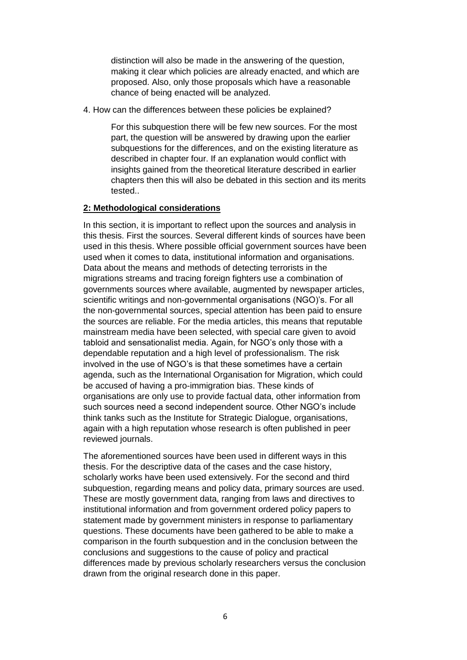distinction will also be made in the answering of the question, making it clear which policies are already enacted, and which are proposed. Also, only those proposals which have a reasonable chance of being enacted will be analyzed.

4. How can the differences between these policies be explained?

For this subquestion there will be few new sources. For the most part, the question will be answered by drawing upon the earlier subquestions for the differences, and on the existing literature as described in chapter four. If an explanation would conflict with insights gained from the theoretical literature described in earlier chapters then this will also be debated in this section and its merits tested..

### **2: Methodological considerations**

In this section, it is important to reflect upon the sources and analysis in this thesis. First the sources. Several different kinds of sources have been used in this thesis. Where possible official government sources have been used when it comes to data, institutional information and organisations. Data about the means and methods of detecting terrorists in the migrations streams and tracing foreign fighters use a combination of governments sources where available, augmented by newspaper articles, scientific writings and non-governmental organisations (NGO)'s. For all the non-governmental sources, special attention has been paid to ensure the sources are reliable. For the media articles, this means that reputable mainstream media have been selected, with special care given to avoid tabloid and sensationalist media. Again, for NGO's only those with a dependable reputation and a high level of professionalism. The risk involved in the use of NGO's is that these sometimes have a certain agenda, such as the International Organisation for Migration, which could be accused of having a pro-immigration bias. These kinds of organisations are only use to provide factual data, other information from such sources need a second independent source. Other NGO's include think tanks such as the Institute for Strategic Dialogue, organisations, again with a high reputation whose research is often published in peer reviewed journals.

The aforementioned sources have been used in different ways in this thesis. For the descriptive data of the cases and the case history, scholarly works have been used extensively. For the second and third subquestion, regarding means and policy data, primary sources are used. These are mostly government data, ranging from laws and directives to institutional information and from government ordered policy papers to statement made by government ministers in response to parliamentary questions. These documents have been gathered to be able to make a comparison in the fourth subquestion and in the conclusion between the conclusions and suggestions to the cause of policy and practical differences made by previous scholarly researchers versus the conclusion drawn from the original research done in this paper.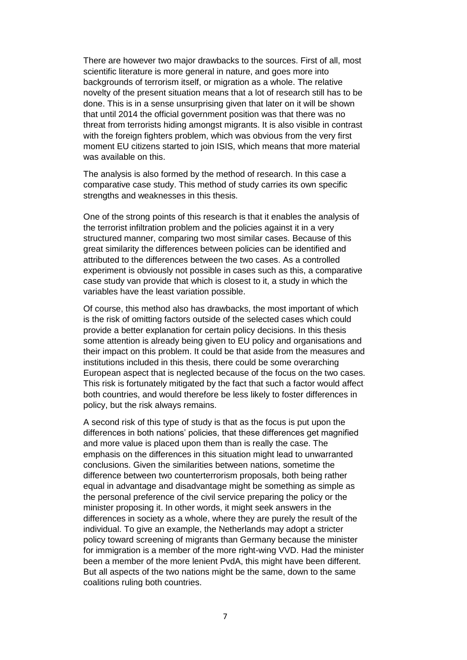There are however two major drawbacks to the sources. First of all, most scientific literature is more general in nature, and goes more into backgrounds of terrorism itself, or migration as a whole. The relative novelty of the present situation means that a lot of research still has to be done. This is in a sense unsurprising given that later on it will be shown that until 2014 the official government position was that there was no threat from terrorists hiding amongst migrants. It is also visible in contrast with the foreign fighters problem, which was obvious from the very first moment EU citizens started to join ISIS, which means that more material was available on this.

The analysis is also formed by the method of research. In this case a comparative case study. This method of study carries its own specific strengths and weaknesses in this thesis.

One of the strong points of this research is that it enables the analysis of the terrorist infiltration problem and the policies against it in a very structured manner, comparing two most similar cases. Because of this great similarity the differences between policies can be identified and attributed to the differences between the two cases. As a controlled experiment is obviously not possible in cases such as this, a comparative case study van provide that which is closest to it, a study in which the variables have the least variation possible.

Of course, this method also has drawbacks, the most important of which is the risk of omitting factors outside of the selected cases which could provide a better explanation for certain policy decisions. In this thesis some attention is already being given to EU policy and organisations and their impact on this problem. It could be that aside from the measures and institutions included in this thesis, there could be some overarching European aspect that is neglected because of the focus on the two cases. This risk is fortunately mitigated by the fact that such a factor would affect both countries, and would therefore be less likely to foster differences in policy, but the risk always remains.

A second risk of this type of study is that as the focus is put upon the differences in both nations' policies, that these differences get magnified and more value is placed upon them than is really the case. The emphasis on the differences in this situation might lead to unwarranted conclusions. Given the similarities between nations, sometime the difference between two counterterrorism proposals, both being rather equal in advantage and disadvantage might be something as simple as the personal preference of the civil service preparing the policy or the minister proposing it. In other words, it might seek answers in the differences in society as a whole, where they are purely the result of the individual. To give an example, the Netherlands may adopt a stricter policy toward screening of migrants than Germany because the minister for immigration is a member of the more right-wing VVD. Had the minister been a member of the more lenient PvdA, this might have been different. But all aspects of the two nations might be the same, down to the same coalitions ruling both countries.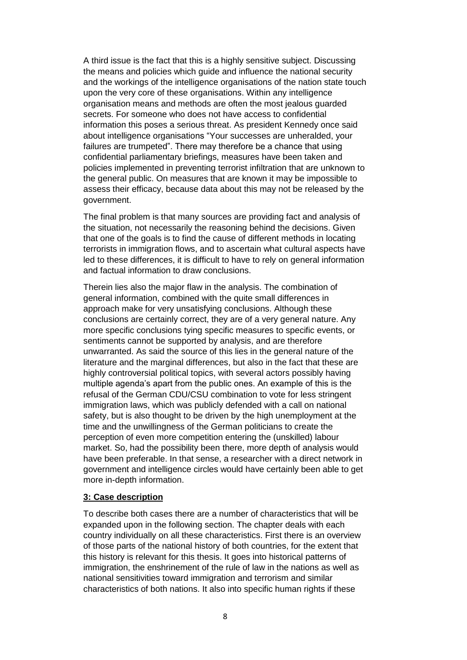A third issue is the fact that this is a highly sensitive subject. Discussing the means and policies which guide and influence the national security and the workings of the intelligence organisations of the nation state touch upon the very core of these organisations. Within any intelligence organisation means and methods are often the most jealous guarded secrets. For someone who does not have access to confidential information this poses a serious threat. As president Kennedy once said about intelligence organisations "Your successes are unheralded, your failures are trumpeted". There may therefore be a chance that using confidential parliamentary briefings, measures have been taken and policies implemented in preventing terrorist infiltration that are unknown to the general public. On measures that are known it may be impossible to assess their efficacy, because data about this may not be released by the government.

The final problem is that many sources are providing fact and analysis of the situation, not necessarily the reasoning behind the decisions. Given that one of the goals is to find the cause of different methods in locating terrorists in immigration flows, and to ascertain what cultural aspects have led to these differences, it is difficult to have to rely on general information and factual information to draw conclusions.

Therein lies also the major flaw in the analysis. The combination of general information, combined with the quite small differences in approach make for very unsatisfying conclusions. Although these conclusions are certainly correct, they are of a very general nature. Any more specific conclusions tying specific measures to specific events, or sentiments cannot be supported by analysis, and are therefore unwarranted. As said the source of this lies in the general nature of the literature and the marginal differences, but also in the fact that these are highly controversial political topics, with several actors possibly having multiple agenda's apart from the public ones. An example of this is the refusal of the German CDU/CSU combination to vote for less stringent immigration laws, which was publicly defended with a call on national safety, but is also thought to be driven by the high unemployment at the time and the unwillingness of the German politicians to create the perception of even more competition entering the (unskilled) labour market. So, had the possibility been there, more depth of analysis would have been preferable. In that sense, a researcher with a direct network in government and intelligence circles would have certainly been able to get more in-depth information.

# **3: Case description**

To describe both cases there are a number of characteristics that will be expanded upon in the following section. The chapter deals with each country individually on all these characteristics. First there is an overview of those parts of the national history of both countries, for the extent that this history is relevant for this thesis. It goes into historical patterns of immigration, the enshrinement of the rule of law in the nations as well as national sensitivities toward immigration and terrorism and similar characteristics of both nations. It also into specific human rights if these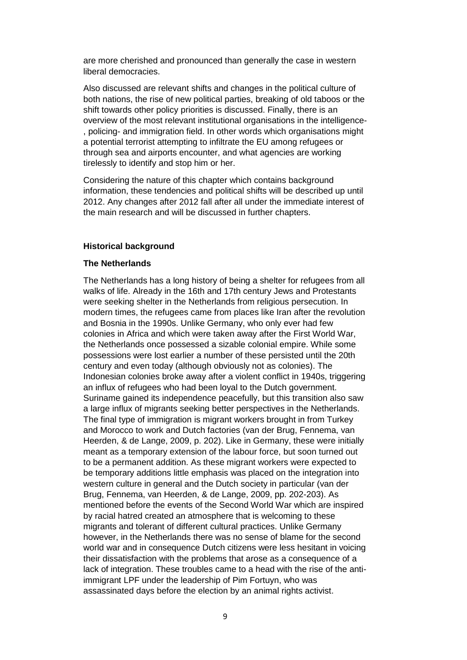are more cherished and pronounced than generally the case in western liberal democracies.

Also discussed are relevant shifts and changes in the political culture of both nations, the rise of new political parties, breaking of old taboos or the shift towards other policy priorities is discussed. Finally, there is an overview of the most relevant institutional organisations in the intelligence- , policing- and immigration field. In other words which organisations might a potential terrorist attempting to infiltrate the EU among refugees or through sea and airports encounter, and what agencies are working tirelessly to identify and stop him or her.

Considering the nature of this chapter which contains background information, these tendencies and political shifts will be described up until 2012. Any changes after 2012 fall after all under the immediate interest of the main research and will be discussed in further chapters.

### **Historical background**

#### **The Netherlands**

The Netherlands has a long history of being a shelter for refugees from all walks of life. Already in the 16th and 17th century Jews and Protestants were seeking shelter in the Netherlands from religious persecution. In modern times, the refugees came from places like Iran after the revolution and Bosnia in the 1990s. Unlike Germany, who only ever had few colonies in Africa and which were taken away after the First World War, the Netherlands once possessed a sizable colonial empire. While some possessions were lost earlier a number of these persisted until the 20th century and even today (although obviously not as colonies). The Indonesian colonies broke away after a violent conflict in 1940s, triggering an influx of refugees who had been loyal to the Dutch government. Suriname gained its independence peacefully, but this transition also saw a large influx of migrants seeking better perspectives in the Netherlands. The final type of immigration is migrant workers brought in from Turkey and Morocco to work and Dutch factories (van der Brug, Fennema, van Heerden, & de Lange, 2009, p. 202). Like in Germany, these were initially meant as a temporary extension of the labour force, but soon turned out to be a permanent addition. As these migrant workers were expected to be temporary additions little emphasis was placed on the integration into western culture in general and the Dutch society in particular (van der Brug, Fennema, van Heerden, & de Lange, 2009, pp. 202-203). As mentioned before the events of the Second World War which are inspired by racial hatred created an atmosphere that is welcoming to these migrants and tolerant of different cultural practices. Unlike Germany however, in the Netherlands there was no sense of blame for the second world war and in consequence Dutch citizens were less hesitant in voicing their dissatisfaction with the problems that arose as a consequence of a lack of integration. These troubles came to a head with the rise of the antiimmigrant LPF under the leadership of Pim Fortuyn, who was assassinated days before the election by an animal rights activist.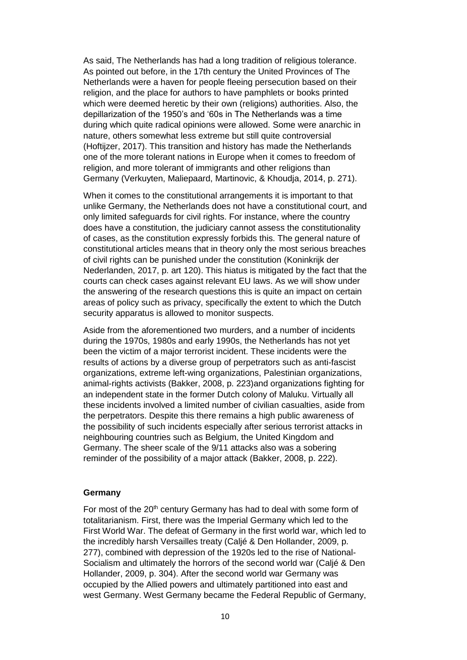As said, The Netherlands has had a long tradition of religious tolerance. As pointed out before, in the 17th century the United Provinces of The Netherlands were a haven for people fleeing persecution based on their religion, and the place for authors to have pamphlets or books printed which were deemed heretic by their own (religions) authorities. Also, the depillarization of the 1950's and '60s in The Netherlands was a time during which quite radical opinions were allowed. Some were anarchic in nature, others somewhat less extreme but still quite controversial (Hoftijzer, 2017). This transition and history has made the Netherlands one of the more tolerant nations in Europe when it comes to freedom of religion, and more tolerant of immigrants and other religions than Germany (Verkuyten, Maliepaard, Martinovic, & Khoudja, 2014, p. 271).

When it comes to the constitutional arrangements it is important to that unlike Germany, the Netherlands does not have a constitutional court, and only limited safeguards for civil rights. For instance, where the country does have a constitution, the judiciary cannot assess the constitutionality of cases, as the constitution expressly forbids this. The general nature of constitutional articles means that in theory only the most serious breaches of civil rights can be punished under the constitution (Koninkrijk der Nederlanden, 2017, p. art 120). This hiatus is mitigated by the fact that the courts can check cases against relevant EU laws. As we will show under the answering of the research questions this is quite an impact on certain areas of policy such as privacy, specifically the extent to which the Dutch security apparatus is allowed to monitor suspects.

Aside from the aforementioned two murders, and a number of incidents during the 1970s, 1980s and early 1990s, the Netherlands has not yet been the victim of a major terrorist incident. These incidents were the results of actions by a diverse group of perpetrators such as anti-fascist organizations, extreme left-wing organizations, Palestinian organizations, animal-rights activists (Bakker, 2008, p. 223)and organizations fighting for an independent state in the former Dutch colony of Maluku. Virtually all these incidents involved a limited number of civilian casualties, aside from the perpetrators. Despite this there remains a high public awareness of the possibility of such incidents especially after serious terrorist attacks in neighbouring countries such as Belgium, the United Kingdom and Germany. The sheer scale of the 9/11 attacks also was a sobering reminder of the possibility of a major attack (Bakker, 2008, p. 222).

## **Germany**

For most of the 20<sup>th</sup> century Germany has had to deal with some form of totalitarianism. First, there was the Imperial Germany which led to the First World War. The defeat of Germany in the first world war, which led to the incredibly harsh Versailles treaty (Caljé & Den Hollander, 2009, p. 277), combined with depression of the 1920s led to the rise of National-Socialism and ultimately the horrors of the second world war (Caljé & Den Hollander, 2009, p. 304). After the second world war Germany was occupied by the Allied powers and ultimately partitioned into east and west Germany. West Germany became the Federal Republic of Germany,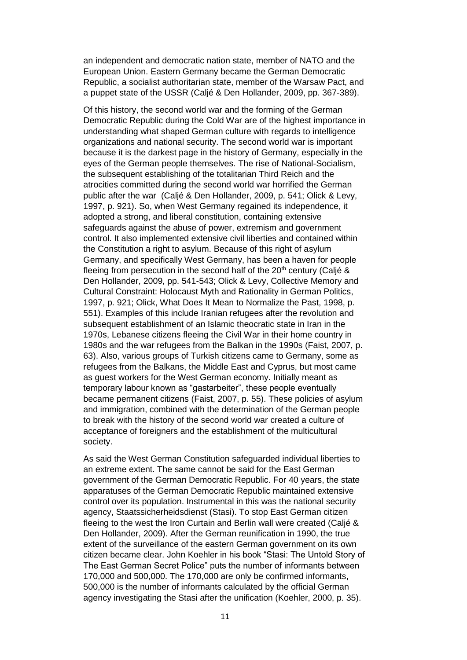an independent and democratic nation state, member of NATO and the European Union. Eastern Germany became the German Democratic Republic, a socialist authoritarian state, member of the Warsaw Pact, and a puppet state of the USSR (Caljé & Den Hollander, 2009, pp. 367-389).

Of this history, the second world war and the forming of the German Democratic Republic during the Cold War are of the highest importance in understanding what shaped German culture with regards to intelligence organizations and national security. The second world war is important because it is the darkest page in the history of Germany, especially in the eyes of the German people themselves. The rise of National-Socialism, the subsequent establishing of the totalitarian Third Reich and the atrocities committed during the second world war horrified the German public after the war (Caljé & Den Hollander, 2009, p. 541; Olick & Levy, 1997, p. 921). So, when West Germany regained its independence, it adopted a strong, and liberal constitution, containing extensive safeguards against the abuse of power, extremism and government control. It also implemented extensive civil liberties and contained within the Constitution a right to asylum. Because of this right of asylum Germany, and specifically West Germany, has been a haven for people fleeing from persecution in the second half of the  $20<sup>th</sup>$  century (Caljé & Den Hollander, 2009, pp. 541-543; Olick & Levy, Collective Memory and Cultural Constraint: Holocaust Myth and Rationality in German Politics, 1997, p. 921; Olick, What Does It Mean to Normalize the Past, 1998, p. 551). Examples of this include Iranian refugees after the revolution and subsequent establishment of an Islamic theocratic state in Iran in the 1970s, Lebanese citizens fleeing the Civil War in their home country in 1980s and the war refugees from the Balkan in the 1990s (Faist, 2007, p. 63). Also, various groups of Turkish citizens came to Germany, some as refugees from the Balkans, the Middle East and Cyprus, but most came as guest workers for the West German economy. Initially meant as temporary labour known as "gastarbeiter", these people eventually became permanent citizens (Faist, 2007, p. 55). These policies of asylum and immigration, combined with the determination of the German people to break with the history of the second world war created a culture of acceptance of foreigners and the establishment of the multicultural society.

As said the West German Constitution safeguarded individual liberties to an extreme extent. The same cannot be said for the East German government of the German Democratic Republic. For 40 years, the state apparatuses of the German Democratic Republic maintained extensive control over its population. Instrumental in this was the national security agency, Staatssicherheidsdienst (Stasi). To stop East German citizen fleeing to the west the Iron Curtain and Berlin wall were created (Caljé & Den Hollander, 2009). After the German reunification in 1990, the true extent of the surveillance of the eastern German government on its own citizen became clear. John Koehler in his book "Stasi: The Untold Story of The East German Secret Police" puts the number of informants between 170,000 and 500,000. The 170,000 are only be confirmed informants, 500,000 is the number of informants calculated by the official German agency investigating the Stasi after the unification (Koehler, 2000, p. 35).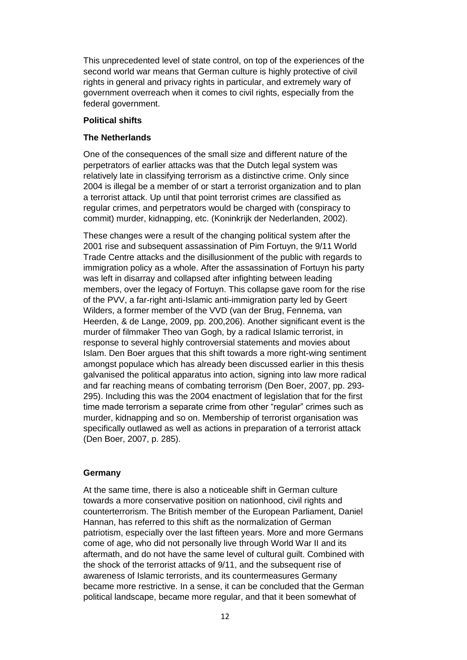This unprecedented level of state control, on top of the experiences of the second world war means that German culture is highly protective of civil rights in general and privacy rights in particular, and extremely wary of government overreach when it comes to civil rights, especially from the federal government.

# **Political shifts**

# **The Netherlands**

One of the consequences of the small size and different nature of the perpetrators of earlier attacks was that the Dutch legal system was relatively late in classifying terrorism as a distinctive crime. Only since 2004 is illegal be a member of or start a terrorist organization and to plan a terrorist attack. Up until that point terrorist crimes are classified as regular crimes, and perpetrators would be charged with (conspiracy to commit) murder, kidnapping, etc. (Koninkrijk der Nederlanden, 2002).

These changes were a result of the changing political system after the 2001 rise and subsequent assassination of Pim Fortuyn, the 9/11 World Trade Centre attacks and the disillusionment of the public with regards to immigration policy as a whole. After the assassination of Fortuyn his party was left in disarray and collapsed after infighting between leading members, over the legacy of Fortuyn. This collapse gave room for the rise of the PVV, a far-right anti-Islamic anti-immigration party led by Geert Wilders, a former member of the VVD (van der Brug, Fennema, van Heerden, & de Lange, 2009, pp. 200,206). Another significant event is the murder of filmmaker Theo van Gogh, by a radical Islamic terrorist, in response to several highly controversial statements and movies about Islam. Den Boer argues that this shift towards a more right-wing sentiment amongst populace which has already been discussed earlier in this thesis galvanised the political apparatus into action, signing into law more radical and far reaching means of combating terrorism (Den Boer, 2007, pp. 293- 295). Including this was the 2004 enactment of legislation that for the first time made terrorism a separate crime from other "regular" crimes such as murder, kidnapping and so on. Membership of terrorist organisation was specifically outlawed as well as actions in preparation of a terrorist attack (Den Boer, 2007, p. 285).

### **Germany**

At the same time, there is also a noticeable shift in German culture towards a more conservative position on nationhood, civil rights and counterterrorism. The British member of the European Parliament, Daniel Hannan, has referred to this shift as the normalization of German patriotism, especially over the last fifteen years. More and more Germans come of age, who did not personally live through World War II and its aftermath, and do not have the same level of cultural guilt. Combined with the shock of the terrorist attacks of 9/11, and the subsequent rise of awareness of Islamic terrorists, and its countermeasures Germany became more restrictive. In a sense, it can be concluded that the German political landscape, became more regular, and that it been somewhat of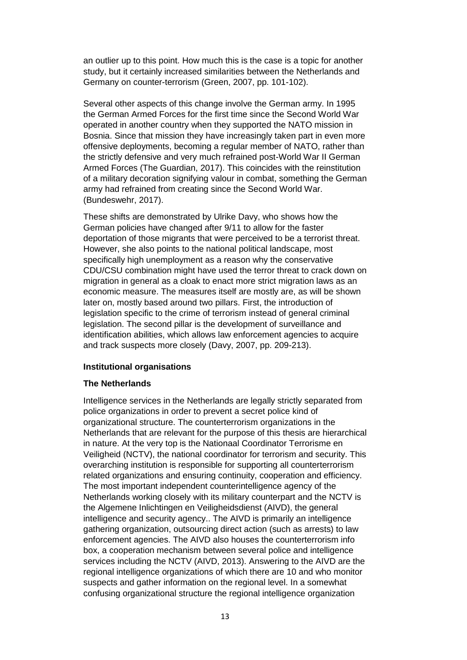an outlier up to this point. How much this is the case is a topic for another study, but it certainly increased similarities between the Netherlands and Germany on counter-terrorism (Green, 2007, pp. 101-102).

Several other aspects of this change involve the German army. In 1995 the German Armed Forces for the first time since the Second World War operated in another country when they supported the NATO mission in Bosnia. Since that mission they have increasingly taken part in even more offensive deployments, becoming a regular member of NATO, rather than the strictly defensive and very much refrained post-World War II German Armed Forces (The Guardian, 2017). This coincides with the reinstitution of a military decoration signifying valour in combat, something the German army had refrained from creating since the Second World War. (Bundeswehr, 2017).

These shifts are demonstrated by Ulrike Davy, who shows how the German policies have changed after 9/11 to allow for the faster deportation of those migrants that were perceived to be a terrorist threat. However, she also points to the national political landscape, most specifically high unemployment as a reason why the conservative CDU/CSU combination might have used the terror threat to crack down on migration in general as a cloak to enact more strict migration laws as an economic measure. The measures itself are mostly are, as will be shown later on, mostly based around two pillars. First, the introduction of legislation specific to the crime of terrorism instead of general criminal legislation. The second pillar is the development of surveillance and identification abilities, which allows law enforcement agencies to acquire and track suspects more closely (Davy, 2007, pp. 209-213).

### **Institutional organisations**

### **The Netherlands**

Intelligence services in the Netherlands are legally strictly separated from police organizations in order to prevent a secret police kind of organizational structure. The counterterrorism organizations in the Netherlands that are relevant for the purpose of this thesis are hierarchical in nature. At the very top is the Nationaal Coordinator Terrorisme en Veiligheid (NCTV), the national coordinator for terrorism and security. This overarching institution is responsible for supporting all counterterrorism related organizations and ensuring continuity, cooperation and efficiency. The most important independent counterintelligence agency of the Netherlands working closely with its military counterpart and the NCTV is the Algemene Inlichtingen en Veiligheidsdienst (AIVD), the general intelligence and security agency.. The AIVD is primarily an intelligence gathering organization, outsourcing direct action (such as arrests) to law enforcement agencies. The AIVD also houses the counterterrorism info box, a cooperation mechanism between several police and intelligence services including the NCTV (AIVD, 2013). Answering to the AIVD are the regional intelligence organizations of which there are 10 and who monitor suspects and gather information on the regional level. In a somewhat confusing organizational structure the regional intelligence organization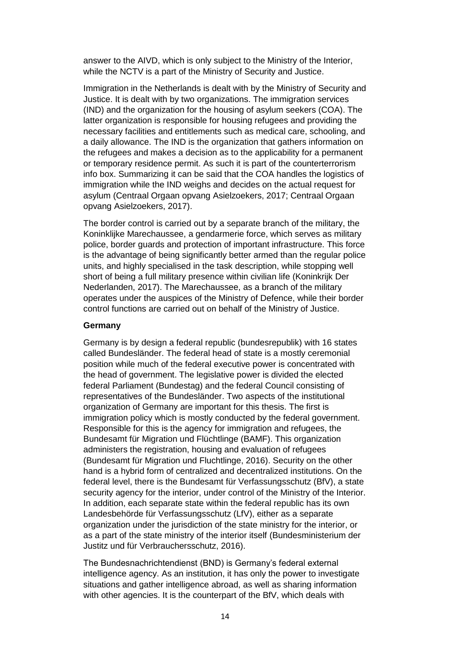answer to the AIVD, which is only subject to the Ministry of the Interior, while the NCTV is a part of the Ministry of Security and Justice.

Immigration in the Netherlands is dealt with by the Ministry of Security and Justice. It is dealt with by two organizations. The immigration services (IND) and the organization for the housing of asylum seekers (COA). The latter organization is responsible for housing refugees and providing the necessary facilities and entitlements such as medical care, schooling, and a daily allowance. The IND is the organization that gathers information on the refugees and makes a decision as to the applicability for a permanent or temporary residence permit. As such it is part of the counterterrorism info box. Summarizing it can be said that the COA handles the logistics of immigration while the IND weighs and decides on the actual request for asylum (Centraal Orgaan opvang Asielzoekers, 2017; Centraal Orgaan opvang Asielzoekers, 2017).

The border control is carried out by a separate branch of the military, the Koninklijke Marechaussee, a gendarmerie force, which serves as military police, border guards and protection of important infrastructure. This force is the advantage of being significantly better armed than the regular police units, and highly specialised in the task description, while stopping well short of being a full military presence within civilian life (Koninkrijk Der Nederlanden, 2017). The Marechaussee, as a branch of the military operates under the auspices of the Ministry of Defence, while their border control functions are carried out on behalf of the Ministry of Justice.

#### **Germany**

Germany is by design a federal republic (bundesrepublik) with 16 states called Bundesländer. The federal head of state is a mostly ceremonial position while much of the federal executive power is concentrated with the head of government. The legislative power is divided the elected federal Parliament (Bundestag) and the federal Council consisting of representatives of the Bundesländer. Two aspects of the institutional organization of Germany are important for this thesis. The first is immigration policy which is mostly conducted by the federal government. Responsible for this is the agency for immigration and refugees, the Bundesamt für Migration und Flüchtlinge (BAMF). This organization administers the registration, housing and evaluation of refugees (Bundesamt für Migration und Fluchtlinge, 2016). Security on the other hand is a hybrid form of centralized and decentralized institutions. On the federal level, there is the Bundesamt für Verfassungsschutz (BfV), a state security agency for the interior, under control of the Ministry of the Interior. In addition, each separate state within the federal republic has its own Landesbehörde für Verfassungsschutz (LfV), either as a separate organization under the jurisdiction of the state ministry for the interior, or as a part of the state ministry of the interior itself (Bundesministerium der Justitz und für Verbrauchersschutz, 2016).

The Bundesnachrichtendienst (BND) is Germany's federal external intelligence agency. As an institution, it has only the power to investigate situations and gather intelligence abroad, as well as sharing information with other agencies. It is the counterpart of the BfV, which deals with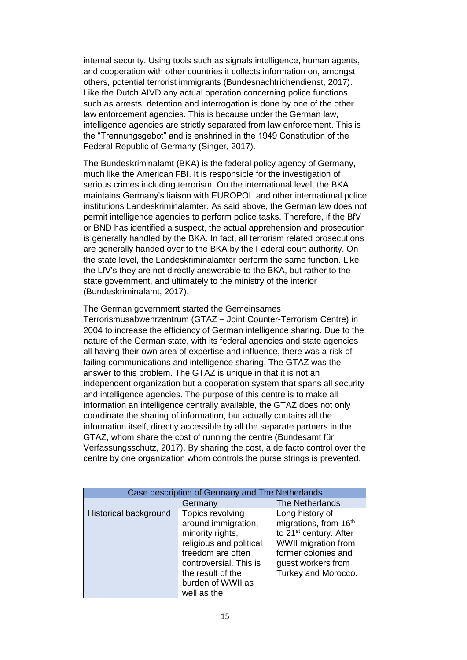internal security. Using tools such as signals intelligence, human agents, and cooperation with other countries it collects information on, amongst others, potential terrorist immigrants (Bundesnachtrichendienst, 2017). Like the Dutch AIVD any actual operation concerning police functions such as arrests, detention and interrogation is done by one of the other law enforcement agencies. This is because under the German law, intelligence agencies are strictly separated from law enforcement. This is the "Trennungsgebot" and is enshrined in the 1949 Constitution of the Federal Republic of Germany (Singer, 2017).

The Bundeskriminalamt (BKA) is the federal policy agency of Germany, much like the American FBI. It is responsible for the investigation of serious crimes including terrorism. On the international level, the BKA maintains Germany's liaison with EUROPOL and other international police institutions Landeskriminalamter. As said above, the German law does not permit intelligence agencies to perform police tasks. Therefore, if the BfV or BND has identified a suspect, the actual apprehension and prosecution is generally handled by the BKA. In fact, all terrorism related prosecutions are generally handed over to the BKA by the Federal court authority. On the state level, the Landeskriminalamter perform the same function. Like the LfV's they are not directly answerable to the BKA, but rather to the state government, and ultimately to the ministry of the interior (Bundeskriminalamt, 2017).

The German government started the Gemeinsames

Terrorismusabwehrzentrum (GTAZ – Joint Counter-Terrorism Centre) in 2004 to increase the efficiency of German intelligence sharing. Due to the nature of the German state, with its federal agencies and state agencies all having their own area of expertise and influence, there was a risk of failing communications and intelligence sharing. The GTAZ was the answer to this problem. The GTAZ is unique in that it is not an independent organization but a cooperation system that spans all security and intelligence agencies. The purpose of this centre is to make all information an intelligence centrally available, the GTAZ does not only coordinate the sharing of information, but actually contains all the information itself, directly accessible by all the separate partners in the GTAZ, whom share the cost of running the centre (Bundesamt für Verfassungsschutz, 2017). By sharing the cost, a de facto control over the centre by one organization whom controls the purse strings is prevented.

| Case description of Germany and The Netherlands |                         |                                    |  |
|-------------------------------------------------|-------------------------|------------------------------------|--|
|                                                 | Germany                 | The Netherlands                    |  |
| Historical background                           | Topics revolving        | Long history of                    |  |
|                                                 | around immigration,     | migrations, from 16th              |  |
|                                                 | minority rights,        | to 21 <sup>st</sup> century. After |  |
|                                                 | religious and political | WWII migration from                |  |
|                                                 | freedom are often       | former colonies and                |  |
|                                                 | controversial. This is  | guest workers from                 |  |
|                                                 | the result of the       | Turkey and Morocco.                |  |
|                                                 | burden of WWII as       |                                    |  |
|                                                 | well as the             |                                    |  |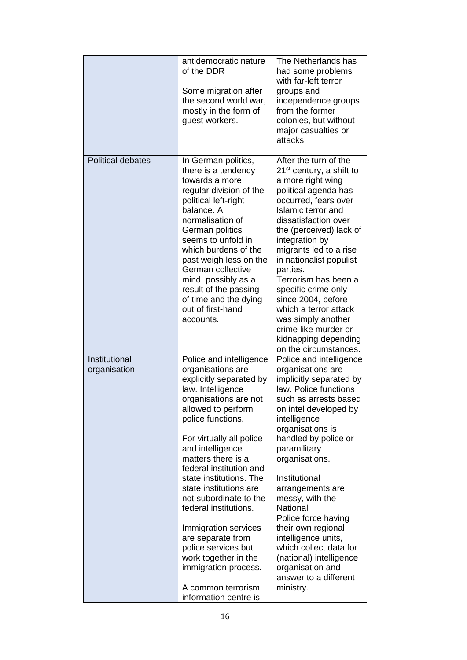|                               | antidemocratic nature<br>of the DDR<br>Some migration after<br>the second world war,<br>mostly in the form of<br>guest workers.                                                                                                                                                                                                                                                                                                                                                                                                              | The Netherlands has<br>had some problems<br>with far-left terror<br>groups and<br>independence groups<br>from the former<br>colonies, but without<br>major casualties or<br>attacks.                                                                                                                                                                                                                                                                                                                    |
|-------------------------------|----------------------------------------------------------------------------------------------------------------------------------------------------------------------------------------------------------------------------------------------------------------------------------------------------------------------------------------------------------------------------------------------------------------------------------------------------------------------------------------------------------------------------------------------|---------------------------------------------------------------------------------------------------------------------------------------------------------------------------------------------------------------------------------------------------------------------------------------------------------------------------------------------------------------------------------------------------------------------------------------------------------------------------------------------------------|
| <b>Political debates</b>      | In German politics,<br>there is a tendency<br>towards a more<br>regular division of the<br>political left-right<br>balance. A<br>normalisation of<br>German politics<br>seems to unfold in<br>which burdens of the<br>past weigh less on the<br>German collective<br>mind, possibly as a<br>result of the passing<br>of time and the dying<br>out of first-hand<br>accounts.                                                                                                                                                                 | After the turn of the<br>21 <sup>st</sup> century, a shift to<br>a more right wing<br>political agenda has<br>occurred, fears over<br>Islamic terror and<br>dissatisfaction over<br>the (perceived) lack of<br>integration by<br>migrants led to a rise<br>in nationalist populist<br>parties.<br>Terrorism has been a<br>specific crime only<br>since 2004, before<br>which a terror attack<br>was simply another<br>crime like murder or<br>kidnapping depending<br>on the circumstances.             |
| Institutional<br>organisation | Police and intelligence<br>organisations are<br>explicitly separated by<br>law. Intelligence<br>organisations are not<br>allowed to perform<br>police functions.<br>For virtually all police<br>and intelligence<br>matters there is a<br>federal institution and<br>state institutions. The<br>state institutions are<br>not subordinate to the<br>federal institutions.<br>Immigration services<br>are separate from<br>police services but<br>work together in the<br>immigration process.<br>A common terrorism<br>information centre is | Police and intelligence<br>organisations are<br>implicitly separated by<br>law. Police functions<br>such as arrests based<br>on intel developed by<br>intelligence<br>organisations is<br>handled by police or<br>paramilitary<br>organisations.<br>Institutional<br>arrangements are<br>messy, with the<br>National<br>Police force having<br>their own regional<br>intelligence units,<br>which collect data for<br>(national) intelligence<br>organisation and<br>answer to a different<br>ministry. |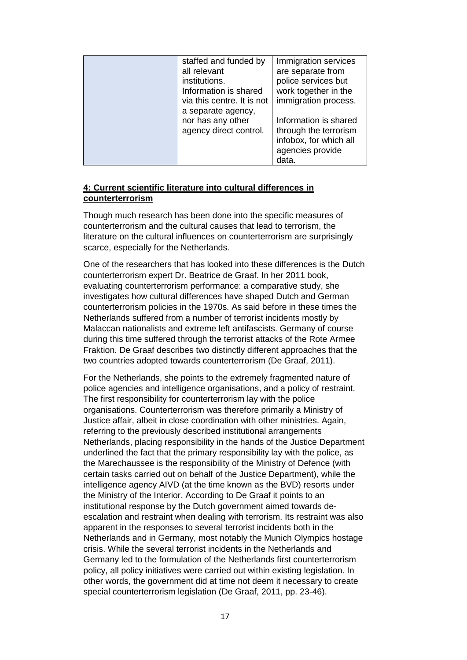| staffed and funded by      | Immigration services   |
|----------------------------|------------------------|
| all relevant               | are separate from      |
| institutions.              | police services but    |
| Information is shared      | work together in the   |
| via this centre. It is not | immigration process.   |
| a separate agency,         |                        |
| nor has any other          | Information is shared  |
| agency direct control.     | through the terrorism  |
|                            | infobox, for which all |
|                            | agencies provide       |
|                            | data.                  |

# **4: Current scientific literature into cultural differences in counterterrorism**

Though much research has been done into the specific measures of counterterrorism and the cultural causes that lead to terrorism, the literature on the cultural influences on counterterrorism are surprisingly scarce, especially for the Netherlands.

One of the researchers that has looked into these differences is the Dutch counterterrorism expert Dr. Beatrice de Graaf. In her 2011 book, evaluating counterterrorism performance: a comparative study, she investigates how cultural differences have shaped Dutch and German counterterrorism policies in the 1970s. As said before in these times the Netherlands suffered from a number of terrorist incidents mostly by Malaccan nationalists and extreme left antifascists. Germany of course during this time suffered through the terrorist attacks of the Rote Armee Fraktion. De Graaf describes two distinctly different approaches that the two countries adopted towards counterterrorism (De Graaf, 2011).

For the Netherlands, she points to the extremely fragmented nature of police agencies and intelligence organisations, and a policy of restraint. The first responsibility for counterterrorism lay with the police organisations. Counterterrorism was therefore primarily a Ministry of Justice affair, albeit in close coordination with other ministries. Again, referring to the previously described institutional arrangements Netherlands, placing responsibility in the hands of the Justice Department underlined the fact that the primary responsibility lay with the police, as the Marechaussee is the responsibility of the Ministry of Defence (with certain tasks carried out on behalf of the Justice Department), while the intelligence agency AIVD (at the time known as the BVD) resorts under the Ministry of the Interior. According to De Graaf it points to an institutional response by the Dutch government aimed towards deescalation and restraint when dealing with terrorism. Its restraint was also apparent in the responses to several terrorist incidents both in the Netherlands and in Germany, most notably the Munich Olympics hostage crisis. While the several terrorist incidents in the Netherlands and Germany led to the formulation of the Netherlands first counterterrorism policy, all policy initiatives were carried out within existing legislation. In other words, the government did at time not deem it necessary to create special counterterrorism legislation (De Graaf, 2011, pp. 23-46).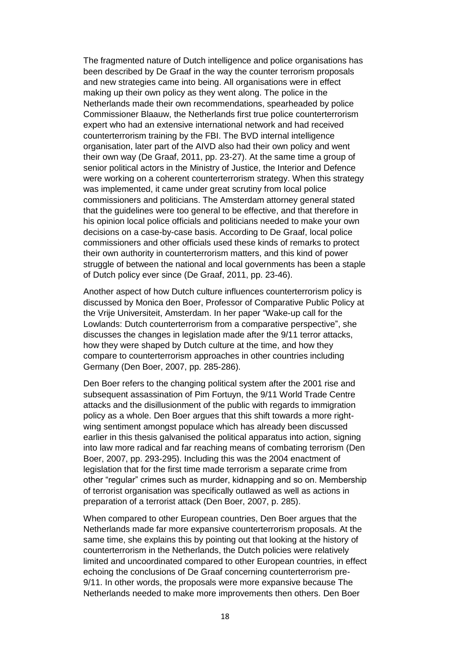The fragmented nature of Dutch intelligence and police organisations has been described by De Graaf in the way the counter terrorism proposals and new strategies came into being. All organisations were in effect making up their own policy as they went along. The police in the Netherlands made their own recommendations, spearheaded by police Commissioner Blaauw, the Netherlands first true police counterterrorism expert who had an extensive international network and had received counterterrorism training by the FBI. The BVD internal intelligence organisation, later part of the AIVD also had their own policy and went their own way (De Graaf, 2011, pp. 23-27). At the same time a group of senior political actors in the Ministry of Justice, the Interior and Defence were working on a coherent counterterrorism strategy. When this strategy was implemented, it came under great scrutiny from local police commissioners and politicians. The Amsterdam attorney general stated that the guidelines were too general to be effective, and that therefore in his opinion local police officials and politicians needed to make your own decisions on a case-by-case basis. According to De Graaf, local police commissioners and other officials used these kinds of remarks to protect their own authority in counterterrorism matters, and this kind of power struggle of between the national and local governments has been a staple of Dutch policy ever since (De Graaf, 2011, pp. 23-46).

Another aspect of how Dutch culture influences counterterrorism policy is discussed by Monica den Boer, Professor of Comparative Public Policy at the Vrije Universiteit, Amsterdam. In her paper "Wake-up call for the Lowlands: Dutch counterterrorism from a comparative perspective", she discusses the changes in legislation made after the 9/11 terror attacks, how they were shaped by Dutch culture at the time, and how they compare to counterterrorism approaches in other countries including Germany (Den Boer, 2007, pp. 285-286).

Den Boer refers to the changing political system after the 2001 rise and subsequent assassination of Pim Fortuyn, the 9/11 World Trade Centre attacks and the disillusionment of the public with regards to immigration policy as a whole. Den Boer argues that this shift towards a more rightwing sentiment amongst populace which has already been discussed earlier in this thesis galvanised the political apparatus into action, signing into law more radical and far reaching means of combating terrorism (Den Boer, 2007, pp. 293-295). Including this was the 2004 enactment of legislation that for the first time made terrorism a separate crime from other "regular" crimes such as murder, kidnapping and so on. Membership of terrorist organisation was specifically outlawed as well as actions in preparation of a terrorist attack (Den Boer, 2007, p. 285).

When compared to other European countries, Den Boer argues that the Netherlands made far more expansive counterterrorism proposals. At the same time, she explains this by pointing out that looking at the history of counterterrorism in the Netherlands, the Dutch policies were relatively limited and uncoordinated compared to other European countries, in effect echoing the conclusions of De Graaf concerning counterterrorism pre-9/11. In other words, the proposals were more expansive because The Netherlands needed to make more improvements then others. Den Boer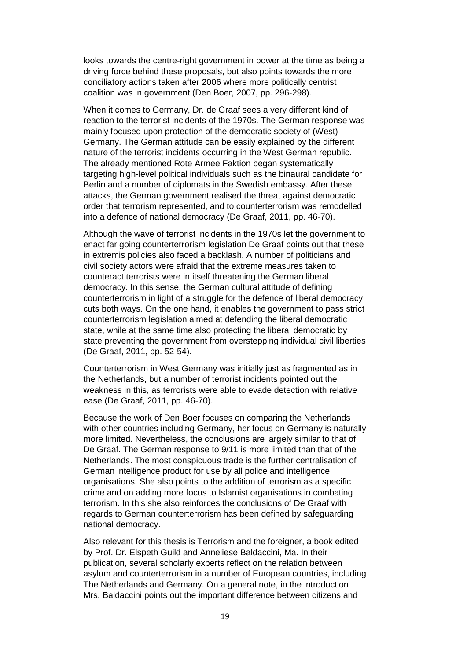looks towards the centre-right government in power at the time as being a driving force behind these proposals, but also points towards the more conciliatory actions taken after 2006 where more politically centrist coalition was in government (Den Boer, 2007, pp. 296-298).

When it comes to Germany, Dr. de Graaf sees a very different kind of reaction to the terrorist incidents of the 1970s. The German response was mainly focused upon protection of the democratic society of (West) Germany. The German attitude can be easily explained by the different nature of the terrorist incidents occurring in the West German republic. The already mentioned Rote Armee Faktion began systematically targeting high-level political individuals such as the binaural candidate for Berlin and a number of diplomats in the Swedish embassy. After these attacks, the German government realised the threat against democratic order that terrorism represented, and to counterterrorism was remodelled into a defence of national democracy (De Graaf, 2011, pp. 46-70).

Although the wave of terrorist incidents in the 1970s let the government to enact far going counterterrorism legislation De Graaf points out that these in extremis policies also faced a backlash. A number of politicians and civil society actors were afraid that the extreme measures taken to counteract terrorists were in itself threatening the German liberal democracy. In this sense, the German cultural attitude of defining counterterrorism in light of a struggle for the defence of liberal democracy cuts both ways. On the one hand, it enables the government to pass strict counterterrorism legislation aimed at defending the liberal democratic state, while at the same time also protecting the liberal democratic by state preventing the government from overstepping individual civil liberties (De Graaf, 2011, pp. 52-54).

Counterterrorism in West Germany was initially just as fragmented as in the Netherlands, but a number of terrorist incidents pointed out the weakness in this, as terrorists were able to evade detection with relative ease (De Graaf, 2011, pp. 46-70).

Because the work of Den Boer focuses on comparing the Netherlands with other countries including Germany, her focus on Germany is naturally more limited. Nevertheless, the conclusions are largely similar to that of De Graaf. The German response to 9/11 is more limited than that of the Netherlands. The most conspicuous trade is the further centralisation of German intelligence product for use by all police and intelligence organisations. She also points to the addition of terrorism as a specific crime and on adding more focus to Islamist organisations in combating terrorism. In this she also reinforces the conclusions of De Graaf with regards to German counterterrorism has been defined by safeguarding national democracy.

Also relevant for this thesis is Terrorism and the foreigner, a book edited by Prof. Dr. Elspeth Guild and Anneliese Baldaccini, Ma. In their publication, several scholarly experts reflect on the relation between asylum and counterterrorism in a number of European countries, including The Netherlands and Germany. On a general note, in the introduction Mrs. Baldaccini points out the important difference between citizens and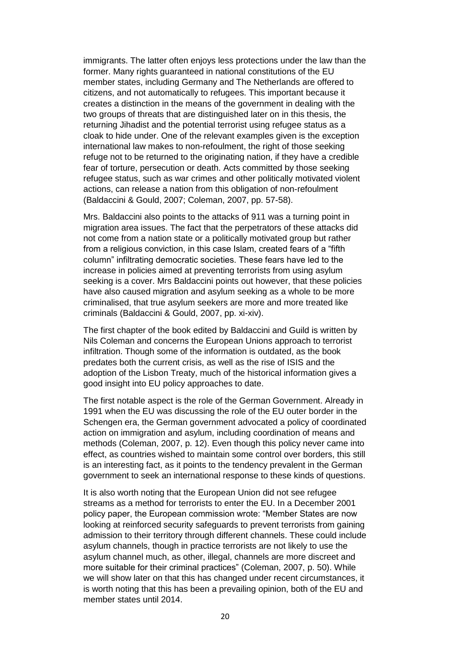immigrants. The latter often enjoys less protections under the law than the former. Many rights guaranteed in national constitutions of the EU member states, including Germany and The Netherlands are offered to citizens, and not automatically to refugees. This important because it creates a distinction in the means of the government in dealing with the two groups of threats that are distinguished later on in this thesis, the returning Jihadist and the potential terrorist using refugee status as a cloak to hide under. One of the relevant examples given is the exception international law makes to non-refoulment, the right of those seeking refuge not to be returned to the originating nation, if they have a credible fear of torture, persecution or death. Acts committed by those seeking refugee status, such as war crimes and other politically motivated violent actions, can release a nation from this obligation of non-refoulment (Baldaccini & Gould, 2007; Coleman, 2007, pp. 57-58).

Mrs. Baldaccini also points to the attacks of 911 was a turning point in migration area issues. The fact that the perpetrators of these attacks did not come from a nation state or a politically motivated group but rather from a religious conviction, in this case Islam, created fears of a "fifth column" infiltrating democratic societies. These fears have led to the increase in policies aimed at preventing terrorists from using asylum seeking is a cover. Mrs Baldaccini points out however, that these policies have also caused migration and asylum seeking as a whole to be more criminalised, that true asylum seekers are more and more treated like criminals (Baldaccini & Gould, 2007, pp. xi-xiv).

The first chapter of the book edited by Baldaccini and Guild is written by Nils Coleman and concerns the European Unions approach to terrorist infiltration. Though some of the information is outdated, as the book predates both the current crisis, as well as the rise of ISIS and the adoption of the Lisbon Treaty, much of the historical information gives a good insight into EU policy approaches to date.

The first notable aspect is the role of the German Government. Already in 1991 when the EU was discussing the role of the EU outer border in the Schengen era, the German government advocated a policy of coordinated action on immigration and asylum, including coordination of means and methods (Coleman, 2007, p. 12). Even though this policy never came into effect, as countries wished to maintain some control over borders, this still is an interesting fact, as it points to the tendency prevalent in the German government to seek an international response to these kinds of questions.

It is also worth noting that the European Union did not see refugee streams as a method for terrorists to enter the EU. In a December 2001 policy paper, the European commission wrote: "Member States are now looking at reinforced security safeguards to prevent terrorists from gaining admission to their territory through different channels. These could include asylum channels, though in practice terrorists are not likely to use the asylum channel much, as other, illegal, channels are more discreet and more suitable for their criminal practices" (Coleman, 2007, p. 50). While we will show later on that this has changed under recent circumstances, it is worth noting that this has been a prevailing opinion, both of the EU and member states until 2014.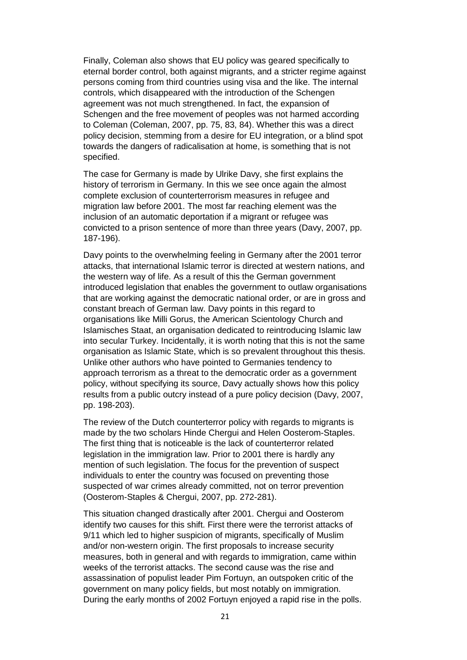Finally, Coleman also shows that EU policy was geared specifically to eternal border control, both against migrants, and a stricter regime against persons coming from third countries using visa and the like. The internal controls, which disappeared with the introduction of the Schengen agreement was not much strengthened. In fact, the expansion of Schengen and the free movement of peoples was not harmed according to Coleman (Coleman, 2007, pp. 75, 83, 84). Whether this was a direct policy decision, stemming from a desire for EU integration, or a blind spot towards the dangers of radicalisation at home, is something that is not specified.

The case for Germany is made by Ulrike Davy, she first explains the history of terrorism in Germany. In this we see once again the almost complete exclusion of counterterrorism measures in refugee and migration law before 2001. The most far reaching element was the inclusion of an automatic deportation if a migrant or refugee was convicted to a prison sentence of more than three years (Davy, 2007, pp. 187-196).

Davy points to the overwhelming feeling in Germany after the 2001 terror attacks, that international Islamic terror is directed at western nations, and the western way of life. As a result of this the German government introduced legislation that enables the government to outlaw organisations that are working against the democratic national order, or are in gross and constant breach of German law. Davy points in this regard to organisations like Milli Gorus, the American Scientology Church and Islamisches Staat, an organisation dedicated to reintroducing Islamic law into secular Turkey. Incidentally, it is worth noting that this is not the same organisation as Islamic State, which is so prevalent throughout this thesis. Unlike other authors who have pointed to Germanies tendency to approach terrorism as a threat to the democratic order as a government policy, without specifying its source, Davy actually shows how this policy results from a public outcry instead of a pure policy decision (Davy, 2007, pp. 198-203).

The review of the Dutch counterterror policy with regards to migrants is made by the two scholars Hinde Chergui and Helen Oosterom-Staples. The first thing that is noticeable is the lack of counterterror related legislation in the immigration law. Prior to 2001 there is hardly any mention of such legislation. The focus for the prevention of suspect individuals to enter the country was focused on preventing those suspected of war crimes already committed, not on terror prevention (Oosterom-Staples & Chergui, 2007, pp. 272-281).

This situation changed drastically after 2001. Chergui and Oosterom identify two causes for this shift. First there were the terrorist attacks of 9/11 which led to higher suspicion of migrants, specifically of Muslim and/or non-western origin. The first proposals to increase security measures, both in general and with regards to immigration, came within weeks of the terrorist attacks. The second cause was the rise and assassination of populist leader Pim Fortuyn, an outspoken critic of the government on many policy fields, but most notably on immigration. During the early months of 2002 Fortuyn enjoyed a rapid rise in the polls.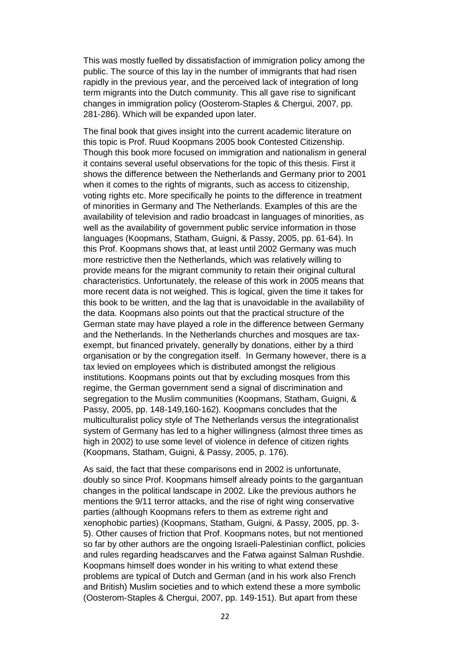This was mostly fuelled by dissatisfaction of immigration policy among the public. The source of this lay in the number of immigrants that had risen rapidly in the previous year, and the perceived lack of integration of long term migrants into the Dutch community. This all gave rise to significant changes in immigration policy (Oosterom-Staples & Chergui, 2007, pp. 281-286). Which will be expanded upon later.

The final book that gives insight into the current academic literature on this topic is Prof. Ruud Koopmans 2005 book Contested Citizenship. Though this book more focused on immigration and nationalism in general it contains several useful observations for the topic of this thesis. First it shows the difference between the Netherlands and Germany prior to 2001 when it comes to the rights of migrants, such as access to citizenship. voting rights etc. More specifically he points to the difference in treatment of minorities in Germany and The Netherlands. Examples of this are the availability of television and radio broadcast in languages of minorities, as well as the availability of government public service information in those languages (Koopmans, Statham, Guigni, & Passy, 2005, pp. 61-64). In this Prof. Koopmans shows that, at least until 2002 Germany was much more restrictive then the Netherlands, which was relatively willing to provide means for the migrant community to retain their original cultural characteristics. Unfortunately, the release of this work in 2005 means that more recent data is not weighed. This is logical, given the time it takes for this book to be written, and the lag that is unavoidable in the availability of the data. Koopmans also points out that the practical structure of the German state may have played a role in the difference between Germany and the Netherlands. In the Netherlands churches and mosques are taxexempt, but financed privately, generally by donations, either by a third organisation or by the congregation itself. In Germany however, there is a tax levied on employees which is distributed amongst the religious institutions. Koopmans points out that by excluding mosques from this regime, the German government send a signal of discrimination and segregation to the Muslim communities (Koopmans, Statham, Guigni, & Passy, 2005, pp. 148-149,160-162). Koopmans concludes that the multiculturalist policy style of The Netherlands versus the integrationalist system of Germany has led to a higher willingness (almost three times as high in 2002) to use some level of violence in defence of citizen rights (Koopmans, Statham, Guigni, & Passy, 2005, p. 176).

As said, the fact that these comparisons end in 2002 is unfortunate, doubly so since Prof. Koopmans himself already points to the gargantuan changes in the political landscape in 2002. Like the previous authors he mentions the 9/11 terror attacks, and the rise of right wing conservative parties (although Koopmans refers to them as extreme right and xenophobic parties) (Koopmans, Statham, Guigni, & Passy, 2005, pp. 3- 5). Other causes of friction that Prof. Koopmans notes, but not mentioned so far by other authors are the ongoing Israeli-Palestinian conflict, policies and rules regarding headscarves and the Fatwa against Salman Rushdie. Koopmans himself does wonder in his writing to what extend these problems are typical of Dutch and German (and in his work also French and British) Muslim societies and to which extend these a more symbolic (Oosterom-Staples & Chergui, 2007, pp. 149-151). But apart from these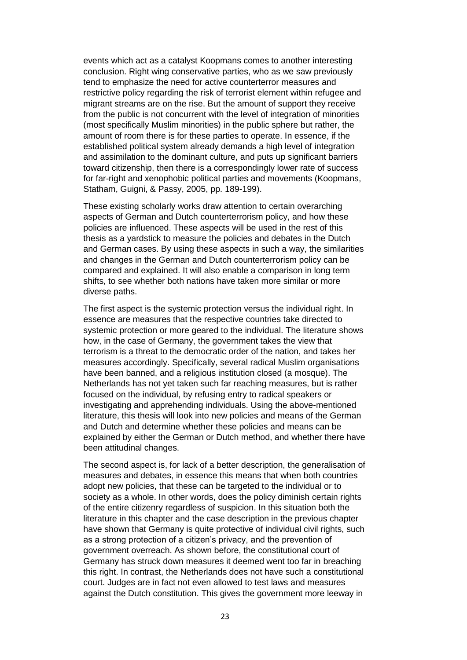events which act as a catalyst Koopmans comes to another interesting conclusion. Right wing conservative parties, who as we saw previously tend to emphasize the need for active counterterror measures and restrictive policy regarding the risk of terrorist element within refugee and migrant streams are on the rise. But the amount of support they receive from the public is not concurrent with the level of integration of minorities (most specifically Muslim minorities) in the public sphere but rather, the amount of room there is for these parties to operate. In essence, if the established political system already demands a high level of integration and assimilation to the dominant culture, and puts up significant barriers toward citizenship, then there is a correspondingly lower rate of success for far-right and xenophobic political parties and movements (Koopmans, Statham, Guigni, & Passy, 2005, pp. 189-199).

These existing scholarly works draw attention to certain overarching aspects of German and Dutch counterterrorism policy, and how these policies are influenced. These aspects will be used in the rest of this thesis as a yardstick to measure the policies and debates in the Dutch and German cases. By using these aspects in such a way, the similarities and changes in the German and Dutch counterterrorism policy can be compared and explained. It will also enable a comparison in long term shifts, to see whether both nations have taken more similar or more diverse paths.

The first aspect is the systemic protection versus the individual right. In essence are measures that the respective countries take directed to systemic protection or more geared to the individual. The literature shows how, in the case of Germany, the government takes the view that terrorism is a threat to the democratic order of the nation, and takes her measures accordingly. Specifically, several radical Muslim organisations have been banned, and a religious institution closed (a mosque). The Netherlands has not yet taken such far reaching measures, but is rather focused on the individual, by refusing entry to radical speakers or investigating and apprehending individuals. Using the above-mentioned literature, this thesis will look into new policies and means of the German and Dutch and determine whether these policies and means can be explained by either the German or Dutch method, and whether there have been attitudinal changes.

The second aspect is, for lack of a better description, the generalisation of measures and debates, in essence this means that when both countries adopt new policies, that these can be targeted to the individual or to society as a whole. In other words, does the policy diminish certain rights of the entire citizenry regardless of suspicion. In this situation both the literature in this chapter and the case description in the previous chapter have shown that Germany is quite protective of individual civil rights, such as a strong protection of a citizen's privacy, and the prevention of government overreach. As shown before, the constitutional court of Germany has struck down measures it deemed went too far in breaching this right. In contrast, the Netherlands does not have such a constitutional court. Judges are in fact not even allowed to test laws and measures against the Dutch constitution. This gives the government more leeway in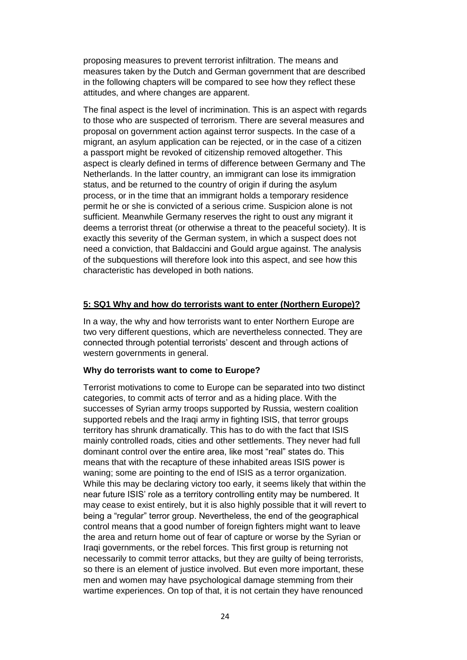proposing measures to prevent terrorist infiltration. The means and measures taken by the Dutch and German government that are described in the following chapters will be compared to see how they reflect these attitudes, and where changes are apparent.

The final aspect is the level of incrimination. This is an aspect with regards to those who are suspected of terrorism. There are several measures and proposal on government action against terror suspects. In the case of a migrant, an asylum application can be rejected, or in the case of a citizen a passport might be revoked of citizenship removed altogether. This aspect is clearly defined in terms of difference between Germany and The Netherlands. In the latter country, an immigrant can lose its immigration status, and be returned to the country of origin if during the asylum process, or in the time that an immigrant holds a temporary residence permit he or she is convicted of a serious crime. Suspicion alone is not sufficient. Meanwhile Germany reserves the right to oust any migrant it deems a terrorist threat (or otherwise a threat to the peaceful society). It is exactly this severity of the German system, in which a suspect does not need a conviction, that Baldaccini and Gould argue against. The analysis of the subquestions will therefore look into this aspect, and see how this characteristic has developed in both nations.

# **5: SQ1 Why and how do terrorists want to enter (Northern Europe)?**

In a way, the why and how terrorists want to enter Northern Europe are two very different questions, which are nevertheless connected. They are connected through potential terrorists' descent and through actions of western governments in general.

# **Why do terrorists want to come to Europe?**

Terrorist motivations to come to Europe can be separated into two distinct categories, to commit acts of terror and as a hiding place. With the successes of Syrian army troops supported by Russia, western coalition supported rebels and the Iraqi army in fighting ISIS, that terror groups territory has shrunk dramatically. This has to do with the fact that ISIS mainly controlled roads, cities and other settlements. They never had full dominant control over the entire area, like most "real" states do. This means that with the recapture of these inhabited areas ISIS power is waning; some are pointing to the end of ISIS as a terror organization. While this may be declaring victory too early, it seems likely that within the near future ISIS' role as a territory controlling entity may be numbered. It may cease to exist entirely, but it is also highly possible that it will revert to being a "regular" terror group. Nevertheless, the end of the geographical control means that a good number of foreign fighters might want to leave the area and return home out of fear of capture or worse by the Syrian or Iraqi governments, or the rebel forces. This first group is returning not necessarily to commit terror attacks, but they are guilty of being terrorists, so there is an element of justice involved. But even more important, these men and women may have psychological damage stemming from their wartime experiences. On top of that, it is not certain they have renounced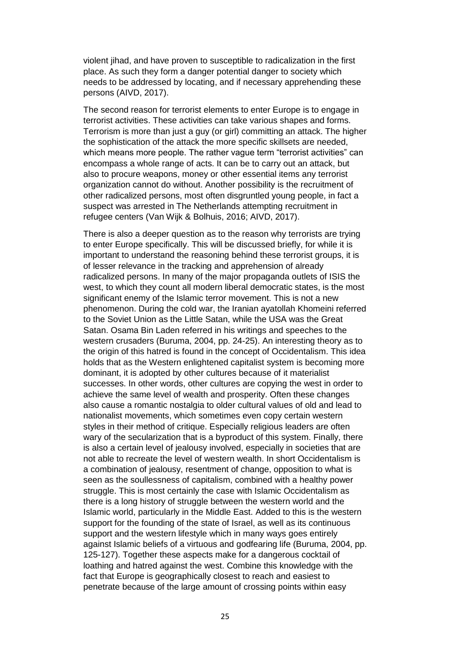violent jihad, and have proven to susceptible to radicalization in the first place. As such they form a danger potential danger to society which needs to be addressed by locating, and if necessary apprehending these persons (AIVD, 2017).

The second reason for terrorist elements to enter Europe is to engage in terrorist activities. These activities can take various shapes and forms. Terrorism is more than just a guy (or girl) committing an attack. The higher the sophistication of the attack the more specific skillsets are needed, which means more people. The rather vague term "terrorist activities" can encompass a whole range of acts. It can be to carry out an attack, but also to procure weapons, money or other essential items any terrorist organization cannot do without. Another possibility is the recruitment of other radicalized persons, most often disgruntled young people, in fact a suspect was arrested in The Netherlands attempting recruitment in refugee centers (Van Wijk & Bolhuis, 2016; AIVD, 2017).

There is also a deeper question as to the reason why terrorists are trying to enter Europe specifically. This will be discussed briefly, for while it is important to understand the reasoning behind these terrorist groups, it is of lesser relevance in the tracking and apprehension of already radicalized persons. In many of the major propaganda outlets of ISIS the west, to which they count all modern liberal democratic states, is the most significant enemy of the Islamic terror movement. This is not a new phenomenon. During the cold war, the Iranian ayatollah Khomeini referred to the Soviet Union as the Little Satan, while the USA was the Great Satan. Osama Bin Laden referred in his writings and speeches to the western crusaders (Buruma, 2004, pp. 24-25). An interesting theory as to the origin of this hatred is found in the concept of Occidentalism. This idea holds that as the Western enlightened capitalist system is becoming more dominant, it is adopted by other cultures because of it materialist successes. In other words, other cultures are copying the west in order to achieve the same level of wealth and prosperity. Often these changes also cause a romantic nostalgia to older cultural values of old and lead to nationalist movements, which sometimes even copy certain western styles in their method of critique. Especially religious leaders are often wary of the secularization that is a byproduct of this system. Finally, there is also a certain level of jealousy involved, especially in societies that are not able to recreate the level of western wealth. In short Occidentalism is a combination of jealousy, resentment of change, opposition to what is seen as the soullessness of capitalism, combined with a healthy power struggle. This is most certainly the case with Islamic Occidentalism as there is a long history of struggle between the western world and the Islamic world, particularly in the Middle East. Added to this is the western support for the founding of the state of Israel, as well as its continuous support and the western lifestyle which in many ways goes entirely against Islamic beliefs of a virtuous and godfearing life (Buruma, 2004, pp. 125-127). Together these aspects make for a dangerous cocktail of loathing and hatred against the west. Combine this knowledge with the fact that Europe is geographically closest to reach and easiest to penetrate because of the large amount of crossing points within easy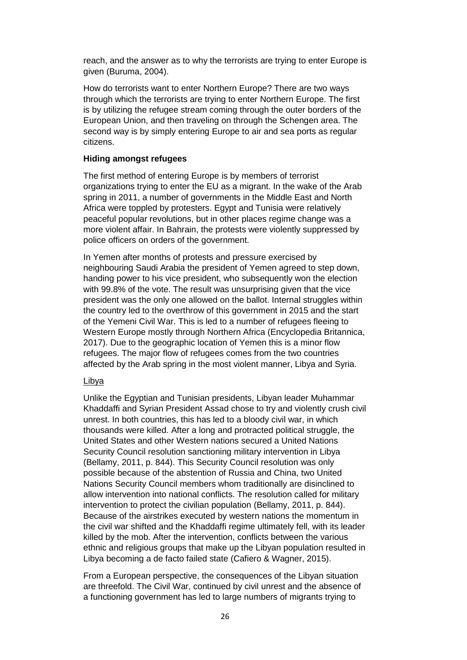reach, and the answer as to why the terrorists are trying to enter Europe is given (Buruma, 2004).

How do terrorists want to enter Northern Europe? There are two ways through which the terrorists are trying to enter Northern Europe. The first is by utilizing the refugee stream coming through the outer borders of the European Union, and then traveling on through the Schengen area. The second way is by simply entering Europe to air and sea ports as regular citizens.

# **Hiding amongst refugees**

The first method of entering Europe is by members of terrorist organizations trying to enter the EU as a migrant. In the wake of the Arab spring in 2011, a number of governments in the Middle East and North Africa were toppled by protesters. Egypt and Tunisia were relatively peaceful popular revolutions, but in other places regime change was a more violent affair. In Bahrain, the protests were violently suppressed by police officers on orders of the government.

In Yemen after months of protests and pressure exercised by neighbouring Saudi Arabia the president of Yemen agreed to step down, handing power to his vice president, who subsequently won the election with 99.8% of the vote. The result was unsurprising given that the vice president was the only one allowed on the ballot. Internal struggles within the country led to the overthrow of this government in 2015 and the start of the Yemeni Civil War. This is led to a number of refugees fleeing to Western Europe mostly through Northern Africa (Encyclopedia Britannica, 2017). Due to the geographic location of Yemen this is a minor flow refugees. The major flow of refugees comes from the two countries affected by the Arab spring in the most violent manner, Libya and Syria.

### Libya

Unlike the Egyptian and Tunisian presidents, Libyan leader Muhammar Khaddaffi and Syrian President Assad chose to try and violently crush civil unrest. In both countries, this has led to a bloody civil war, in which thousands were killed. After a long and protracted political struggle, the United States and other Western nations secured a United Nations Security Council resolution sanctioning military intervention in Libya (Bellamy, 2011, p. 844). This Security Council resolution was only possible because of the abstention of Russia and China, two United Nations Security Council members whom traditionally are disinclined to allow intervention into national conflicts. The resolution called for military intervention to protect the civilian population (Bellamy, 2011, p. 844). Because of the airstrikes executed by western nations the momentum in the civil war shifted and the Khaddaffi regime ultimately fell, with its leader killed by the mob. After the intervention, conflicts between the various ethnic and religious groups that make up the Libyan population resulted in Libya becoming a de facto failed state (Cafiero & Wagner, 2015).

From a European perspective, the consequences of the Libyan situation are threefold. The Civil War, continued by civil unrest and the absence of a functioning government has led to large numbers of migrants trying to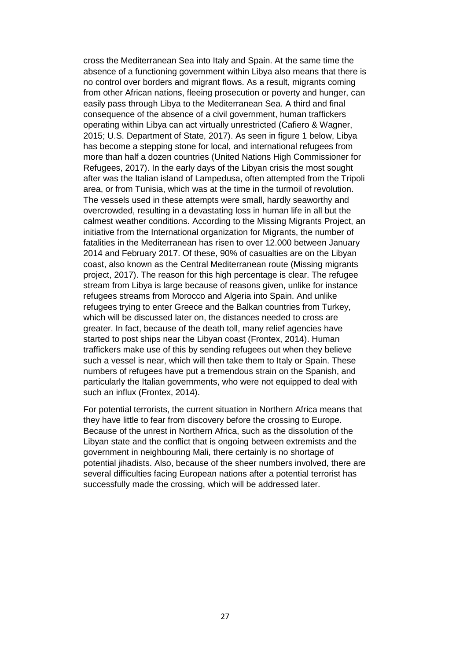cross the Mediterranean Sea into Italy and Spain. At the same time the absence of a functioning government within Libya also means that there is no control over borders and migrant flows. As a result, migrants coming from other African nations, fleeing prosecution or poverty and hunger, can easily pass through Libya to the Mediterranean Sea. A third and final consequence of the absence of a civil government, human traffickers operating within Libya can act virtually unrestricted (Cafiero & Wagner, 2015; U.S. Department of State, 2017). As seen in figure 1 below, Libya has become a stepping stone for local, and international refugees from more than half a dozen countries (United Nations High Commissioner for Refugees, 2017). In the early days of the Libyan crisis the most sought after was the Italian island of Lampedusa, often attempted from the Tripoli area, or from Tunisia, which was at the time in the turmoil of revolution. The vessels used in these attempts were small, hardly seaworthy and overcrowded, resulting in a devastating loss in human life in all but the calmest weather conditions. According to the Missing Migrants Project, an initiative from the International organization for Migrants, the number of fatalities in the Mediterranean has risen to over 12.000 between January 2014 and February 2017. Of these, 90% of casualties are on the Libyan coast, also known as the Central Mediterranean route (Missing migrants project, 2017). The reason for this high percentage is clear. The refugee stream from Libya is large because of reasons given, unlike for instance refugees streams from Morocco and Algeria into Spain. And unlike refugees trying to enter Greece and the Balkan countries from Turkey, which will be discussed later on, the distances needed to cross are greater. In fact, because of the death toll, many relief agencies have started to post ships near the Libyan coast (Frontex, 2014). Human traffickers make use of this by sending refugees out when they believe such a vessel is near, which will then take them to Italy or Spain. These numbers of refugees have put a tremendous strain on the Spanish, and particularly the Italian governments, who were not equipped to deal with such an influx (Frontex, 2014).

For potential terrorists, the current situation in Northern Africa means that they have little to fear from discovery before the crossing to Europe. Because of the unrest in Northern Africa, such as the dissolution of the Libyan state and the conflict that is ongoing between extremists and the government in neighbouring Mali, there certainly is no shortage of potential jihadists. Also, because of the sheer numbers involved, there are several difficulties facing European nations after a potential terrorist has successfully made the crossing, which will be addressed later.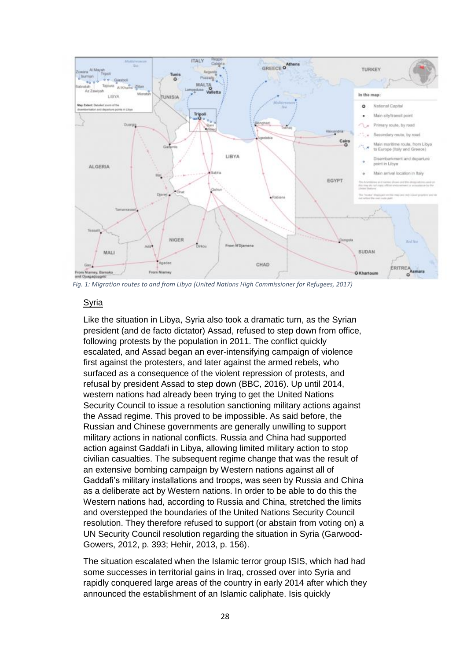

*Fig. 1: Migration routes to and from Libya (United Nations High Commissioner for Refugees, 2017)*

# **Syria**

Like the situation in Libya, Syria also took a dramatic turn, as the Syrian president (and de facto dictator) Assad, refused to step down from office, following protests by the population in 2011. The conflict quickly escalated, and Assad began an ever-intensifying campaign of violence first against the protesters, and later against the armed rebels, who surfaced as a consequence of the violent repression of protests, and refusal by president Assad to step down (BBC, 2016). Up until 2014, western nations had already been trying to get the United Nations Security Council to issue a resolution sanctioning military actions against the Assad regime. This proved to be impossible. As said before, the Russian and Chinese governments are generally unwilling to support military actions in national conflicts. Russia and China had supported action against Gaddafi in Libya, allowing limited military action to stop civilian casualties. The subsequent regime change that was the result of an extensive bombing campaign by Western nations against all of Gaddafi's military installations and troops, was seen by Russia and China as a deliberate act by Western nations. In order to be able to do this the Western nations had, according to Russia and China, stretched the limits and overstepped the boundaries of the United Nations Security Council resolution. They therefore refused to support (or abstain from voting on) a UN Security Council resolution regarding the situation in Syria (Garwood-Gowers, 2012, p. 393; Hehir, 2013, p. 156).

The situation escalated when the Islamic terror group ISIS, which had had some successes in territorial gains in Iraq, crossed over into Syria and rapidly conquered large areas of the country in early 2014 after which they announced the establishment of an Islamic caliphate. Isis quickly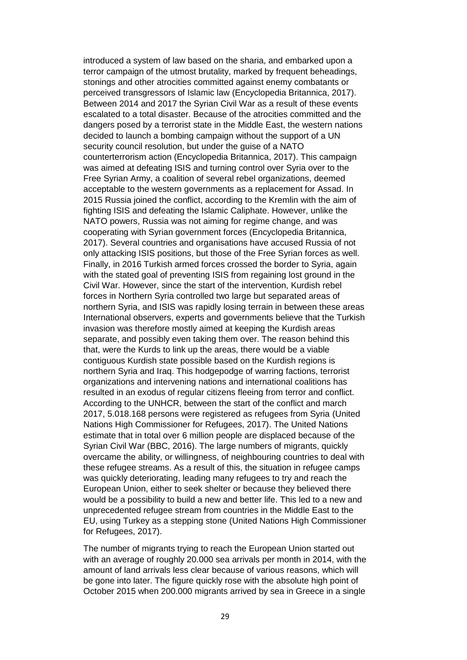introduced a system of law based on the sharia, and embarked upon a terror campaign of the utmost brutality, marked by frequent beheadings, stonings and other atrocities committed against enemy combatants or perceived transgressors of Islamic law (Encyclopedia Britannica, 2017). Between 2014 and 2017 the Syrian Civil War as a result of these events escalated to a total disaster. Because of the atrocities committed and the dangers posed by a terrorist state in the Middle East, the western nations decided to launch a bombing campaign without the support of a UN security council resolution, but under the guise of a NATO counterterrorism action (Encyclopedia Britannica, 2017). This campaign was aimed at defeating ISIS and turning control over Syria over to the Free Syrian Army, a coalition of several rebel organizations, deemed acceptable to the western governments as a replacement for Assad. In 2015 Russia joined the conflict, according to the Kremlin with the aim of fighting ISIS and defeating the Islamic Caliphate. However, unlike the NATO powers, Russia was not aiming for regime change, and was cooperating with Syrian government forces (Encyclopedia Britannica, 2017). Several countries and organisations have accused Russia of not only attacking ISIS positions, but those of the Free Syrian forces as well. Finally, in 2016 Turkish armed forces crossed the border to Syria, again with the stated goal of preventing ISIS from regaining lost ground in the Civil War. However, since the start of the intervention, Kurdish rebel forces in Northern Syria controlled two large but separated areas of northern Syria, and ISIS was rapidly losing terrain in between these areas International observers, experts and governments believe that the Turkish invasion was therefore mostly aimed at keeping the Kurdish areas separate, and possibly even taking them over. The reason behind this that, were the Kurds to link up the areas, there would be a viable contiguous Kurdish state possible based on the Kurdish regions is northern Syria and Iraq. This hodgepodge of warring factions, terrorist organizations and intervening nations and international coalitions has resulted in an exodus of regular citizens fleeing from terror and conflict. According to the UNHCR, between the start of the conflict and march 2017, 5.018.168 persons were registered as refugees from Syria (United Nations High Commissioner for Refugees, 2017). The United Nations estimate that in total over 6 million people are displaced because of the Syrian Civil War (BBC, 2016). The large numbers of migrants, quickly overcame the ability, or willingness, of neighbouring countries to deal with these refugee streams. As a result of this, the situation in refugee camps was quickly deteriorating, leading many refugees to try and reach the European Union, either to seek shelter or because they believed there would be a possibility to build a new and better life. This led to a new and unprecedented refugee stream from countries in the Middle East to the EU, using Turkey as a stepping stone (United Nations High Commissioner for Refugees, 2017).

The number of migrants trying to reach the European Union started out with an average of roughly 20.000 sea arrivals per month in 2014, with the amount of land arrivals less clear because of various reasons, which will be gone into later. The figure quickly rose with the absolute high point of October 2015 when 200.000 migrants arrived by sea in Greece in a single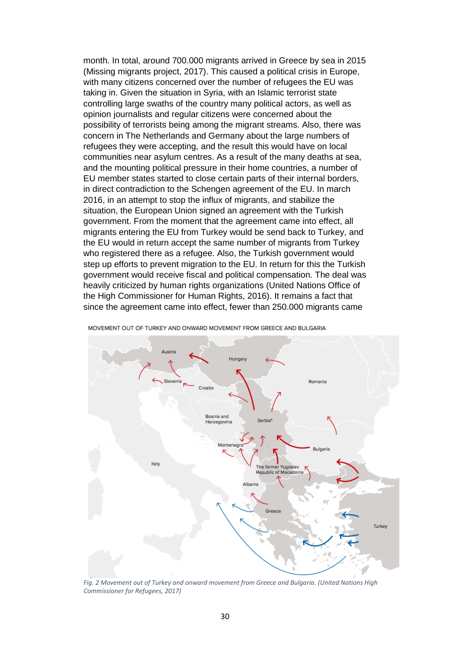month. In total, around 700.000 migrants arrived in Greece by sea in 2015 (Missing migrants project, 2017). This caused a political crisis in Europe, with many citizens concerned over the number of refugees the EU was taking in. Given the situation in Syria, with an Islamic terrorist state controlling large swaths of the country many political actors, as well as opinion journalists and regular citizens were concerned about the possibility of terrorists being among the migrant streams. Also, there was concern in The Netherlands and Germany about the large numbers of refugees they were accepting, and the result this would have on local communities near asylum centres. As a result of the many deaths at sea, and the mounting political pressure in their home countries, a number of EU member states started to close certain parts of their internal borders, in direct contradiction to the Schengen agreement of the EU. In march 2016, in an attempt to stop the influx of migrants, and stabilize the situation, the European Union signed an agreement with the Turkish government. From the moment that the agreement came into effect, all migrants entering the EU from Turkey would be send back to Turkey, and the EU would in return accept the same number of migrants from Turkey who registered there as a refugee. Also, the Turkish government would step up efforts to prevent migration to the EU. In return for this the Turkish government would receive fiscal and political compensation. The deal was heavily criticized by human rights organizations (United Nations Office of the High Commissioner for Human Rights, 2016). It remains a fact that since the agreement came into effect, fewer than 250.000 migrants came



MOVEMENT OUT OF TURKEY AND ONWARD MOVEMENT FROM GREECE AND BULGARIA

*Fig. 2 Movement out of Turkey and onward movement from Greece and Bulgaria. (United Nations High Commissioner for Refugees, 2017)*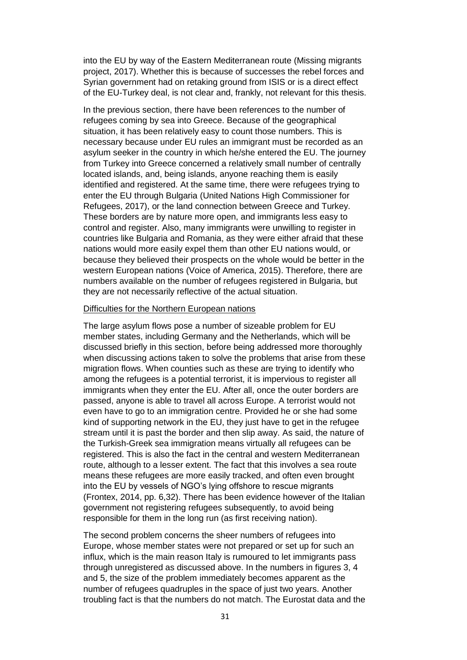into the EU by way of the Eastern Mediterranean route (Missing migrants project, 2017). Whether this is because of successes the rebel forces and Syrian government had on retaking ground from ISIS or is a direct effect of the EU-Turkey deal, is not clear and, frankly, not relevant for this thesis.

In the previous section, there have been references to the number of refugees coming by sea into Greece. Because of the geographical situation, it has been relatively easy to count those numbers. This is necessary because under EU rules an immigrant must be recorded as an asylum seeker in the country in which he/she entered the EU. The journey from Turkey into Greece concerned a relatively small number of centrally located islands, and, being islands, anyone reaching them is easily identified and registered. At the same time, there were refugees trying to enter the EU through Bulgaria (United Nations High Commissioner for Refugees, 2017), or the land connection between Greece and Turkey. These borders are by nature more open, and immigrants less easy to control and register. Also, many immigrants were unwilling to register in countries like Bulgaria and Romania, as they were either afraid that these nations would more easily expel them than other EU nations would, or because they believed their prospects on the whole would be better in the western European nations (Voice of America, 2015). Therefore, there are numbers available on the number of refugees registered in Bulgaria, but they are not necessarily reflective of the actual situation.

#### Difficulties for the Northern European nations

The large asylum flows pose a number of sizeable problem for EU member states, including Germany and the Netherlands, which will be discussed briefly in this section, before being addressed more thoroughly when discussing actions taken to solve the problems that arise from these migration flows. When counties such as these are trying to identify who among the refugees is a potential terrorist, it is impervious to register all immigrants when they enter the EU. After all, once the outer borders are passed, anyone is able to travel all across Europe. A terrorist would not even have to go to an immigration centre. Provided he or she had some kind of supporting network in the EU, they just have to get in the refugee stream until it is past the border and then slip away. As said, the nature of the Turkish-Greek sea immigration means virtually all refugees can be registered. This is also the fact in the central and western Mediterranean route, although to a lesser extent. The fact that this involves a sea route means these refugees are more easily tracked, and often even brought into the EU by vessels of NGO's lying offshore to rescue migrants (Frontex, 2014, pp. 6,32). There has been evidence however of the Italian government not registering refugees subsequently, to avoid being responsible for them in the long run (as first receiving nation).

The second problem concerns the sheer numbers of refugees into Europe, whose member states were not prepared or set up for such an influx, which is the main reason Italy is rumoured to let immigrants pass through unregistered as discussed above. In the numbers in figures 3, 4 and 5, the size of the problem immediately becomes apparent as the number of refugees quadruples in the space of just two years. Another troubling fact is that the numbers do not match. The Eurostat data and the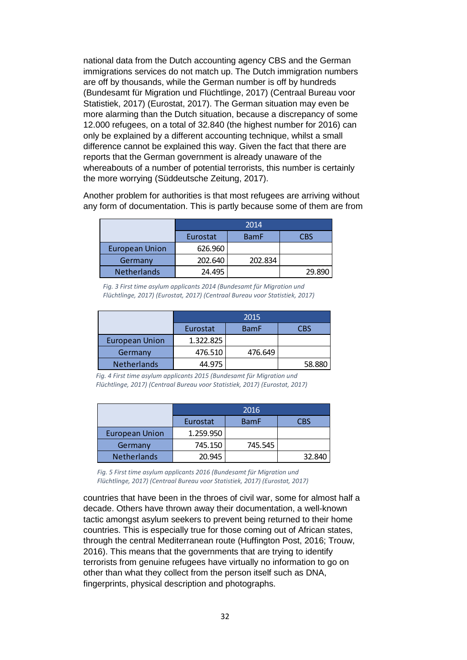national data from the Dutch accounting agency CBS and the German immigrations services do not match up. The Dutch immigration numbers are off by thousands, while the German number is off by hundreds (Bundesamt für Migration und Flüchtlinge, 2017) (Centraal Bureau voor Statistiek, 2017) (Eurostat, 2017). The German situation may even be more alarming than the Dutch situation, because a discrepancy of some 12.000 refugees, on a total of 32.840 (the highest number for 2016) can only be explained by a different accounting technique, whilst a small difference cannot be explained this way. Given the fact that there are reports that the German government is already unaware of the whereabouts of a number of potential terrorists, this number is certainly the more worrying (Süddeutsche Zeitung, 2017).

Another problem for authorities is that most refugees are arriving without any form of documentation. This is partly because some of them are from

|                       | 2014     |             |        |
|-----------------------|----------|-------------|--------|
|                       | Eurostat | <b>BamF</b> | CBS    |
| <b>European Union</b> | 626.960  |             |        |
| Germany               | 202.640  | 202.834     |        |
| <b>Netherlands</b>    | 24.495   |             | 29.890 |

*Fig. 3 First time asylum applicants 2014 (Bundesamt für Migration und Flüchtlinge, 2017) (Eurostat, 2017) (Centraal Bureau voor Statistiek, 2017)*

|                       | 2015                           |         |        |
|-----------------------|--------------------------------|---------|--------|
|                       | <b>BamF</b><br>Eurostat<br>CBS |         |        |
| <b>European Union</b> | 1.322.825                      |         |        |
| Germany               | 476.510                        | 476.649 |        |
| <b>Netherlands</b>    | 44.975                         |         | 58.880 |

*Fig. 4 First time asylum applicants 2015 (Bundesamt für Migration und Flüchtlinge, 2017) (Centraal Bureau voor Statistiek, 2017) (Eurostat, 2017)*

|                       | 2016      |             |            |
|-----------------------|-----------|-------------|------------|
|                       | Eurostat  | <b>BamF</b> | <b>CBS</b> |
| <b>European Union</b> | 1.259.950 |             |            |
| Germany               | 745.150   | 745.545     |            |
| <b>Netherlands</b>    | 20.945    |             | 32.840     |

*Fig. 5 First time asylum applicants 2016 (Bundesamt für Migration und Flüchtlinge, 2017) (Centraal Bureau voor Statistiek, 2017) (Eurostat, 2017)*

countries that have been in the throes of civil war, some for almost half a decade. Others have thrown away their documentation, a well-known tactic amongst asylum seekers to prevent being returned to their home countries. This is especially true for those coming out of African states, through the central Mediterranean route (Huffington Post, 2016; Trouw, 2016). This means that the governments that are trying to identify terrorists from genuine refugees have virtually no information to go on other than what they collect from the person itself such as DNA, fingerprints, physical description and photographs.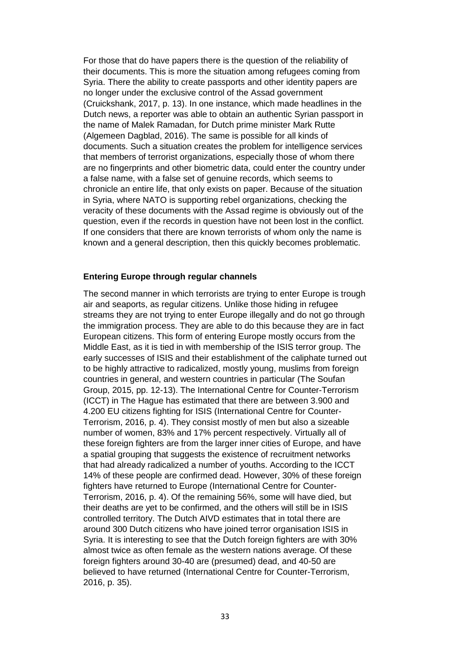For those that do have papers there is the question of the reliability of their documents. This is more the situation among refugees coming from Syria. There the ability to create passports and other identity papers are no longer under the exclusive control of the Assad government (Cruickshank, 2017, p. 13). In one instance, which made headlines in the Dutch news, a reporter was able to obtain an authentic Syrian passport in the name of Malek Ramadan, for Dutch prime minister Mark Rutte (Algemeen Dagblad, 2016). The same is possible for all kinds of documents. Such a situation creates the problem for intelligence services that members of terrorist organizations, especially those of whom there are no fingerprints and other biometric data, could enter the country under a false name, with a false set of genuine records, which seems to chronicle an entire life, that only exists on paper. Because of the situation in Syria, where NATO is supporting rebel organizations, checking the veracity of these documents with the Assad regime is obviously out of the question, even if the records in question have not been lost in the conflict. If one considers that there are known terrorists of whom only the name is known and a general description, then this quickly becomes problematic.

### **Entering Europe through regular channels**

The second manner in which terrorists are trying to enter Europe is trough air and seaports, as regular citizens. Unlike those hiding in refugee streams they are not trying to enter Europe illegally and do not go through the immigration process. They are able to do this because they are in fact European citizens. This form of entering Europe mostly occurs from the Middle East, as it is tied in with membership of the ISIS terror group. The early successes of ISIS and their establishment of the caliphate turned out to be highly attractive to radicalized, mostly young, muslims from foreign countries in general, and western countries in particular (The Soufan Group, 2015, pp. 12-13). The International Centre for Counter-Terrorism (ICCT) in The Hague has estimated that there are between 3.900 and 4.200 EU citizens fighting for ISIS (International Centre for Counter-Terrorism, 2016, p. 4). They consist mostly of men but also a sizeable number of women, 83% and 17% percent respectively. Virtually all of these foreign fighters are from the larger inner cities of Europe, and have a spatial grouping that suggests the existence of recruitment networks that had already radicalized a number of youths. According to the ICCT 14% of these people are confirmed dead. However, 30% of these foreign fighters have returned to Europe (International Centre for Counter-Terrorism, 2016, p. 4). Of the remaining 56%, some will have died, but their deaths are yet to be confirmed, and the others will still be in ISIS controlled territory. The Dutch AIVD estimates that in total there are around 300 Dutch citizens who have joined terror organisation ISIS in Syria. It is interesting to see that the Dutch foreign fighters are with 30% almost twice as often female as the western nations average. Of these foreign fighters around 30-40 are (presumed) dead, and 40-50 are believed to have returned (International Centre for Counter-Terrorism, 2016, p. 35).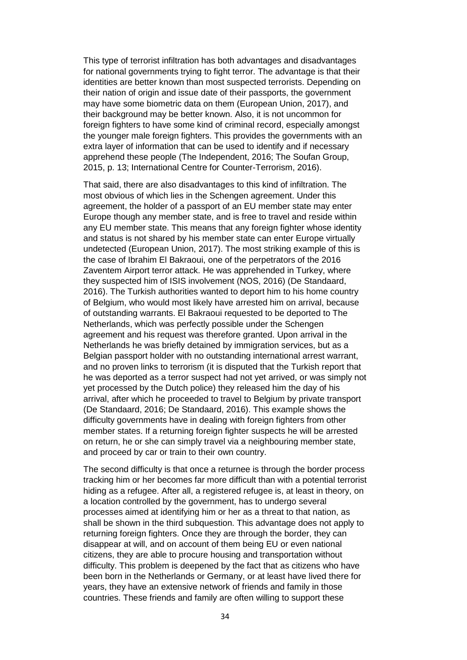This type of terrorist infiltration has both advantages and disadvantages for national governments trying to fight terror. The advantage is that their identities are better known than most suspected terrorists. Depending on their nation of origin and issue date of their passports, the government may have some biometric data on them (European Union, 2017), and their background may be better known. Also, it is not uncommon for foreign fighters to have some kind of criminal record, especially amongst the younger male foreign fighters. This provides the governments with an extra layer of information that can be used to identify and if necessary apprehend these people (The Independent, 2016; The Soufan Group, 2015, p. 13; International Centre for Counter-Terrorism, 2016).

That said, there are also disadvantages to this kind of infiltration. The most obvious of which lies in the Schengen agreement. Under this agreement, the holder of a passport of an EU member state may enter Europe though any member state, and is free to travel and reside within any EU member state. This means that any foreign fighter whose identity and status is not shared by his member state can enter Europe virtually undetected (European Union, 2017). The most striking example of this is the case of Ibrahim El Bakraoui, one of the perpetrators of the 2016 Zaventem Airport terror attack. He was apprehended in Turkey, where they suspected him of ISIS involvement (NOS, 2016) (De Standaard, 2016). The Turkish authorities wanted to deport him to his home country of Belgium, who would most likely have arrested him on arrival, because of outstanding warrants. El Bakraoui requested to be deported to The Netherlands, which was perfectly possible under the Schengen agreement and his request was therefore granted. Upon arrival in the Netherlands he was briefly detained by immigration services, but as a Belgian passport holder with no outstanding international arrest warrant, and no proven links to terrorism (it is disputed that the Turkish report that he was deported as a terror suspect had not yet arrived, or was simply not yet processed by the Dutch police) they released him the day of his arrival, after which he proceeded to travel to Belgium by private transport (De Standaard, 2016; De Standaard, 2016). This example shows the difficulty governments have in dealing with foreign fighters from other member states. If a returning foreign fighter suspects he will be arrested on return, he or she can simply travel via a neighbouring member state, and proceed by car or train to their own country.

The second difficulty is that once a returnee is through the border process tracking him or her becomes far more difficult than with a potential terrorist hiding as a refugee. After all, a registered refugee is, at least in theory, on a location controlled by the government, has to undergo several processes aimed at identifying him or her as a threat to that nation, as shall be shown in the third subquestion. This advantage does not apply to returning foreign fighters. Once they are through the border, they can disappear at will, and on account of them being EU or even national citizens, they are able to procure housing and transportation without difficulty. This problem is deepened by the fact that as citizens who have been born in the Netherlands or Germany, or at least have lived there for years, they have an extensive network of friends and family in those countries. These friends and family are often willing to support these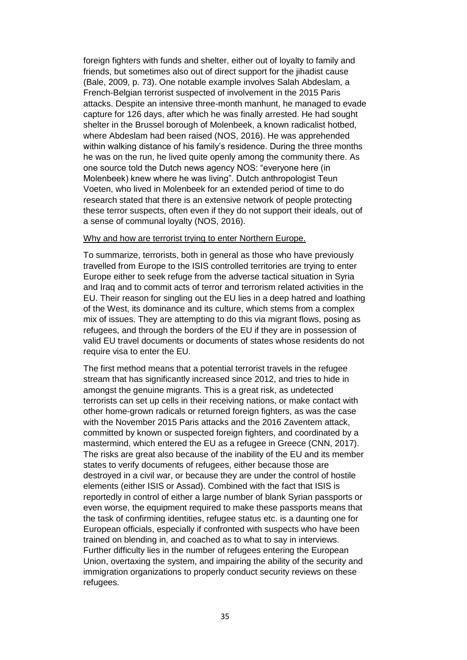foreign fighters with funds and shelter, either out of loyalty to family and friends, but sometimes also out of direct support for the jihadist cause (Bale, 2009, p. 73). One notable example involves Salah Abdeslam, a French-Belgian terrorist suspected of involvement in the 2015 Paris attacks. Despite an intensive three-month manhunt, he managed to evade capture for 126 days, after which he was finally arrested. He had sought shelter in the Brussel borough of Molenbeek, a known radicalist hotbed, where Abdeslam had been raised (NOS, 2016). He was apprehended within walking distance of his family's residence. During the three months he was on the run, he lived quite openly among the community there. As one source told the Dutch news agency NOS: "everyone here (in Molenbeek) knew where he was living". Dutch anthropologist Teun Voeten, who lived in Molenbeek for an extended period of time to do research stated that there is an extensive network of people protecting these terror suspects, often even if they do not support their ideals, out of a sense of communal loyalty (NOS, 2016).

#### Why and how are terrorist trying to enter Northern Europe.

To summarize, terrorists, both in general as those who have previously travelled from Europe to the ISIS controlled territories are trying to enter Europe either to seek refuge from the adverse tactical situation in Syria and Iraq and to commit acts of terror and terrorism related activities in the EU. Their reason for singling out the EU lies in a deep hatred and loathing of the West, its dominance and its culture, which stems from a complex mix of issues. They are attempting to do this via migrant flows, posing as refugees, and through the borders of the EU if they are in possession of valid EU travel documents or documents of states whose residents do not require visa to enter the EU.

The first method means that a potential terrorist travels in the refugee stream that has significantly increased since 2012, and tries to hide in amongst the genuine migrants. This is a great risk, as undetected terrorists can set up cells in their receiving nations, or make contact with other home-grown radicals or returned foreign fighters, as was the case with the November 2015 Paris attacks and the 2016 Zaventem attack, committed by known or suspected foreign fighters, and coordinated by a mastermind, which entered the EU as a refugee in Greece (CNN, 2017). The risks are great also because of the inability of the EU and its member states to verify documents of refugees, either because those are destroyed in a civil war, or because they are under the control of hostile elements (either ISIS or Assad). Combined with the fact that ISIS is reportedly in control of either a large number of blank Syrian passports or even worse, the equipment required to make these passports means that the task of confirming identities, refugee status etc. is a daunting one for European officials, especially if confronted with suspects who have been trained on blending in, and coached as to what to say in interviews. Further difficulty lies in the number of refugees entering the European Union, overtaxing the system, and impairing the ability of the security and immigration organizations to properly conduct security reviews on these refugees.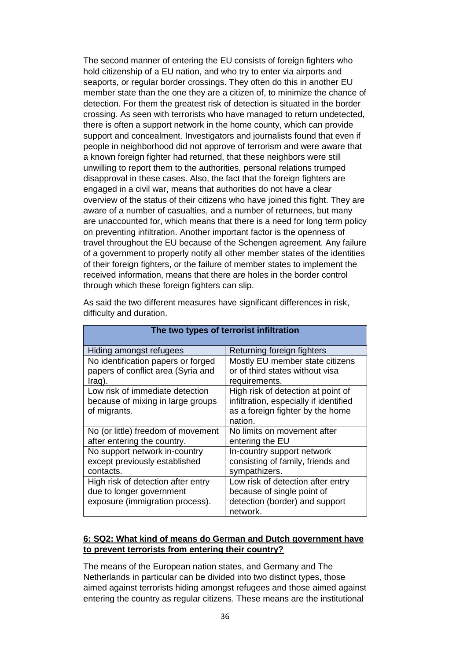The second manner of entering the EU consists of foreign fighters who hold citizenship of a EU nation, and who try to enter via airports and seaports, or regular border crossings. They often do this in another EU member state than the one they are a citizen of, to minimize the chance of detection. For them the greatest risk of detection is situated in the border crossing. As seen with terrorists who have managed to return undetected, there is often a support network in the home county, which can provide support and concealment. Investigators and journalists found that even if people in neighborhood did not approve of terrorism and were aware that a known foreign fighter had returned, that these neighbors were still unwilling to report them to the authorities, personal relations trumped disapproval in these cases. Also, the fact that the foreign fighters are engaged in a civil war, means that authorities do not have a clear overview of the status of their citizens who have joined this fight. They are aware of a number of casualties, and a number of returnees, but many are unaccounted for, which means that there is a need for long term policy on preventing infiltration. Another important factor is the openness of travel throughout the EU because of the Schengen agreement. Any failure of a government to properly notify all other member states of the identities of their foreign fighters, or the failure of member states to implement the received information, means that there are holes in the border control through which these foreign fighters can slip.

| difficulty and duration.                                                 |
|--------------------------------------------------------------------------|
|                                                                          |
| As said the two different measures have significant differences in risk, |

| Hiding amongst refugees                                                  | Returning foreign fighters                                         |
|--------------------------------------------------------------------------|--------------------------------------------------------------------|
| No identification papers or forged<br>papers of conflict area (Syria and | Mostly EU member state citizens<br>or of third states without visa |
| Iraq).                                                                   | requirements.                                                      |
| Low risk of immediate detection                                          | High risk of detection at point of                                 |
| because of mixing in large groups                                        | infiltration, especially if identified                             |
| of migrants.                                                             | as a foreign fighter by the home                                   |
|                                                                          | nation.                                                            |
| No (or little) freedom of movement                                       | No limits on movement after                                        |
| after entering the country.                                              | entering the EU                                                    |
| No support network in-country                                            | In-country support network                                         |
| except previously established                                            | consisting of family, friends and                                  |
| contacts.                                                                | sympathizers.                                                      |
| High risk of detection after entry                                       | Low risk of detection after entry                                  |
| due to longer government                                                 | because of single point of                                         |
| exposure (immigration process).                                          | detection (border) and support                                     |
|                                                                          | network.                                                           |

# **The two types of terrorist infiltration**

# **6: SQ2: What kind of means do German and Dutch government have to prevent terrorists from entering their country?**

The means of the European nation states, and Germany and The Netherlands in particular can be divided into two distinct types, those aimed against terrorists hiding amongst refugees and those aimed against entering the country as regular citizens. These means are the institutional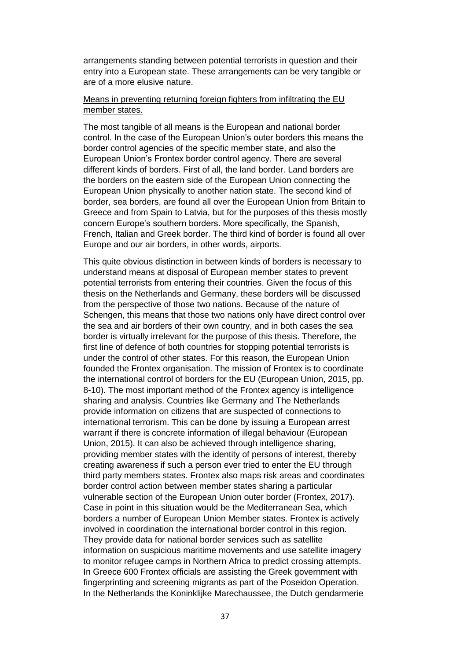arrangements standing between potential terrorists in question and their entry into a European state. These arrangements can be very tangible or are of a more elusive nature.

# Means in preventing returning foreign fighters from infiltrating the EU member states.

The most tangible of all means is the European and national border control. In the case of the European Union's outer borders this means the border control agencies of the specific member state, and also the European Union's Frontex border control agency. There are several different kinds of borders. First of all, the land border. Land borders are the borders on the eastern side of the European Union connecting the European Union physically to another nation state. The second kind of border, sea borders, are found all over the European Union from Britain to Greece and from Spain to Latvia, but for the purposes of this thesis mostly concern Europe's southern borders. More specifically, the Spanish, French, Italian and Greek border. The third kind of border is found all over Europe and our air borders, in other words, airports.

This quite obvious distinction in between kinds of borders is necessary to understand means at disposal of European member states to prevent potential terrorists from entering their countries. Given the focus of this thesis on the Netherlands and Germany, these borders will be discussed from the perspective of those two nations. Because of the nature of Schengen, this means that those two nations only have direct control over the sea and air borders of their own country, and in both cases the sea border is virtually irrelevant for the purpose of this thesis. Therefore, the first line of defence of both countries for stopping potential terrorists is under the control of other states. For this reason, the European Union founded the Frontex organisation. The mission of Frontex is to coordinate the international control of borders for the EU (European Union, 2015, pp. 8-10). The most important method of the Frontex agency is intelligence sharing and analysis. Countries like Germany and The Netherlands provide information on citizens that are suspected of connections to international terrorism. This can be done by issuing a European arrest warrant if there is concrete information of illegal behaviour (European Union, 2015). It can also be achieved through intelligence sharing, providing member states with the identity of persons of interest, thereby creating awareness if such a person ever tried to enter the EU through third party members states. Frontex also maps risk areas and coordinates border control action between member states sharing a particular vulnerable section of the European Union outer border (Frontex, 2017). Case in point in this situation would be the Mediterranean Sea, which borders a number of European Union Member states. Frontex is actively involved in coordination the international border control in this region. They provide data for national border services such as satellite information on suspicious maritime movements and use satellite imagery to monitor refugee camps in Northern Africa to predict crossing attempts. In Greece 600 Frontex officials are assisting the Greek government with fingerprinting and screening migrants as part of the Poseidon Operation. In the Netherlands the Koninklijke Marechaussee, the Dutch gendarmerie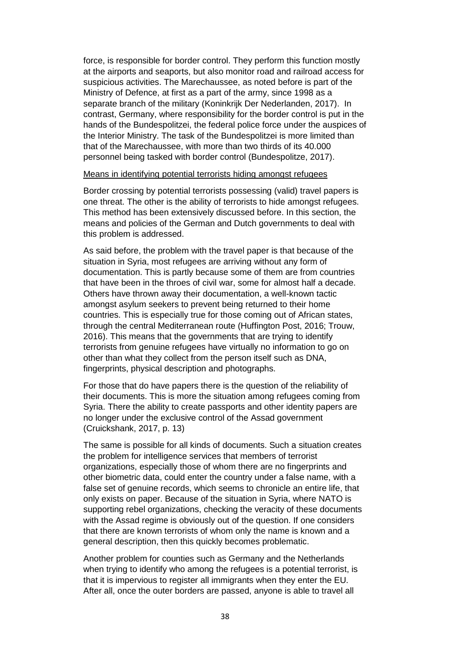force, is responsible for border control. They perform this function mostly at the airports and seaports, but also monitor road and railroad access for suspicious activities. The Marechaussee, as noted before is part of the Ministry of Defence, at first as a part of the army, since 1998 as a separate branch of the military (Koninkrijk Der Nederlanden, 2017). In contrast, Germany, where responsibility for the border control is put in the hands of the Bundespolitzei, the federal police force under the auspices of the Interior Ministry. The task of the Bundespolitzei is more limited than that of the Marechaussee, with more than two thirds of its 40.000 personnel being tasked with border control (Bundespolitze, 2017).

### Means in identifying potential terrorists hiding amongst refugees

Border crossing by potential terrorists possessing (valid) travel papers is one threat. The other is the ability of terrorists to hide amongst refugees. This method has been extensively discussed before. In this section, the means and policies of the German and Dutch governments to deal with this problem is addressed.

As said before, the problem with the travel paper is that because of the situation in Syria, most refugees are arriving without any form of documentation. This is partly because some of them are from countries that have been in the throes of civil war, some for almost half a decade. Others have thrown away their documentation, a well-known tactic amongst asylum seekers to prevent being returned to their home countries. This is especially true for those coming out of African states, through the central Mediterranean route (Huffington Post, 2016; Trouw, 2016). This means that the governments that are trying to identify terrorists from genuine refugees have virtually no information to go on other than what they collect from the person itself such as DNA, fingerprints, physical description and photographs.

For those that do have papers there is the question of the reliability of their documents. This is more the situation among refugees coming from Syria. There the ability to create passports and other identity papers are no longer under the exclusive control of the Assad government (Cruickshank, 2017, p. 13)

The same is possible for all kinds of documents. Such a situation creates the problem for intelligence services that members of terrorist organizations, especially those of whom there are no fingerprints and other biometric data, could enter the country under a false name, with a false set of genuine records, which seems to chronicle an entire life, that only exists on paper. Because of the situation in Syria, where NATO is supporting rebel organizations, checking the veracity of these documents with the Assad regime is obviously out of the question. If one considers that there are known terrorists of whom only the name is known and a general description, then this quickly becomes problematic.

Another problem for counties such as Germany and the Netherlands when trying to identify who among the refugees is a potential terrorist, is that it is impervious to register all immigrants when they enter the EU. After all, once the outer borders are passed, anyone is able to travel all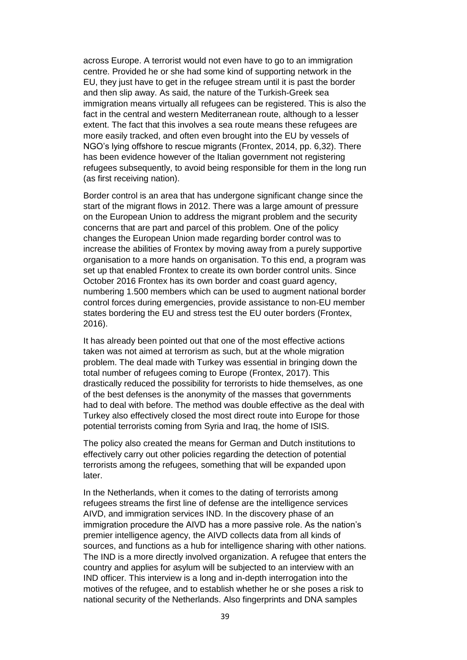across Europe. A terrorist would not even have to go to an immigration centre. Provided he or she had some kind of supporting network in the EU, they just have to get in the refugee stream until it is past the border and then slip away. As said, the nature of the Turkish-Greek sea immigration means virtually all refugees can be registered. This is also the fact in the central and western Mediterranean route, although to a lesser extent. The fact that this involves a sea route means these refugees are more easily tracked, and often even brought into the EU by vessels of NGO's lying offshore to rescue migrants (Frontex, 2014, pp. 6,32). There has been evidence however of the Italian government not registering refugees subsequently, to avoid being responsible for them in the long run (as first receiving nation).

Border control is an area that has undergone significant change since the start of the migrant flows in 2012. There was a large amount of pressure on the European Union to address the migrant problem and the security concerns that are part and parcel of this problem. One of the policy changes the European Union made regarding border control was to increase the abilities of Frontex by moving away from a purely supportive organisation to a more hands on organisation. To this end, a program was set up that enabled Frontex to create its own border control units. Since October 2016 Frontex has its own border and coast guard agency, numbering 1.500 members which can be used to augment national border control forces during emergencies, provide assistance to non-EU member states bordering the EU and stress test the EU outer borders (Frontex, 2016).

It has already been pointed out that one of the most effective actions taken was not aimed at terrorism as such, but at the whole migration problem. The deal made with Turkey was essential in bringing down the total number of refugees coming to Europe (Frontex, 2017). This drastically reduced the possibility for terrorists to hide themselves, as one of the best defenses is the anonymity of the masses that governments had to deal with before. The method was double effective as the deal with Turkey also effectively closed the most direct route into Europe for those potential terrorists coming from Syria and Iraq, the home of ISIS.

The policy also created the means for German and Dutch institutions to effectively carry out other policies regarding the detection of potential terrorists among the refugees, something that will be expanded upon later.

In the Netherlands, when it comes to the dating of terrorists among refugees streams the first line of defense are the intelligence services AIVD, and immigration services IND. In the discovery phase of an immigration procedure the AIVD has a more passive role. As the nation's premier intelligence agency, the AIVD collects data from all kinds of sources, and functions as a hub for intelligence sharing with other nations. The IND is a more directly involved organization. A refugee that enters the country and applies for asylum will be subjected to an interview with an IND officer. This interview is a long and in-depth interrogation into the motives of the refugee, and to establish whether he or she poses a risk to national security of the Netherlands. Also fingerprints and DNA samples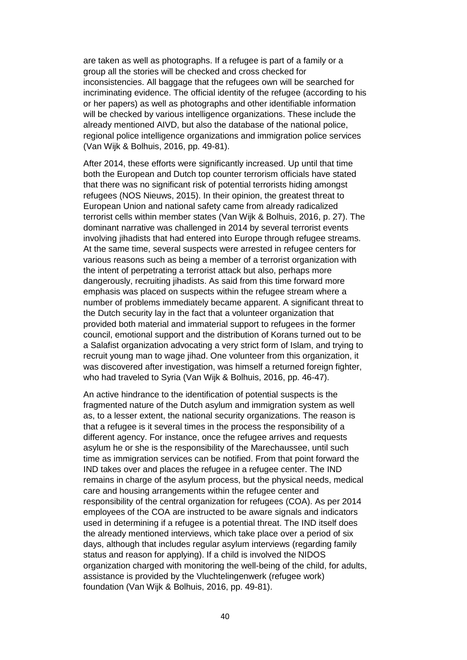are taken as well as photographs. If a refugee is part of a family or a group all the stories will be checked and cross checked for inconsistencies. All baggage that the refugees own will be searched for incriminating evidence. The official identity of the refugee (according to his or her papers) as well as photographs and other identifiable information will be checked by various intelligence organizations. These include the already mentioned AIVD, but also the database of the national police, regional police intelligence organizations and immigration police services (Van Wijk & Bolhuis, 2016, pp. 49-81).

After 2014, these efforts were significantly increased. Up until that time both the European and Dutch top counter terrorism officials have stated that there was no significant risk of potential terrorists hiding amongst refugees (NOS Nieuws, 2015). In their opinion, the greatest threat to European Union and national safety came from already radicalized terrorist cells within member states (Van Wijk & Bolhuis, 2016, p. 27). The dominant narrative was challenged in 2014 by several terrorist events involving jihadists that had entered into Europe through refugee streams. At the same time, several suspects were arrested in refugee centers for various reasons such as being a member of a terrorist organization with the intent of perpetrating a terrorist attack but also, perhaps more dangerously, recruiting jihadists. As said from this time forward more emphasis was placed on suspects within the refugee stream where a number of problems immediately became apparent. A significant threat to the Dutch security lay in the fact that a volunteer organization that provided both material and immaterial support to refugees in the former council, emotional support and the distribution of Korans turned out to be a Salafist organization advocating a very strict form of Islam, and trying to recruit young man to wage jihad. One volunteer from this organization, it was discovered after investigation, was himself a returned foreign fighter, who had traveled to Syria (Van Wijk & Bolhuis, 2016, pp. 46-47).

An active hindrance to the identification of potential suspects is the fragmented nature of the Dutch asylum and immigration system as well as, to a lesser extent, the national security organizations. The reason is that a refugee is it several times in the process the responsibility of a different agency. For instance, once the refugee arrives and requests asylum he or she is the responsibility of the Marechaussee, until such time as immigration services can be notified. From that point forward the IND takes over and places the refugee in a refugee center. The IND remains in charge of the asylum process, but the physical needs, medical care and housing arrangements within the refugee center and responsibility of the central organization for refugees (COA). As per 2014 employees of the COA are instructed to be aware signals and indicators used in determining if a refugee is a potential threat. The IND itself does the already mentioned interviews, which take place over a period of six days, although that includes regular asylum interviews (regarding family status and reason for applying). If a child is involved the NIDOS organization charged with monitoring the well-being of the child, for adults, assistance is provided by the Vluchtelingenwerk (refugee work) foundation (Van Wijk & Bolhuis, 2016, pp. 49-81).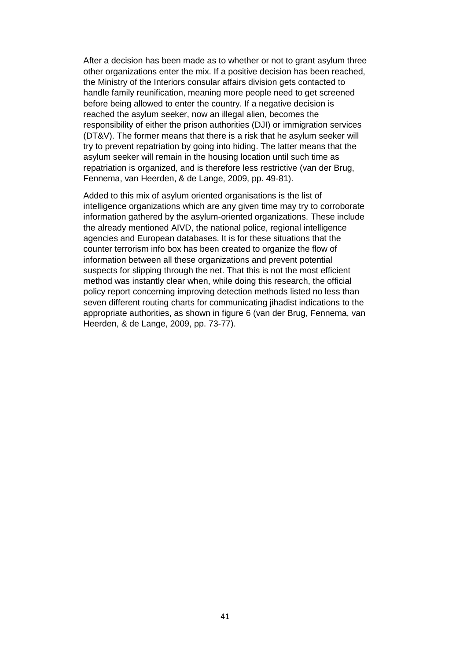After a decision has been made as to whether or not to grant asylum three other organizations enter the mix. If a positive decision has been reached, the Ministry of the Interiors consular affairs division gets contacted to handle family reunification, meaning more people need to get screened before being allowed to enter the country. If a negative decision is reached the asylum seeker, now an illegal alien, becomes the responsibility of either the prison authorities (DJI) or immigration services (DT&V). The former means that there is a risk that he asylum seeker will try to prevent repatriation by going into hiding. The latter means that the asylum seeker will remain in the housing location until such time as repatriation is organized, and is therefore less restrictive (van der Brug, Fennema, van Heerden, & de Lange, 2009, pp. 49-81).

Added to this mix of asylum oriented organisations is the list of intelligence organizations which are any given time may try to corroborate information gathered by the asylum-oriented organizations. These include the already mentioned AIVD, the national police, regional intelligence agencies and European databases. It is for these situations that the counter terrorism info box has been created to organize the flow of information between all these organizations and prevent potential suspects for slipping through the net. That this is not the most efficient method was instantly clear when, while doing this research, the official policy report concerning improving detection methods listed no less than seven different routing charts for communicating jihadist indications to the appropriate authorities, as shown in figure 6 (van der Brug, Fennema, van Heerden, & de Lange, 2009, pp. 73-77).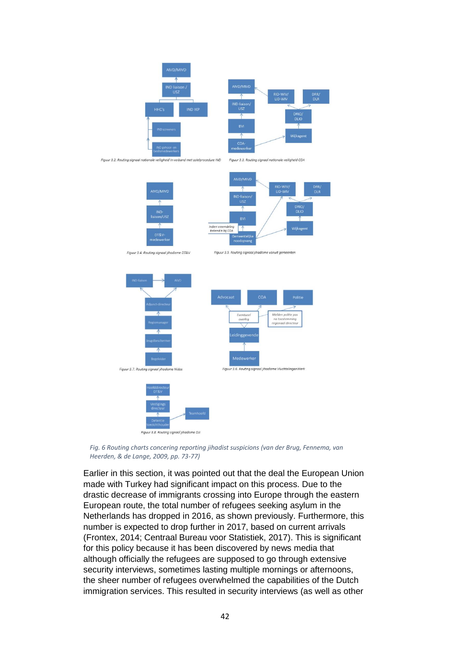

*Fig. 6 Routing charts concering reporting jihadist suspicions (van der Brug, Fennema, van Heerden, & de Lange, 2009, pp. 73-77)*

Earlier in this section, it was pointed out that the deal the European Union made with Turkey had significant impact on this process. Due to the drastic decrease of immigrants crossing into Europe through the eastern European route, the total number of refugees seeking asylum in the Netherlands has dropped in 2016, as shown previously. Furthermore, this number is expected to drop further in 2017, based on current arrivals (Frontex, 2014; Centraal Bureau voor Statistiek, 2017). This is significant for this policy because it has been discovered by news media that although officially the refugees are supposed to go through extensive security interviews, sometimes lasting multiple mornings or afternoons, the sheer number of refugees overwhelmed the capabilities of the Dutch immigration services. This resulted in security interviews (as well as other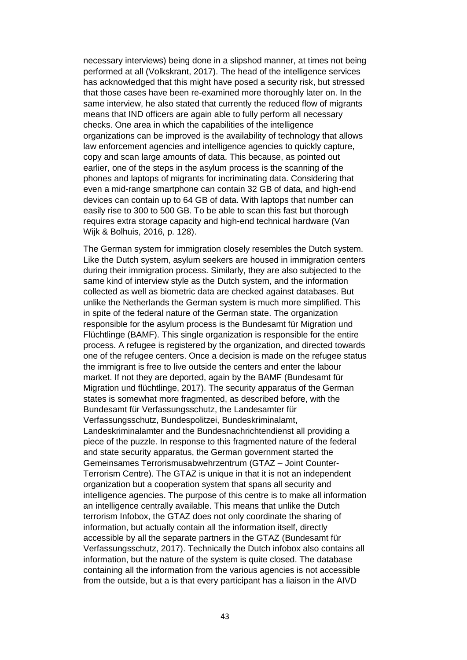necessary interviews) being done in a slipshod manner, at times not being performed at all (Volkskrant, 2017). The head of the intelligence services has acknowledged that this might have posed a security risk, but stressed that those cases have been re-examined more thoroughly later on. In the same interview, he also stated that currently the reduced flow of migrants means that IND officers are again able to fully perform all necessary checks. One area in which the capabilities of the intelligence organizations can be improved is the availability of technology that allows law enforcement agencies and intelligence agencies to quickly capture, copy and scan large amounts of data. This because, as pointed out earlier, one of the steps in the asylum process is the scanning of the phones and laptops of migrants for incriminating data. Considering that even a mid-range smartphone can contain 32 GB of data, and high-end devices can contain up to 64 GB of data. With laptops that number can easily rise to 300 to 500 GB. To be able to scan this fast but thorough requires extra storage capacity and high-end technical hardware (Van Wijk & Bolhuis, 2016, p. 128).

The German system for immigration closely resembles the Dutch system. Like the Dutch system, asylum seekers are housed in immigration centers during their immigration process. Similarly, they are also subjected to the same kind of interview style as the Dutch system, and the information collected as well as biometric data are checked against databases. But unlike the Netherlands the German system is much more simplified. This in spite of the federal nature of the German state. The organization responsible for the asylum process is the Bundesamt für Migration und Flüchtlinge (BAMF). This single organization is responsible for the entire process. A refugee is registered by the organization, and directed towards one of the refugee centers. Once a decision is made on the refugee status the immigrant is free to live outside the centers and enter the labour market. If not they are deported, again by the BAMF (Bundesamt für Migration und flüchtlinge, 2017). The security apparatus of the German states is somewhat more fragmented, as described before, with the Bundesamt für Verfassungsschutz, the Landesamter für Verfassungsschutz, Bundespolitzei, Bundeskriminalamt, Landeskriminalamter and the Bundesnachrichtendienst all providing a piece of the puzzle. In response to this fragmented nature of the federal and state security apparatus, the German government started the Gemeinsames Terrorismusabwehrzentrum (GTAZ – Joint Counter-Terrorism Centre). The GTAZ is unique in that it is not an independent organization but a cooperation system that spans all security and intelligence agencies. The purpose of this centre is to make all information an intelligence centrally available. This means that unlike the Dutch terrorism Infobox, the GTAZ does not only coordinate the sharing of information, but actually contain all the information itself, directly accessible by all the separate partners in the GTAZ (Bundesamt für Verfassungsschutz, 2017). Technically the Dutch infobox also contains all information, but the nature of the system is quite closed. The database containing all the information from the various agencies is not accessible from the outside, but a is that every participant has a liaison in the AIVD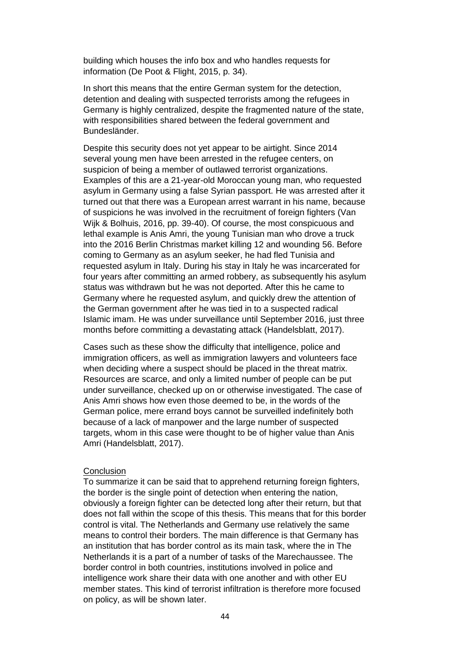building which houses the info box and who handles requests for information (De Poot & Flight, 2015, p. 34).

In short this means that the entire German system for the detection, detention and dealing with suspected terrorists among the refugees in Germany is highly centralized, despite the fragmented nature of the state, with responsibilities shared between the federal government and Bundesländer.

Despite this security does not yet appear to be airtight. Since 2014 several young men have been arrested in the refugee centers, on suspicion of being a member of outlawed terrorist organizations. Examples of this are a 21-year-old Moroccan young man, who requested asylum in Germany using a false Syrian passport. He was arrested after it turned out that there was a European arrest warrant in his name, because of suspicions he was involved in the recruitment of foreign fighters (Van Wijk & Bolhuis, 2016, pp. 39-40). Of course, the most conspicuous and lethal example is Anis Amri, the young Tunisian man who drove a truck into the 2016 Berlin Christmas market killing 12 and wounding 56. Before coming to Germany as an asylum seeker, he had fled Tunisia and requested asylum in Italy. During his stay in Italy he was incarcerated for four years after committing an armed robbery, as subsequently his asylum status was withdrawn but he was not deported. After this he came to Germany where he requested asylum, and quickly drew the attention of the German government after he was tied in to a suspected radical Islamic imam. He was under surveillance until September 2016, just three months before committing a devastating attack (Handelsblatt, 2017).

Cases such as these show the difficulty that intelligence, police and immigration officers, as well as immigration lawyers and volunteers face when deciding where a suspect should be placed in the threat matrix. Resources are scarce, and only a limited number of people can be put under surveillance, checked up on or otherwise investigated. The case of Anis Amri shows how even those deemed to be, in the words of the German police, mere errand boys cannot be surveilled indefinitely both because of a lack of manpower and the large number of suspected targets, whom in this case were thought to be of higher value than Anis Amri (Handelsblatt, 2017).

#### **Conclusion**

To summarize it can be said that to apprehend returning foreign fighters, the border is the single point of detection when entering the nation, obviously a foreign fighter can be detected long after their return, but that does not fall within the scope of this thesis. This means that for this border control is vital. The Netherlands and Germany use relatively the same means to control their borders. The main difference is that Germany has an institution that has border control as its main task, where the in The Netherlands it is a part of a number of tasks of the Marechaussee. The border control in both countries, institutions involved in police and intelligence work share their data with one another and with other EU member states. This kind of terrorist infiltration is therefore more focused on policy, as will be shown later.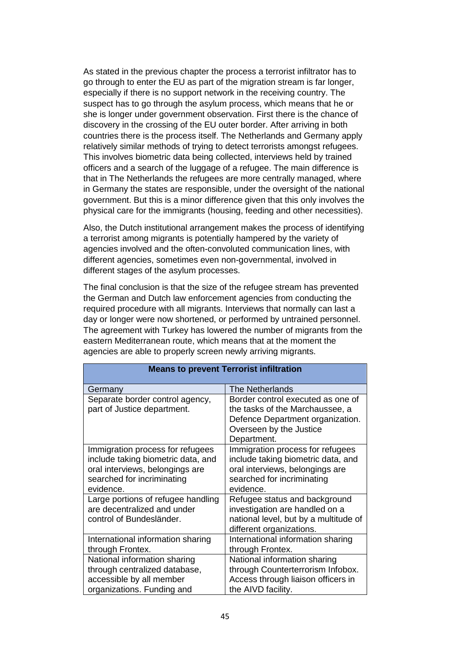As stated in the previous chapter the process a terrorist infiltrator has to go through to enter the EU as part of the migration stream is far longer, especially if there is no support network in the receiving country. The suspect has to go through the asylum process, which means that he or she is longer under government observation. First there is the chance of discovery in the crossing of the EU outer border. After arriving in both countries there is the process itself. The Netherlands and Germany apply relatively similar methods of trying to detect terrorists amongst refugees. This involves biometric data being collected, interviews held by trained officers and a search of the luggage of a refugee. The main difference is that in The Netherlands the refugees are more centrally managed, where in Germany the states are responsible, under the oversight of the national government. But this is a minor difference given that this only involves the physical care for the immigrants (housing, feeding and other necessities).

Also, the Dutch institutional arrangement makes the process of identifying a terrorist among migrants is potentially hampered by the variety of agencies involved and the often-convoluted communication lines, with different agencies, sometimes even non-governmental, involved in different stages of the asylum processes.

The final conclusion is that the size of the refugee stream has prevented the German and Dutch law enforcement agencies from conducting the required procedure with all migrants. Interviews that normally can last a day or longer were now shortened, or performed by untrained personnel. The agreement with Turkey has lowered the number of migrants from the eastern Mediterranean route, which means that at the moment the agencies are able to properly screen newly arriving migrants.

| <b>Means to prevent Terrorist infiltration</b> |                                       |  |
|------------------------------------------------|---------------------------------------|--|
| Germany                                        | The Netherlands                       |  |
| Separate border control agency,                | Border control executed as one of     |  |
| part of Justice department.                    | the tasks of the Marchaussee, a       |  |
|                                                | Defence Department organization.      |  |
|                                                | Overseen by the Justice               |  |
|                                                | Department.                           |  |
| Immigration process for refugees               | Immigration process for refugees      |  |
| include taking biometric data, and             | include taking biometric data, and    |  |
| oral interviews, belongings are                | oral interviews, belongings are       |  |
| searched for incriminating                     | searched for incriminating            |  |
| evidence.                                      | evidence.                             |  |
| Large portions of refugee handling             | Refugee status and background         |  |
| are decentralized and under                    | investigation are handled on a        |  |
| control of Bundesländer.                       | national level, but by a multitude of |  |
|                                                | different organizations.              |  |
| International information sharing              | International information sharing     |  |
| through Frontex.                               | through Frontex.                      |  |
| National information sharing                   | National information sharing          |  |
| through centralized database,                  | through Counterterrorism Infobox.     |  |
| accessible by all member                       | Access through liaison officers in    |  |
| organizations. Funding and                     | the AIVD facility.                    |  |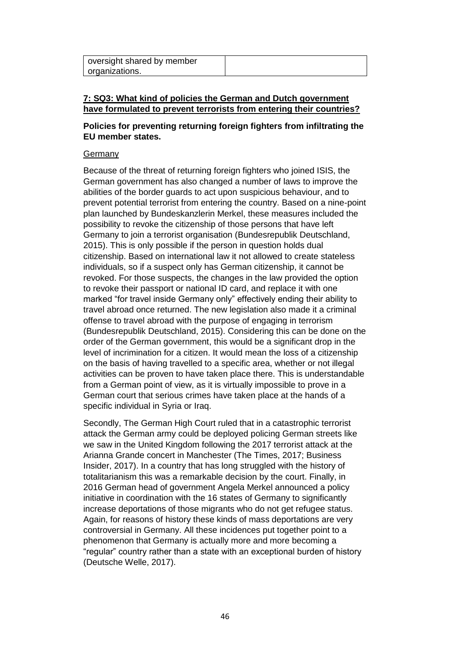| oversight shared by member |  |
|----------------------------|--|
| organizations.             |  |

# **7: SQ3: What kind of policies the German and Dutch government have formulated to prevent terrorists from entering their countries?**

# **Policies for preventing returning foreign fighters from infiltrating the EU member states.**

# Germany

Because of the threat of returning foreign fighters who joined ISIS, the German government has also changed a number of laws to improve the abilities of the border guards to act upon suspicious behaviour, and to prevent potential terrorist from entering the country. Based on a nine-point plan launched by Bundeskanzlerin Merkel, these measures included the possibility to revoke the citizenship of those persons that have left Germany to join a terrorist organisation (Bundesrepublik Deutschland, 2015). This is only possible if the person in question holds dual citizenship. Based on international law it not allowed to create stateless individuals, so if a suspect only has German citizenship, it cannot be revoked. For those suspects, the changes in the law provided the option to revoke their passport or national ID card, and replace it with one marked "for travel inside Germany only" effectively ending their ability to travel abroad once returned. The new legislation also made it a criminal offense to travel abroad with the purpose of engaging in terrorism (Bundesrepublik Deutschland, 2015). Considering this can be done on the order of the German government, this would be a significant drop in the level of incrimination for a citizen. It would mean the loss of a citizenship on the basis of having travelled to a specific area, whether or not illegal activities can be proven to have taken place there. This is understandable from a German point of view, as it is virtually impossible to prove in a German court that serious crimes have taken place at the hands of a specific individual in Syria or Iraq.

Secondly, The German High Court ruled that in a catastrophic terrorist attack the German army could be deployed policing German streets like we saw in the United Kingdom following the 2017 terrorist attack at the Arianna Grande concert in Manchester (The Times, 2017; Business Insider, 2017). In a country that has long struggled with the history of totalitarianism this was a remarkable decision by the court. Finally, in 2016 German head of government Angela Merkel announced a policy initiative in coordination with the 16 states of Germany to significantly increase deportations of those migrants who do not get refugee status. Again, for reasons of history these kinds of mass deportations are very controversial in Germany. All these incidences put together point to a phenomenon that Germany is actually more and more becoming a "regular" country rather than a state with an exceptional burden of history (Deutsche Welle, 2017).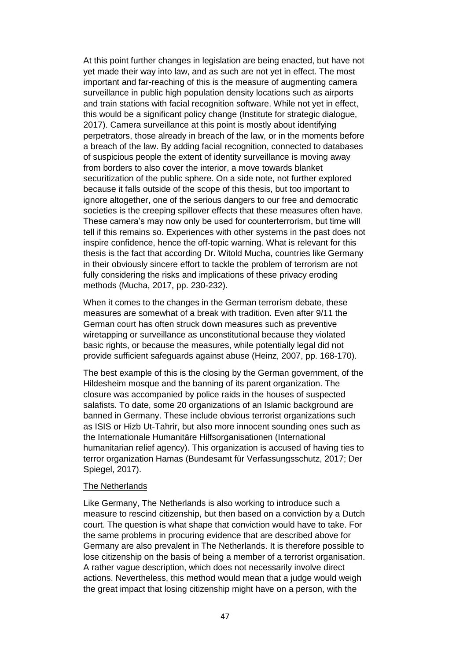At this point further changes in legislation are being enacted, but have not yet made their way into law, and as such are not yet in effect. The most important and far-reaching of this is the measure of augmenting camera surveillance in public high population density locations such as airports and train stations with facial recognition software. While not yet in effect, this would be a significant policy change (Institute for strategic dialogue, 2017). Camera surveillance at this point is mostly about identifying perpetrators, those already in breach of the law, or in the moments before a breach of the law. By adding facial recognition, connected to databases of suspicious people the extent of identity surveillance is moving away from borders to also cover the interior, a move towards blanket securitization of the public sphere. On a side note, not further explored because it falls outside of the scope of this thesis, but too important to ignore altogether, one of the serious dangers to our free and democratic societies is the creeping spillover effects that these measures often have. These camera's may now only be used for counterterrorism, but time will tell if this remains so. Experiences with other systems in the past does not inspire confidence, hence the off-topic warning. What is relevant for this thesis is the fact that according Dr. Witold Mucha, countries like Germany in their obviously sincere effort to tackle the problem of terrorism are not fully considering the risks and implications of these privacy eroding methods (Mucha, 2017, pp. 230-232).

When it comes to the changes in the German terrorism debate, these measures are somewhat of a break with tradition. Even after 9/11 the German court has often struck down measures such as preventive wiretapping or surveillance as unconstitutional because they violated basic rights, or because the measures, while potentially legal did not provide sufficient safeguards against abuse (Heinz, 2007, pp. 168-170).

The best example of this is the closing by the German government, of the Hildesheim mosque and the banning of its parent organization. The closure was accompanied by police raids in the houses of suspected salafists. To date, some 20 organizations of an Islamic background are banned in Germany. These include obvious terrorist organizations such as ISIS or Hizb Ut-Tahrir, but also more innocent sounding ones such as the Internationale Humanitäre Hilfsorganisationen (International humanitarian relief agency). This organization is accused of having ties to terror organization Hamas (Bundesamt für Verfassungsschutz, 2017; Der Spiegel, 2017).

### The Netherlands

Like Germany, The Netherlands is also working to introduce such a measure to rescind citizenship, but then based on a conviction by a Dutch court. The question is what shape that conviction would have to take. For the same problems in procuring evidence that are described above for Germany are also prevalent in The Netherlands. It is therefore possible to lose citizenship on the basis of being a member of a terrorist organisation. A rather vague description, which does not necessarily involve direct actions. Nevertheless, this method would mean that a judge would weigh the great impact that losing citizenship might have on a person, with the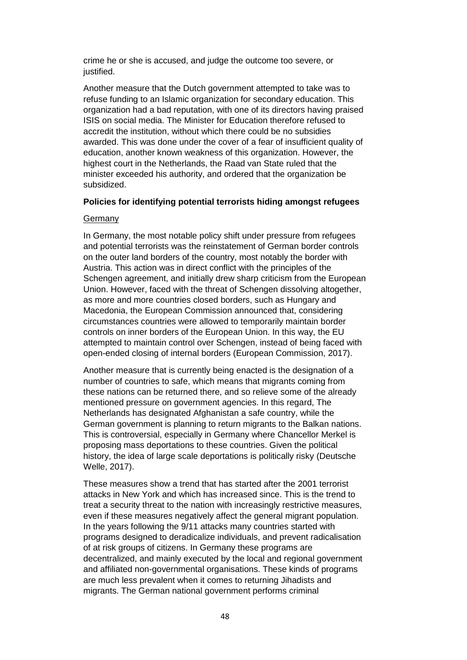crime he or she is accused, and judge the outcome too severe, or justified.

Another measure that the Dutch government attempted to take was to refuse funding to an Islamic organization for secondary education. This organization had a bad reputation, with one of its directors having praised ISIS on social media. The Minister for Education therefore refused to accredit the institution, without which there could be no subsidies awarded. This was done under the cover of a fear of insufficient quality of education, another known weakness of this organization. However, the highest court in the Netherlands, the Raad van State ruled that the minister exceeded his authority, and ordered that the organization be subsidized.

# **Policies for identifying potential terrorists hiding amongst refugees**

# Germany

In Germany, the most notable policy shift under pressure from refugees and potential terrorists was the reinstatement of German border controls on the outer land borders of the country, most notably the border with Austria. This action was in direct conflict with the principles of the Schengen agreement, and initially drew sharp criticism from the European Union. However, faced with the threat of Schengen dissolving altogether, as more and more countries closed borders, such as Hungary and Macedonia, the European Commission announced that, considering circumstances countries were allowed to temporarily maintain border controls on inner borders of the European Union. In this way, the EU attempted to maintain control over Schengen, instead of being faced with open-ended closing of internal borders (European Commission, 2017).

Another measure that is currently being enacted is the designation of a number of countries to safe, which means that migrants coming from these nations can be returned there, and so relieve some of the already mentioned pressure on government agencies. In this regard, The Netherlands has designated Afghanistan a safe country, while the German government is planning to return migrants to the Balkan nations. This is controversial, especially in Germany where Chancellor Merkel is proposing mass deportations to these countries. Given the political history, the idea of large scale deportations is politically risky (Deutsche Welle, 2017).

These measures show a trend that has started after the 2001 terrorist attacks in New York and which has increased since. This is the trend to treat a security threat to the nation with increasingly restrictive measures, even if these measures negatively affect the general migrant population. In the years following the 9/11 attacks many countries started with programs designed to deradicalize individuals, and prevent radicalisation of at risk groups of citizens. In Germany these programs are decentralized, and mainly executed by the local and regional government and affiliated non-governmental organisations. These kinds of programs are much less prevalent when it comes to returning Jihadists and migrants. The German national government performs criminal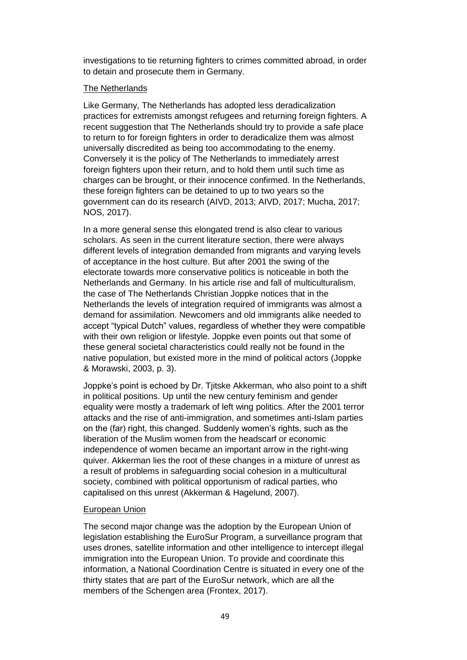investigations to tie returning fighters to crimes committed abroad, in order to detain and prosecute them in Germany.

# The Netherlands

Like Germany, The Netherlands has adopted less deradicalization practices for extremists amongst refugees and returning foreign fighters. A recent suggestion that The Netherlands should try to provide a safe place to return to for foreign fighters in order to deradicalize them was almost universally discredited as being too accommodating to the enemy. Conversely it is the policy of The Netherlands to immediately arrest foreign fighters upon their return, and to hold them until such time as charges can be brought, or their innocence confirmed. In the Netherlands, these foreign fighters can be detained to up to two years so the government can do its research (AIVD, 2013; AIVD, 2017; Mucha, 2017; NOS, 2017).

In a more general sense this elongated trend is also clear to various scholars. As seen in the current literature section, there were always different levels of integration demanded from migrants and varying levels of acceptance in the host culture. But after 2001 the swing of the electorate towards more conservative politics is noticeable in both the Netherlands and Germany. In his article rise and fall of multiculturalism, the case of The Netherlands Christian Joppke notices that in the Netherlands the levels of integration required of immigrants was almost a demand for assimilation. Newcomers and old immigrants alike needed to accept "typical Dutch" values, regardless of whether they were compatible with their own religion or lifestyle. Joppke even points out that some of these general societal characteristics could really not be found in the native population, but existed more in the mind of political actors (Joppke & Morawski, 2003, p. 3).

Joppke's point is echoed by Dr. Tjitske Akkerman, who also point to a shift in political positions. Up until the new century feminism and gender equality were mostly a trademark of left wing politics. After the 2001 terror attacks and the rise of anti-immigration, and sometimes anti-Islam parties on the (far) right, this changed. Suddenly women's rights, such as the liberation of the Muslim women from the headscarf or economic independence of women became an important arrow in the right-wing quiver. Akkerman lies the root of these changes in a mixture of unrest as a result of problems in safeguarding social cohesion in a multicultural society, combined with political opportunism of radical parties, who capitalised on this unrest (Akkerman & Hagelund, 2007).

# European Union

The second major change was the adoption by the European Union of legislation establishing the EuroSur Program, a surveillance program that uses drones, satellite information and other intelligence to intercept illegal immigration into the European Union. To provide and coordinate this information, a National Coordination Centre is situated in every one of the thirty states that are part of the EuroSur network, which are all the members of the Schengen area (Frontex, 2017).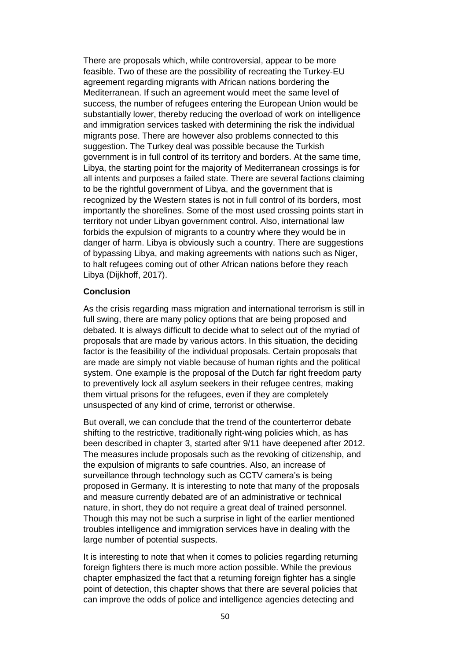There are proposals which, while controversial, appear to be more feasible. Two of these are the possibility of recreating the Turkey-EU agreement regarding migrants with African nations bordering the Mediterranean. If such an agreement would meet the same level of success, the number of refugees entering the European Union would be substantially lower, thereby reducing the overload of work on intelligence and immigration services tasked with determining the risk the individual migrants pose. There are however also problems connected to this suggestion. The Turkey deal was possible because the Turkish government is in full control of its territory and borders. At the same time, Libya, the starting point for the majority of Mediterranean crossings is for all intents and purposes a failed state. There are several factions claiming to be the rightful government of Libya, and the government that is recognized by the Western states is not in full control of its borders, most importantly the shorelines. Some of the most used crossing points start in territory not under Libyan government control. Also, international law forbids the expulsion of migrants to a country where they would be in danger of harm. Libya is obviously such a country. There are suggestions of bypassing Libya, and making agreements with nations such as Niger, to halt refugees coming out of other African nations before they reach Libya (Dijkhoff, 2017).

# **Conclusion**

As the crisis regarding mass migration and international terrorism is still in full swing, there are many policy options that are being proposed and debated. It is always difficult to decide what to select out of the myriad of proposals that are made by various actors. In this situation, the deciding factor is the feasibility of the individual proposals. Certain proposals that are made are simply not viable because of human rights and the political system. One example is the proposal of the Dutch far right freedom party to preventively lock all asylum seekers in their refugee centres, making them virtual prisons for the refugees, even if they are completely unsuspected of any kind of crime, terrorist or otherwise.

But overall, we can conclude that the trend of the counterterror debate shifting to the restrictive, traditionally right-wing policies which, as has been described in chapter 3, started after 9/11 have deepened after 2012. The measures include proposals such as the revoking of citizenship, and the expulsion of migrants to safe countries. Also, an increase of surveillance through technology such as CCTV camera's is being proposed in Germany. It is interesting to note that many of the proposals and measure currently debated are of an administrative or technical nature, in short, they do not require a great deal of trained personnel. Though this may not be such a surprise in light of the earlier mentioned troubles intelligence and immigration services have in dealing with the large number of potential suspects.

It is interesting to note that when it comes to policies regarding returning foreign fighters there is much more action possible. While the previous chapter emphasized the fact that a returning foreign fighter has a single point of detection, this chapter shows that there are several policies that can improve the odds of police and intelligence agencies detecting and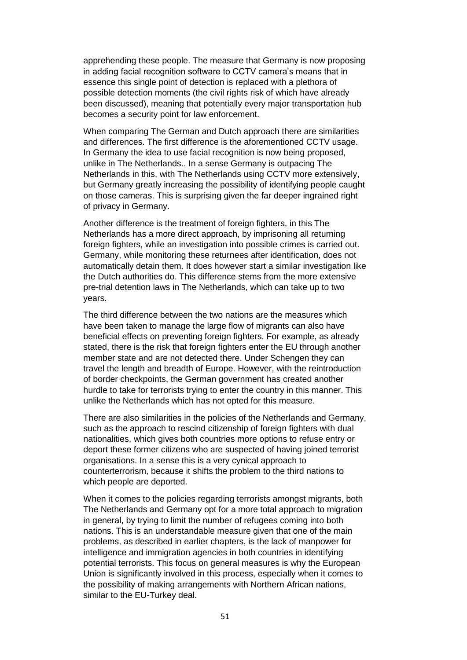apprehending these people. The measure that Germany is now proposing in adding facial recognition software to CCTV camera's means that in essence this single point of detection is replaced with a plethora of possible detection moments (the civil rights risk of which have already been discussed), meaning that potentially every major transportation hub becomes a security point for law enforcement.

When comparing The German and Dutch approach there are similarities and differences. The first difference is the aforementioned CCTV usage. In Germany the idea to use facial recognition is now being proposed, unlike in The Netherlands.. In a sense Germany is outpacing The Netherlands in this, with The Netherlands using CCTV more extensively, but Germany greatly increasing the possibility of identifying people caught on those cameras. This is surprising given the far deeper ingrained right of privacy in Germany.

Another difference is the treatment of foreign fighters, in this The Netherlands has a more direct approach, by imprisoning all returning foreign fighters, while an investigation into possible crimes is carried out. Germany, while monitoring these returnees after identification, does not automatically detain them. It does however start a similar investigation like the Dutch authorities do. This difference stems from the more extensive pre-trial detention laws in The Netherlands, which can take up to two years.

The third difference between the two nations are the measures which have been taken to manage the large flow of migrants can also have beneficial effects on preventing foreign fighters. For example, as already stated, there is the risk that foreign fighters enter the EU through another member state and are not detected there. Under Schengen they can travel the length and breadth of Europe. However, with the reintroduction of border checkpoints, the German government has created another hurdle to take for terrorists trying to enter the country in this manner. This unlike the Netherlands which has not opted for this measure.

There are also similarities in the policies of the Netherlands and Germany, such as the approach to rescind citizenship of foreign fighters with dual nationalities, which gives both countries more options to refuse entry or deport these former citizens who are suspected of having joined terrorist organisations. In a sense this is a very cynical approach to counterterrorism, because it shifts the problem to the third nations to which people are deported.

When it comes to the policies regarding terrorists amongst migrants, both The Netherlands and Germany opt for a more total approach to migration in general, by trying to limit the number of refugees coming into both nations. This is an understandable measure given that one of the main problems, as described in earlier chapters, is the lack of manpower for intelligence and immigration agencies in both countries in identifying potential terrorists. This focus on general measures is why the European Union is significantly involved in this process, especially when it comes to the possibility of making arrangements with Northern African nations, similar to the EU-Turkey deal.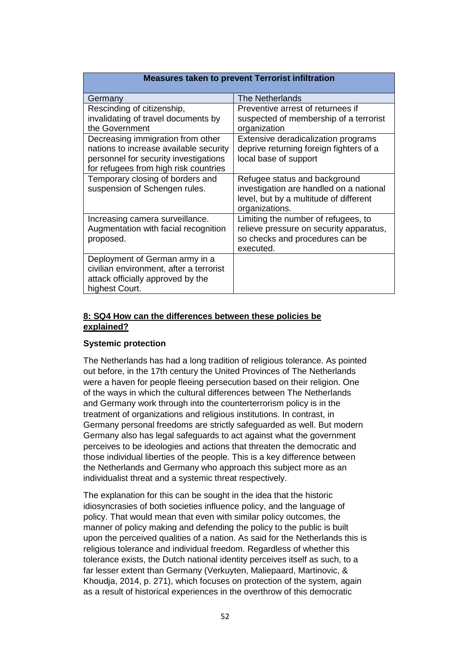# **Measures taken to prevent Terrorist infiltration**

| Germany                                                                                                                                                       | <b>The Netherlands</b>                                                                                                               |
|---------------------------------------------------------------------------------------------------------------------------------------------------------------|--------------------------------------------------------------------------------------------------------------------------------------|
| Rescinding of citizenship,<br>invalidating of travel documents by<br>the Government                                                                           | Preventive arrest of returnees if<br>suspected of membership of a terrorist<br>organization                                          |
| Decreasing immigration from other<br>nations to increase available security<br>personnel for security investigations<br>for refugees from high risk countries | Extensive deradicalization programs<br>deprive returning foreign fighters of a<br>local base of support                              |
| Temporary closing of borders and<br>suspension of Schengen rules.                                                                                             | Refugee status and background<br>investigation are handled on a national<br>level, but by a multitude of different<br>organizations. |
| Increasing camera surveillance.<br>Augmentation with facial recognition<br>proposed.                                                                          | Limiting the number of refugees, to<br>relieve pressure on security apparatus,<br>so checks and procedures can be<br>executed.       |
| Deployment of German army in a<br>civilian environment, after a terrorist<br>attack officially approved by the<br>highest Court.                              |                                                                                                                                      |

# **8: SQ4 How can the differences between these policies be explained?**

# **Systemic protection**

The Netherlands has had a long tradition of religious tolerance. As pointed out before, in the 17th century the United Provinces of The Netherlands were a haven for people fleeing persecution based on their religion. One of the ways in which the cultural differences between The Netherlands and Germany work through into the counterterrorism policy is in the treatment of organizations and religious institutions. In contrast, in Germany personal freedoms are strictly safeguarded as well. But modern Germany also has legal safeguards to act against what the government perceives to be ideologies and actions that threaten the democratic and those individual liberties of the people. This is a key difference between the Netherlands and Germany who approach this subject more as an individualist threat and a systemic threat respectively.

The explanation for this can be sought in the idea that the historic idiosyncrasies of both societies influence policy, and the language of policy. That would mean that even with similar policy outcomes, the manner of policy making and defending the policy to the public is built upon the perceived qualities of a nation. As said for the Netherlands this is religious tolerance and individual freedom. Regardless of whether this tolerance exists, the Dutch national identity perceives itself as such, to a far lesser extent than Germany (Verkuyten, Maliepaard, Martinovic, & Khoudja, 2014, p. 271), which focuses on protection of the system, again as a result of historical experiences in the overthrow of this democratic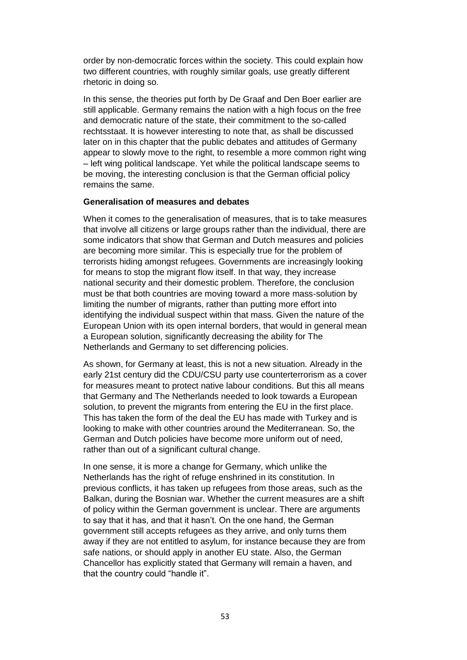order by non-democratic forces within the society. This could explain how two different countries, with roughly similar goals, use greatly different rhetoric in doing so.

In this sense, the theories put forth by De Graaf and Den Boer earlier are still applicable. Germany remains the nation with a high focus on the free and democratic nature of the state, their commitment to the so-called rechtsstaat. It is however interesting to note that, as shall be discussed later on in this chapter that the public debates and attitudes of Germany appear to slowly move to the right, to resemble a more common right wing – left wing political landscape. Yet while the political landscape seems to be moving, the interesting conclusion is that the German official policy remains the same.

# **Generalisation of measures and debates**

When it comes to the generalisation of measures, that is to take measures that involve all citizens or large groups rather than the individual, there are some indicators that show that German and Dutch measures and policies are becoming more similar. This is especially true for the problem of terrorists hiding amongst refugees. Governments are increasingly looking for means to stop the migrant flow itself. In that way, they increase national security and their domestic problem. Therefore, the conclusion must be that both countries are moving toward a more mass-solution by limiting the number of migrants, rather than putting more effort into identifying the individual suspect within that mass. Given the nature of the European Union with its open internal borders, that would in general mean a European solution, significantly decreasing the ability for The Netherlands and Germany to set differencing policies.

As shown, for Germany at least, this is not a new situation. Already in the early 21st century did the CDU/CSU party use counterterrorism as a cover for measures meant to protect native labour conditions. But this all means that Germany and The Netherlands needed to look towards a European solution, to prevent the migrants from entering the EU in the first place. This has taken the form of the deal the EU has made with Turkey and is looking to make with other countries around the Mediterranean. So, the German and Dutch policies have become more uniform out of need, rather than out of a significant cultural change.

In one sense, it is more a change for Germany, which unlike the Netherlands has the right of refuge enshrined in its constitution. In previous conflicts, it has taken up refugees from those areas, such as the Balkan, during the Bosnian war. Whether the current measures are a shift of policy within the German government is unclear. There are arguments to say that it has, and that it hasn't. On the one hand, the German government still accepts refugees as they arrive, and only turns them away if they are not entitled to asylum, for instance because they are from safe nations, or should apply in another EU state. Also, the German Chancellor has explicitly stated that Germany will remain a haven, and that the country could "handle it".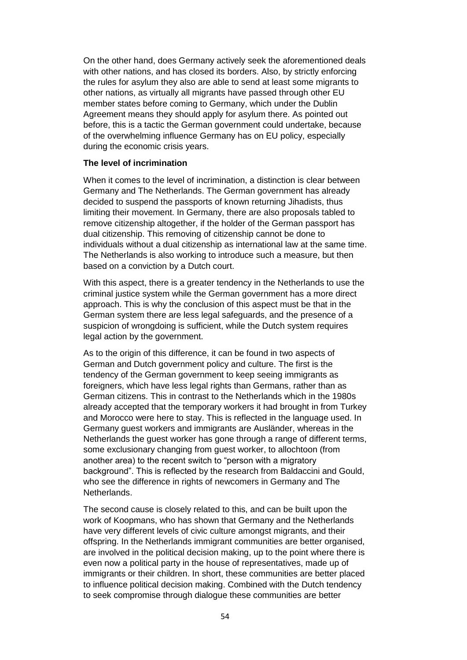On the other hand, does Germany actively seek the aforementioned deals with other nations, and has closed its borders. Also, by strictly enforcing the rules for asylum they also are able to send at least some migrants to other nations, as virtually all migrants have passed through other EU member states before coming to Germany, which under the Dublin Agreement means they should apply for asylum there. As pointed out before, this is a tactic the German government could undertake, because of the overwhelming influence Germany has on EU policy, especially during the economic crisis years.

# **The level of incrimination**

When it comes to the level of incrimination, a distinction is clear between Germany and The Netherlands. The German government has already decided to suspend the passports of known returning Jihadists, thus limiting their movement. In Germany, there are also proposals tabled to remove citizenship altogether, if the holder of the German passport has dual citizenship. This removing of citizenship cannot be done to individuals without a dual citizenship as international law at the same time. The Netherlands is also working to introduce such a measure, but then based on a conviction by a Dutch court.

With this aspect, there is a greater tendency in the Netherlands to use the criminal justice system while the German government has a more direct approach. This is why the conclusion of this aspect must be that in the German system there are less legal safeguards, and the presence of a suspicion of wrongdoing is sufficient, while the Dutch system requires legal action by the government.

As to the origin of this difference, it can be found in two aspects of German and Dutch government policy and culture. The first is the tendency of the German government to keep seeing immigrants as foreigners, which have less legal rights than Germans, rather than as German citizens. This in contrast to the Netherlands which in the 1980s already accepted that the temporary workers it had brought in from Turkey and Morocco were here to stay. This is reflected in the language used. In Germany guest workers and immigrants are Ausländer, whereas in the Netherlands the guest worker has gone through a range of different terms, some exclusionary changing from guest worker, to allochtoon (from another area) to the recent switch to "person with a migratory background". This is reflected by the research from Baldaccini and Gould, who see the difference in rights of newcomers in Germany and The Netherlands.

The second cause is closely related to this, and can be built upon the work of Koopmans, who has shown that Germany and the Netherlands have very different levels of civic culture amongst migrants, and their offspring. In the Netherlands immigrant communities are better organised, are involved in the political decision making, up to the point where there is even now a political party in the house of representatives, made up of immigrants or their children. In short, these communities are better placed to influence political decision making. Combined with the Dutch tendency to seek compromise through dialogue these communities are better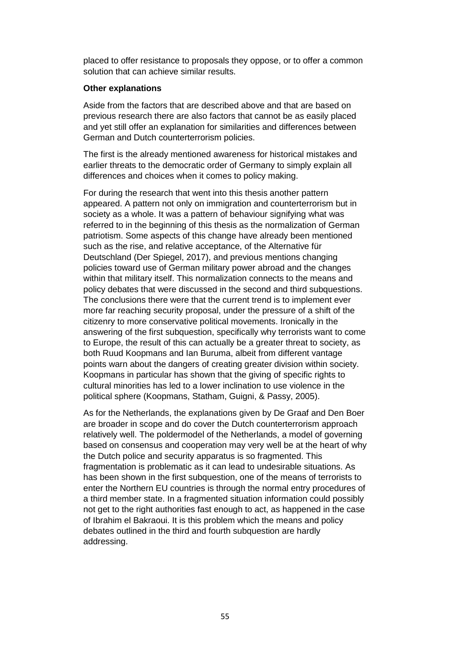placed to offer resistance to proposals they oppose, or to offer a common solution that can achieve similar results.

# **Other explanations**

Aside from the factors that are described above and that are based on previous research there are also factors that cannot be as easily placed and yet still offer an explanation for similarities and differences between German and Dutch counterterrorism policies.

The first is the already mentioned awareness for historical mistakes and earlier threats to the democratic order of Germany to simply explain all differences and choices when it comes to policy making.

For during the research that went into this thesis another pattern appeared. A pattern not only on immigration and counterterrorism but in society as a whole. It was a pattern of behaviour signifying what was referred to in the beginning of this thesis as the normalization of German patriotism. Some aspects of this change have already been mentioned such as the rise, and relative acceptance, of the Alternative für Deutschland (Der Spiegel, 2017), and previous mentions changing policies toward use of German military power abroad and the changes within that military itself. This normalization connects to the means and policy debates that were discussed in the second and third subquestions. The conclusions there were that the current trend is to implement ever more far reaching security proposal, under the pressure of a shift of the citizenry to more conservative political movements. Ironically in the answering of the first subquestion, specifically why terrorists want to come to Europe, the result of this can actually be a greater threat to society, as both Ruud Koopmans and Ian Buruma, albeit from different vantage points warn about the dangers of creating greater division within society. Koopmans in particular has shown that the giving of specific rights to cultural minorities has led to a lower inclination to use violence in the political sphere (Koopmans, Statham, Guigni, & Passy, 2005).

As for the Netherlands, the explanations given by De Graaf and Den Boer are broader in scope and do cover the Dutch counterterrorism approach relatively well. The poldermodel of the Netherlands, a model of governing based on consensus and cooperation may very well be at the heart of why the Dutch police and security apparatus is so fragmented. This fragmentation is problematic as it can lead to undesirable situations. As has been shown in the first subquestion, one of the means of terrorists to enter the Northern EU countries is through the normal entry procedures of a third member state. In a fragmented situation information could possibly not get to the right authorities fast enough to act, as happened in the case of Ibrahim el Bakraoui. It is this problem which the means and policy debates outlined in the third and fourth subquestion are hardly addressing.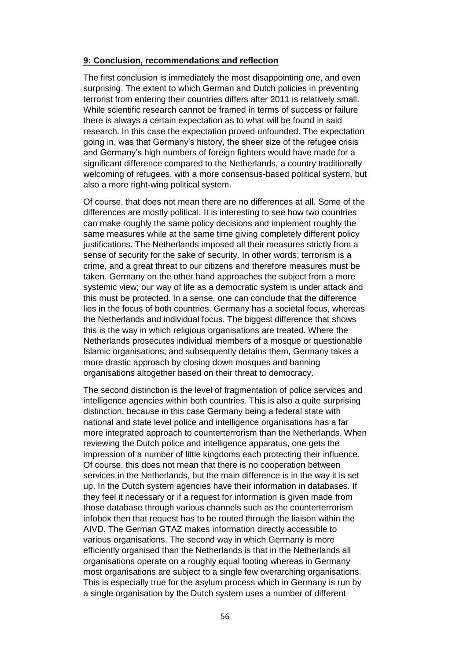# **9: Conclusion, recommendations and reflection**

The first conclusion is immediately the most disappointing one, and even surprising. The extent to which German and Dutch policies in preventing terrorist from entering their countries differs after 2011 is relatively small. While scientific research cannot be framed in terms of success or failure there is always a certain expectation as to what will be found in said research. In this case the expectation proved unfounded. The expectation going in, was that Germany's history, the sheer size of the refugee crisis and Germany's high numbers of foreign fighters would have made for a significant difference compared to the Netherlands, a country traditionally welcoming of refugees, with a more consensus-based political system, but also a more right-wing political system.

Of course, that does not mean there are no differences at all. Some of the differences are mostly political. It is interesting to see how two countries can make roughly the same policy decisions and implement roughly the same measures while at the same time giving completely different policy justifications. The Netherlands imposed all their measures strictly from a sense of security for the sake of security. In other words; terrorism is a crime, and a great threat to our citizens and therefore measures must be taken. Germany on the other hand approaches the subject from a more systemic view; our way of life as a democratic system is under attack and this must be protected. In a sense, one can conclude that the difference lies in the focus of both countries. Germany has a societal focus, whereas the Netherlands and individual focus. The biggest difference that shows this is the way in which religious organisations are treated. Where the Netherlands prosecutes individual members of a mosque or questionable Islamic organisations, and subsequently detains them, Germany takes a more drastic approach by closing down mosques and banning organisations altogether based on their threat to democracy.

The second distinction is the level of fragmentation of police services and intelligence agencies within both countries. This is also a quite surprising distinction, because in this case Germany being a federal state with national and state level police and intelligence organisations has a far more integrated approach to counterterrorism than the Netherlands. When reviewing the Dutch police and intelligence apparatus, one gets the impression of a number of little kingdoms each protecting their influence. Of course, this does not mean that there is no cooperation between services in the Netherlands, but the main difference is in the way it is set up. In the Dutch system agencies have their information in databases. If they feel it necessary or if a request for information is given made from those database through various channels such as the counterterrorism infobox then that request has to be routed through the liaison within the AIVD. The German GTAZ makes information directly accessible to various organisations. The second way in which Germany is more efficiently organised than the Netherlands is that in the Netherlands all organisations operate on a roughly equal footing whereas in Germany most organisations are subject to a single few overarching organisations. This is especially true for the asylum process which in Germany is run by a single organisation by the Dutch system uses a number of different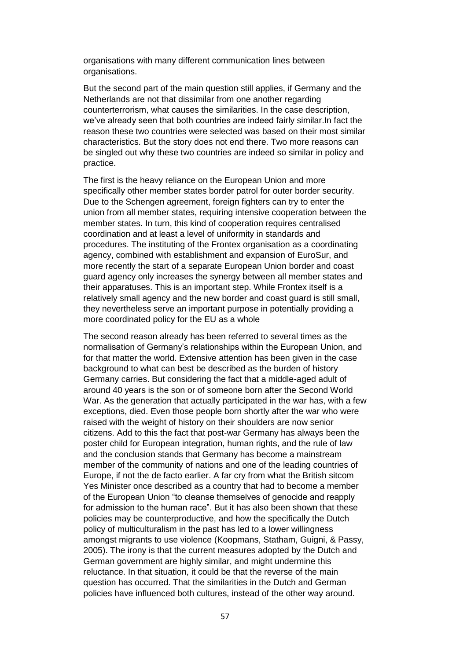organisations with many different communication lines between organisations.

But the second part of the main question still applies, if Germany and the Netherlands are not that dissimilar from one another regarding counterterrorism, what causes the similarities. In the case description, we've already seen that both countries are indeed fairly similar.In fact the reason these two countries were selected was based on their most similar characteristics. But the story does not end there. Two more reasons can be singled out why these two countries are indeed so similar in policy and practice.

The first is the heavy reliance on the European Union and more specifically other member states border patrol for outer border security. Due to the Schengen agreement, foreign fighters can try to enter the union from all member states, requiring intensive cooperation between the member states. In turn, this kind of cooperation requires centralised coordination and at least a level of uniformity in standards and procedures. The instituting of the Frontex organisation as a coordinating agency, combined with establishment and expansion of EuroSur, and more recently the start of a separate European Union border and coast guard agency only increases the synergy between all member states and their apparatuses. This is an important step. While Frontex itself is a relatively small agency and the new border and coast guard is still small, they nevertheless serve an important purpose in potentially providing a more coordinated policy for the EU as a whole

The second reason already has been referred to several times as the normalisation of Germany's relationships within the European Union, and for that matter the world. Extensive attention has been given in the case background to what can best be described as the burden of history Germany carries. But considering the fact that a middle-aged adult of around 40 years is the son or of someone born after the Second World War. As the generation that actually participated in the war has, with a few exceptions, died. Even those people born shortly after the war who were raised with the weight of history on their shoulders are now senior citizens. Add to this the fact that post-war Germany has always been the poster child for European integration, human rights, and the rule of law and the conclusion stands that Germany has become a mainstream member of the community of nations and one of the leading countries of Europe, if not the de facto earlier. A far cry from what the British sitcom Yes Minister once described as a country that had to become a member of the European Union "to cleanse themselves of genocide and reapply for admission to the human race". But it has also been shown that these policies may be counterproductive, and how the specifically the Dutch policy of multiculturalism in the past has led to a lower willingness amongst migrants to use violence (Koopmans, Statham, Guigni, & Passy, 2005). The irony is that the current measures adopted by the Dutch and German government are highly similar, and might undermine this reluctance. In that situation, it could be that the reverse of the main question has occurred. That the similarities in the Dutch and German policies have influenced both cultures, instead of the other way around.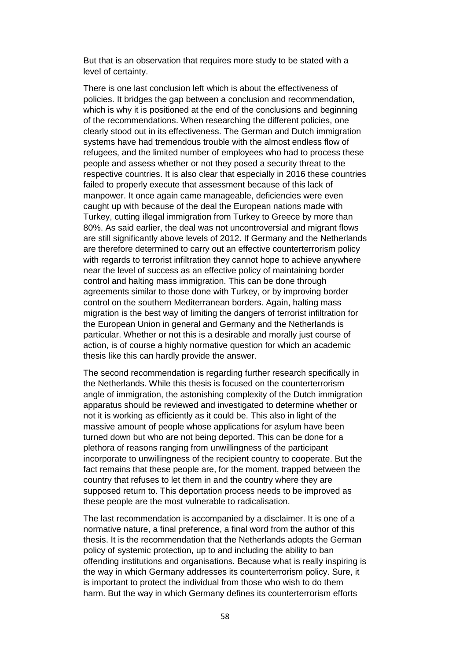But that is an observation that requires more study to be stated with a level of certainty.

There is one last conclusion left which is about the effectiveness of policies. It bridges the gap between a conclusion and recommendation, which is why it is positioned at the end of the conclusions and beginning of the recommendations. When researching the different policies, one clearly stood out in its effectiveness. The German and Dutch immigration systems have had tremendous trouble with the almost endless flow of refugees, and the limited number of employees who had to process these people and assess whether or not they posed a security threat to the respective countries. It is also clear that especially in 2016 these countries failed to properly execute that assessment because of this lack of manpower. It once again came manageable, deficiencies were even caught up with because of the deal the European nations made with Turkey, cutting illegal immigration from Turkey to Greece by more than 80%. As said earlier, the deal was not uncontroversial and migrant flows are still significantly above levels of 2012. If Germany and the Netherlands are therefore determined to carry out an effective counterterrorism policy with regards to terrorist infiltration they cannot hope to achieve anywhere near the level of success as an effective policy of maintaining border control and halting mass immigration. This can be done through agreements similar to those done with Turkey, or by improving border control on the southern Mediterranean borders. Again, halting mass migration is the best way of limiting the dangers of terrorist infiltration for the European Union in general and Germany and the Netherlands is particular. Whether or not this is a desirable and morally just course of action, is of course a highly normative question for which an academic thesis like this can hardly provide the answer.

The second recommendation is regarding further research specifically in the Netherlands. While this thesis is focused on the counterterrorism angle of immigration, the astonishing complexity of the Dutch immigration apparatus should be reviewed and investigated to determine whether or not it is working as efficiently as it could be. This also in light of the massive amount of people whose applications for asylum have been turned down but who are not being deported. This can be done for a plethora of reasons ranging from unwillingness of the participant incorporate to unwillingness of the recipient country to cooperate. But the fact remains that these people are, for the moment, trapped between the country that refuses to let them in and the country where they are supposed return to. This deportation process needs to be improved as these people are the most vulnerable to radicalisation.

The last recommendation is accompanied by a disclaimer. It is one of a normative nature, a final preference, a final word from the author of this thesis. It is the recommendation that the Netherlands adopts the German policy of systemic protection, up to and including the ability to ban offending institutions and organisations. Because what is really inspiring is the way in which Germany addresses its counterterrorism policy. Sure, it is important to protect the individual from those who wish to do them harm. But the way in which Germany defines its counterterrorism efforts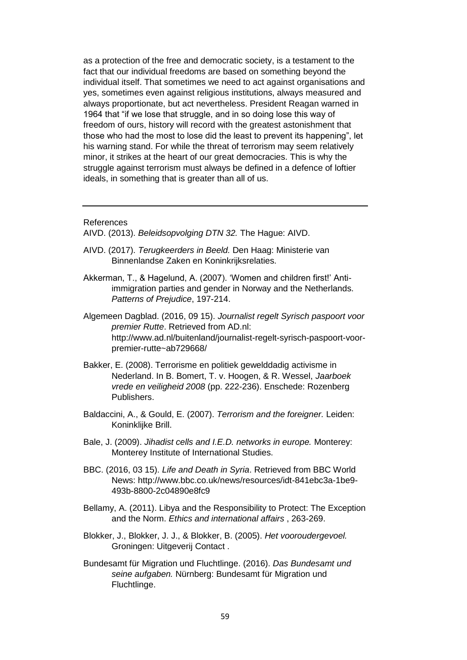as a protection of the free and democratic society, is a testament to the fact that our individual freedoms are based on something beyond the individual itself. That sometimes we need to act against organisations and yes, sometimes even against religious institutions, always measured and always proportionate, but act nevertheless. President Reagan warned in 1964 that "if we lose that struggle, and in so doing lose this way of freedom of ours, history will record with the greatest astonishment that those who had the most to lose did the least to prevent its happening", let his warning stand. For while the threat of terrorism may seem relatively minor, it strikes at the heart of our great democracies. This is why the struggle against terrorism must always be defined in a defence of loftier ideals, in something that is greater than all of us.

### References

- AIVD. (2013). *Beleidsopvolging DTN 32.* The Hague: AIVD.
- AIVD. (2017). *Terugkeerders in Beeld.* Den Haag: Ministerie van Binnenlandse Zaken en Koninkrijksrelaties.
- Akkerman, T., & Hagelund, A. (2007). 'Women and children first!' Antiimmigration parties and gender in Norway and the Netherlands. *Patterns of Prejudice*, 197-214.

Algemeen Dagblad. (2016, 09 15). *Journalist regelt Syrisch paspoort voor premier Rutte*. Retrieved from AD.nl: http://www.ad.nl/buitenland/journalist-regelt-syrisch-paspoort-voorpremier-rutte~ab729668/

- Bakker, E. (2008). Terrorisme en politiek gewelddadig activisme in Nederland. In B. Bomert, T. v. Hoogen, & R. Wessel, *Jaarboek vrede en veiligheid 2008* (pp. 222-236). Enschede: Rozenberg Publishers.
- Baldaccini, A., & Gould, E. (2007). *Terrorism and the foreigner.* Leiden: Koninklijke Brill.
- Bale, J. (2009). *Jihadist cells and I.E.D. networks in europe.* Monterey: Monterey Institute of International Studies.
- BBC. (2016, 03 15). *Life and Death in Syria*. Retrieved from BBC World News: http://www.bbc.co.uk/news/resources/idt-841ebc3a-1be9- 493b-8800-2c04890e8fc9
- Bellamy, A. (2011). Libya and the Responsibility to Protect: The Exception and the Norm. *Ethics and international affairs* , 263-269.
- Blokker, J., Blokker, J. J., & Blokker, B. (2005). *Het vooroudergevoel.* Groningen: Uitgeverij Contact .
- Bundesamt für Migration und Fluchtlinge. (2016). *Das Bundesamt und seine aufgaben.* Nürnberg: Bundesamt für Migration und Fluchtlinge.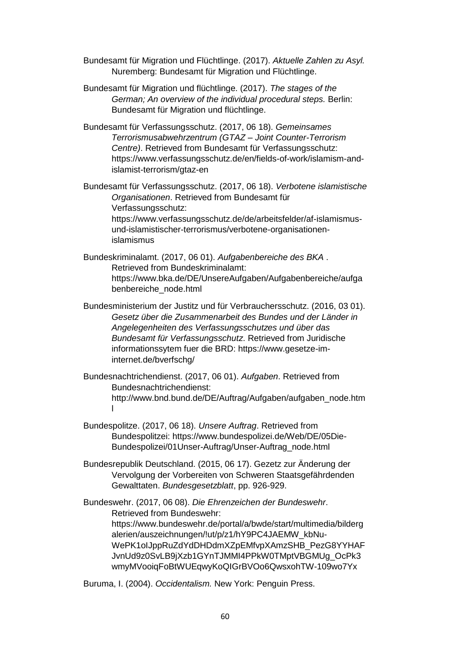- Bundesamt für Migration und Flüchtlinge. (2017). *Aktuelle Zahlen zu Asyl.* Nuremberg: Bundesamt für Migration und Flüchtlinge.
- Bundesamt für Migration und flüchtlinge. (2017). *The stages of the German; An overview of the individual procedural steps.* Berlin: Bundesamt für Migration und flüchtlinge.
- Bundesamt für Verfassungsschutz. (2017, 06 18). *Gemeinsames Terrorismusabwehrzentrum (GTAZ – Joint Counter-Terrorism Centre)*. Retrieved from Bundesamt für Verfassungsschutz: https://www.verfassungsschutz.de/en/fields-of-work/islamism-andislamist-terrorism/gtaz-en

Bundesamt für Verfassungsschutz. (2017, 06 18). *Verbotene islamistische Organisationen*. Retrieved from Bundesamt für Verfassungsschutz: https://www.verfassungsschutz.de/de/arbeitsfelder/af-islamismusund-islamistischer-terrorismus/verbotene-organisationenislamismus

- Bundeskriminalamt. (2017, 06 01). *Aufgabenbereiche des BKA* . Retrieved from Bundeskriminalamt: https://www.bka.de/DE/UnsereAufgaben/Aufgabenbereiche/aufga benbereiche\_node.html
- Bundesministerium der Justitz und für Verbrauchersschutz. (2016, 03 01). *Gesetz über die Zusammenarbeit des Bundes und der Länder in Angelegenheiten des Verfassungsschutzes und über das Bundesamt für Verfassungsschutz*. Retrieved from Juridische informationssytem fuer die BRD: https://www.gesetze-iminternet.de/bverfschg/
- Bundesnachtrichendienst. (2017, 06 01). *Aufgaben*. Retrieved from Bundesnachtrichendienst: http://www.bnd.bund.de/DE/Auftrag/Aufgaben/aufgaben\_node.htm l
- Bundespolitze. (2017, 06 18). *Unsere Auftrag*. Retrieved from Bundespolitzei: https://www.bundespolizei.de/Web/DE/05Die-Bundespolizei/01Unser-Auftrag/Unser-Auftrag\_node.html
- Bundesrepublik Deutschland. (2015, 06 17). Gezetz zur Änderung der Vervolgung der Vorbereiten von Schweren Staatsgefährdenden Gewalttaten. *Bundesgesetzblatt*, pp. 926-929.

Bundeswehr. (2017, 06 08). *Die Ehrenzeichen der Bundeswehr*. Retrieved from Bundeswehr: https://www.bundeswehr.de/portal/a/bwde/start/multimedia/bilderg alerien/auszeichnungen/!ut/p/z1/hY9PC4JAEMW\_kbNu-WePK1oIJppRuZdYdDHDdmXZpEMfvpXAmzSHB\_PezG8YYHAF JvnUd9z0SvLB9jXzb1GYnTJMMI4PPkW0TMptVBGMUg\_OcPk3 wmyMVooiqFoBtWUEqwyKoQIGrBVOo6QwsxohTW-109wo7Yx

Buruma, I. (2004). *Occidentalism.* New York: Penguin Press.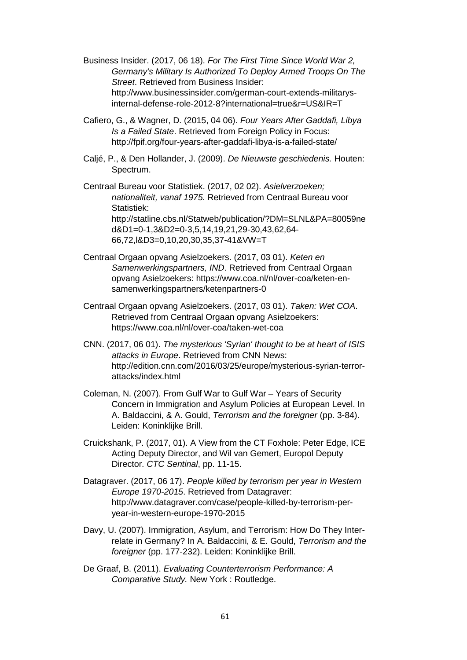Business Insider. (2017, 06 18). *For The First Time Since World War 2, Germany's Military Is Authorized To Deploy Armed Troops On The Street*. Retrieved from Business Insider: http://www.businessinsider.com/german-court-extends-militarysinternal-defense-role-2012-8?international=true&r=US&IR=T

- Cafiero, G., & Wagner, D. (2015, 04 06). *Four Years After Gaddafi, Libya Is a Failed State*. Retrieved from Foreign Policy in Focus: http://fpif.org/four-years-after-gaddafi-libya-is-a-failed-state/
- Caljé, P., & Den Hollander, J. (2009). *De Nieuwste geschiedenis.* Houten: Spectrum.

Centraal Bureau voor Statistiek. (2017, 02 02). *Asielverzoeken; nationaliteit, vanaf 1975.* Retrieved from Centraal Bureau voor Statistiek: http://statline.cbs.nl/Statweb/publication/?DM=SLNL&PA=80059ne d&D1=0-1,3&D2=0-3,5,14,19,21,29-30,43,62,64- 66,72,l&D3=0,10,20,30,35,37-41&VW=T

- Centraal Orgaan opvang Asielzoekers. (2017, 03 01). *Keten en Samenwerkingspartners, IND*. Retrieved from Centraal Orgaan opvang Asielzoekers: https://www.coa.nl/nl/over-coa/keten-ensamenwerkingspartners/ketenpartners-0
- Centraal Orgaan opvang Asielzoekers. (2017, 03 01). *Taken: Wet COA*. Retrieved from Centraal Orgaan opvang Asielzoekers: https://www.coa.nl/nl/over-coa/taken-wet-coa
- CNN. (2017, 06 01). *The mysterious 'Syrian' thought to be at heart of ISIS attacks in Europe*. Retrieved from CNN News: http://edition.cnn.com/2016/03/25/europe/mysterious-syrian-terrorattacks/index.html
- Coleman, N. (2007). From Gulf War to Gulf War Years of Security Concern in Immigration and Asylum Policies at European Level. In A. Baldaccini, & A. Gould, *Terrorism and the foreigner* (pp. 3-84). Leiden: Koninklijke Brill.
- Cruickshank, P. (2017, 01). A View from the CT Foxhole: Peter Edge, ICE Acting Deputy Director, and Wil van Gemert, Europol Deputy Director. *CTC Sentinal*, pp. 11-15.
- Datagraver. (2017, 06 17). *People killed by terrorism per year in Western Europe 1970-2015*. Retrieved from Datagraver: http://www.datagraver.com/case/people-killed-by-terrorism-peryear-in-western-europe-1970-2015
- Davy, U. (2007). Immigration, Asylum, and Terrorism: How Do They Interrelate in Germany? In A. Baldaccini, & E. Gould, *Terrorism and the foreigner* (pp. 177-232). Leiden: Koninklijke Brill.
- De Graaf, B. (2011). *Evaluating Counterterrorism Performance: A Comparative Study.* New York : Routledge.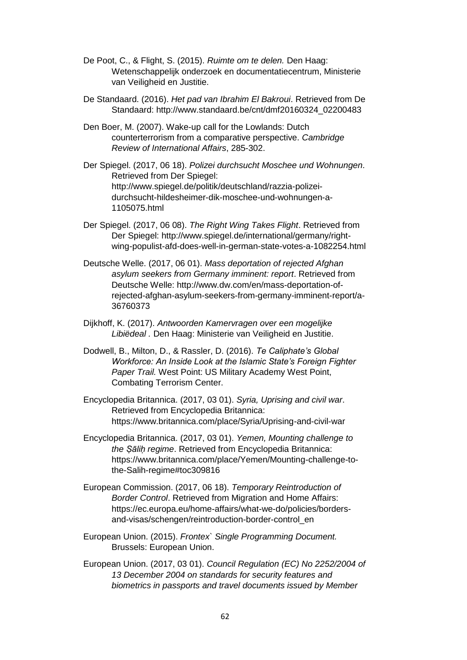- De Poot, C., & Flight, S. (2015). *Ruimte om te delen.* Den Haag: Wetenschappelijk onderzoek en documentatiecentrum, Ministerie van Veiligheid en Justitie.
- De Standaard. (2016). *Het pad van Ibrahim El Bakroui*. Retrieved from De Standaard: http://www.standaard.be/cnt/dmf20160324\_02200483
- Den Boer, M. (2007). Wake-up call for the Lowlands: Dutch counterterrorism from a comparative perspective. *Cambridge Review of International Affairs*, 285-302.
- Der Spiegel. (2017, 06 18). *Polizei durchsucht Moschee und Wohnungen*. Retrieved from Der Spiegel: http://www.spiegel.de/politik/deutschland/razzia-polizeidurchsucht-hildesheimer-dik-moschee-und-wohnungen-a-1105075.html
- Der Spiegel. (2017, 06 08). *The Right Wing Takes Flight*. Retrieved from Der Spiegel: http://www.spiegel.de/international/germany/rightwing-populist-afd-does-well-in-german-state-votes-a-1082254.html
- Deutsche Welle. (2017, 06 01). *Mass deportation of rejected Afghan asylum seekers from Germany imminent: report*. Retrieved from Deutsche Welle: http://www.dw.com/en/mass-deportation-ofrejected-afghan-asylum-seekers-from-germany-imminent-report/a-36760373
- Dijkhoff, K. (2017). *Antwoorden Kamervragen over een mogelijke Libiëdeal .* Den Haag: Ministerie van Veiligheid en Justitie.
- Dodwell, B., Milton, D., & Rassler, D. (2016). *Te Caliphate's Global Workforce: An Inside Look at the Islamic State's Foreign Fighter Paper Trail.* West Point: US Military Academy West Point, Combating Terrorism Center.
- Encyclopedia Britannica. (2017, 03 01). *Syria, Uprising and civil war*. Retrieved from Encyclopedia Britannica: https://www.britannica.com/place/Syria/Uprising-and-civil-war
- Encyclopedia Britannica. (2017, 03 01). *Yemen, Mounting challenge to the Ṣāliḥ regime*. Retrieved from Encyclopedia Britannica: https://www.britannica.com/place/Yemen/Mounting-challenge-tothe-Salih-regime#toc309816
- European Commission. (2017, 06 18). *Temporary Reintroduction of Border Control*. Retrieved from Migration and Home Affairs: https://ec.europa.eu/home-affairs/what-we-do/policies/bordersand-visas/schengen/reintroduction-border-control\_en
- European Union. (2015). *Frontex` Single Programming Document.* Brussels: European Union.
- European Union. (2017, 03 01). *Council Regulation (EC) No 2252/2004 of 13 December 2004 on standards for security features and biometrics in passports and travel documents issued by Member*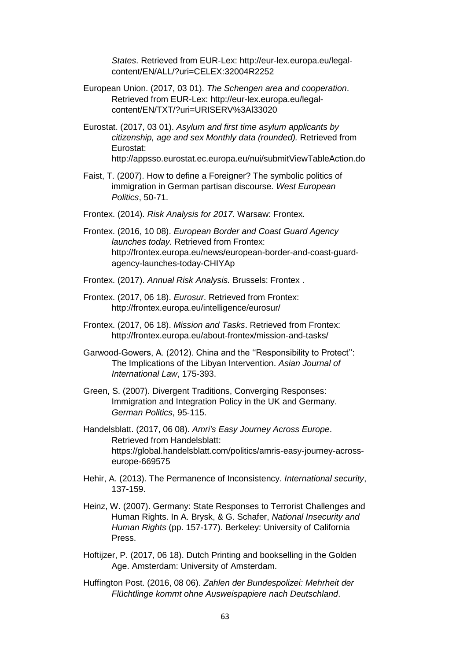*States*. Retrieved from EUR-Lex: http://eur-lex.europa.eu/legalcontent/EN/ALL/?uri=CELEX:32004R2252

- European Union. (2017, 03 01). *The Schengen area and cooperation*. Retrieved from EUR-Lex: http://eur-lex.europa.eu/legalcontent/EN/TXT/?uri=URISERV%3Al33020
- Eurostat. (2017, 03 01). *Asylum and first time asylum applicants by citizenship, age and sex Monthly data (rounded).* Retrieved from Eurostat: http://appsso.eurostat.ec.europa.eu/nui/submitViewTableAction.do
- Faist, T. (2007). How to define a Foreigner? The symbolic politics of immigration in German partisan discourse. *West European Politics*, 50-71.
- Frontex. (2014). *Risk Analysis for 2017.* Warsaw: Frontex.
- Frontex. (2016, 10 08). *European Border and Coast Guard Agency launches today.* Retrieved from Frontex: http://frontex.europa.eu/news/european-border-and-coast-guardagency-launches-today-CHIYAp
- Frontex. (2017). *Annual Risk Analysis.* Brussels: Frontex .
- Frontex. (2017, 06 18). *Eurosur*. Retrieved from Frontex: http://frontex.europa.eu/intelligence/eurosur/
- Frontex. (2017, 06 18). *Mission and Tasks*. Retrieved from Frontex: http://frontex.europa.eu/about-frontex/mission-and-tasks/
- Garwood-Gowers, A. (2012). China and the ''Responsibility to Protect'': The Implications of the Libyan Intervention. *Asian Journal of International Law*, 175-393.
- Green, S. (2007). Divergent Traditions, Converging Responses: Immigration and Integration Policy in the UK and Germany. *German Politics*, 95-115.
- Handelsblatt. (2017, 06 08). *Amri's Easy Journey Across Europe*. Retrieved from Handelsblatt: https://global.handelsblatt.com/politics/amris-easy-journey-acrosseurope-669575
- Hehir, A. (2013). The Permanence of Inconsistency. *International security*, 137-159.
- Heinz, W. (2007). Germany: State Responses to Terrorist Challenges and Human Rights. In A. Brysk, & G. Schafer, *National Insecurity and Human Rights* (pp. 157-177). Berkeley: University of California Press.
- Hoftijzer, P. (2017, 06 18). Dutch Printing and bookselling in the Golden Age. Amsterdam: University of Amsterdam.
- Huffington Post. (2016, 08 06). *Zahlen der Bundespolizei: Mehrheit der Flüchtlinge kommt ohne Ausweispapiere nach Deutschland*.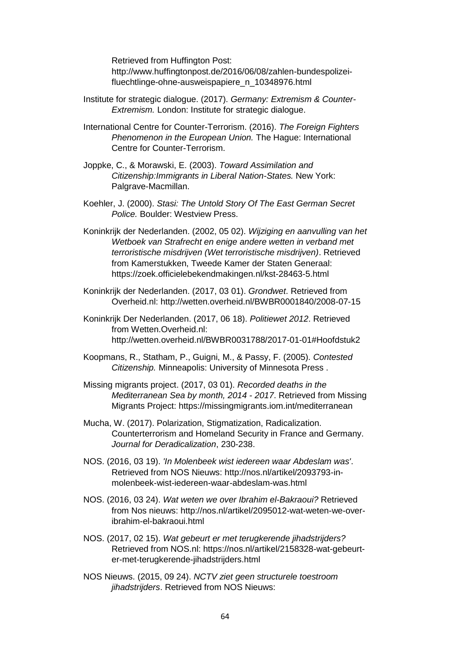Retrieved from Huffington Post: http://www.huffingtonpost.de/2016/06/08/zahlen-bundespolizeifluechtlinge-ohne-ausweispapiere\_n\_10348976.html

- Institute for strategic dialogue. (2017). *Germany: Extremism & Counter-Extremism.* London: Institute for strategic dialogue.
- International Centre for Counter-Terrorism. (2016). *The Foreign Fighters Phenomenon in the European Union.* The Hague: International Centre for Counter-Terrorism.
- Joppke, C., & Morawski, E. (2003). *Toward Assimilation and Citizenship:Immigrants in Liberal Nation-States.* New York: Palgrave-Macmillan.
- Koehler, J. (2000). *Stasi: The Untold Story Of The East German Secret Police.* Boulder: Westview Press.
- Koninkrijk der Nederlanden. (2002, 05 02). *Wijziging en aanvulling van het Wetboek van Strafrecht en enige andere wetten in verband met terroristische misdrijven (Wet terroristische misdrijven)*. Retrieved from Kamerstukken, Tweede Kamer der Staten Generaal: https://zoek.officielebekendmakingen.nl/kst-28463-5.html
- Koninkrijk der Nederlanden. (2017, 03 01). *Grondwet*. Retrieved from Overheid.nl: http://wetten.overheid.nl/BWBR0001840/2008-07-15
- Koninkrijk Der Nederlanden. (2017, 06 18). *Politiewet 2012*. Retrieved from Wetten.Overheid.nl: http://wetten.overheid.nl/BWBR0031788/2017-01-01#Hoofdstuk2
- Koopmans, R., Statham, P., Guigni, M., & Passy, F. (2005). *Contested Citizenship.* Minneapolis: University of Minnesota Press .
- Missing migrants project. (2017, 03 01). *Recorded deaths in the Mediterranean Sea by month, 2014 - 2017*. Retrieved from Missing Migrants Project: https://missingmigrants.iom.int/mediterranean
- Mucha, W. (2017). Polarization, Stigmatization, Radicalization. Counterterrorism and Homeland Security in France and Germany. *Journal for Deradicalization*, 230-238.
- NOS. (2016, 03 19). *'In Molenbeek wist iedereen waar Abdeslam was'*. Retrieved from NOS Nieuws: http://nos.nl/artikel/2093793-inmolenbeek-wist-iedereen-waar-abdeslam-was.html
- NOS. (2016, 03 24). *Wat weten we over Ibrahim el-Bakraoui?* Retrieved from Nos nieuws: http://nos.nl/artikel/2095012-wat-weten-we-overibrahim-el-bakraoui.html
- NOS. (2017, 02 15). *Wat gebeurt er met terugkerende jihadstrijders?* Retrieved from NOS.nl: https://nos.nl/artikel/2158328-wat-gebeurter-met-terugkerende-jihadstrijders.html
- NOS Nieuws. (2015, 09 24). *NCTV ziet geen structurele toestroom jihadstrijders*. Retrieved from NOS Nieuws: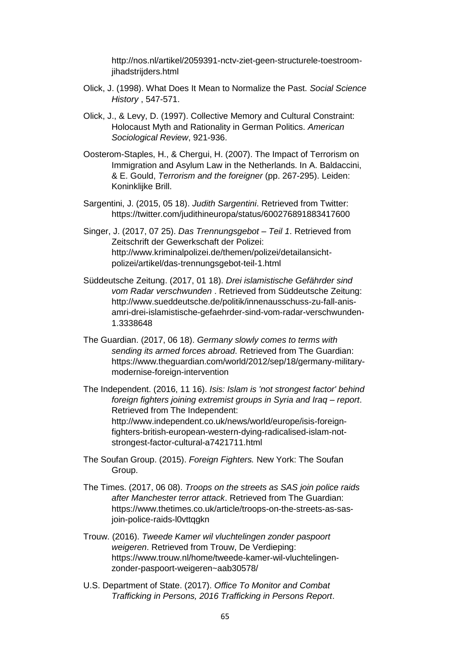http://nos.nl/artikel/2059391-nctv-ziet-geen-structurele-toestroomjihadstrijders.html

- Olick, J. (1998). What Does It Mean to Normalize the Past. *Social Science History* , 547-571.
- Olick, J., & Levy, D. (1997). Collective Memory and Cultural Constraint: Holocaust Myth and Rationality in German Politics. *American Sociological Review*, 921-936.
- Oosterom-Staples, H., & Chergui, H. (2007). The Impact of Terrorism on Immigration and Asylum Law in the Netherlands. In A. Baldaccini, & E. Gould, *Terrorism and the foreigner* (pp. 267-295). Leiden: Koninklijke Brill.
- Sargentini, J. (2015, 05 18). *Judith Sargentini*. Retrieved from Twitter: https://twitter.com/judithineuropa/status/600276891883417600
- Singer, J. (2017, 07 25). *Das Trennungsgebot – Teil 1*. Retrieved from Zeitschrift der Gewerkschaft der Polizei: http://www.kriminalpolizei.de/themen/polizei/detailansichtpolizei/artikel/das-trennungsgebot-teil-1.html
- Süddeutsche Zeitung. (2017, 01 18). *Drei islamistische Gefährder sind vom Radar verschwunden* . Retrieved from Süddeutsche Zeitung: http://www.sueddeutsche.de/politik/innenausschuss-zu-fall-anisamri-drei-islamistische-gefaehrder-sind-vom-radar-verschwunden-1.3338648
- The Guardian. (2017, 06 18). *Germany slowly comes to terms with sending its armed forces abroad*. Retrieved from The Guardian: https://www.theguardian.com/world/2012/sep/18/germany-militarymodernise-foreign-intervention

The Independent. (2016, 11 16). *Isis: Islam is 'not strongest factor' behind foreign fighters joining extremist groups in Syria and Iraq – report*. Retrieved from The Independent: http://www.independent.co.uk/news/world/europe/isis-foreignfighters-british-european-western-dying-radicalised-islam-notstrongest-factor-cultural-a7421711.html

- The Soufan Group. (2015). *Foreign Fighters.* New York: The Soufan Group.
- The Times. (2017, 06 08). *Troops on the streets as SAS join police raids after Manchester terror attack*. Retrieved from The Guardian: https://www.thetimes.co.uk/article/troops-on-the-streets-as-sasjoin-police-raids-l0vttqgkn
- Trouw. (2016). *Tweede Kamer wil vluchtelingen zonder paspoort weigeren*. Retrieved from Trouw, De Verdieping: https://www.trouw.nl/home/tweede-kamer-wil-vluchtelingenzonder-paspoort-weigeren~aab30578/
- U.S. Department of State. (2017). *Office To Monitor and Combat Trafficking in Persons, 2016 Trafficking in Persons Report*.